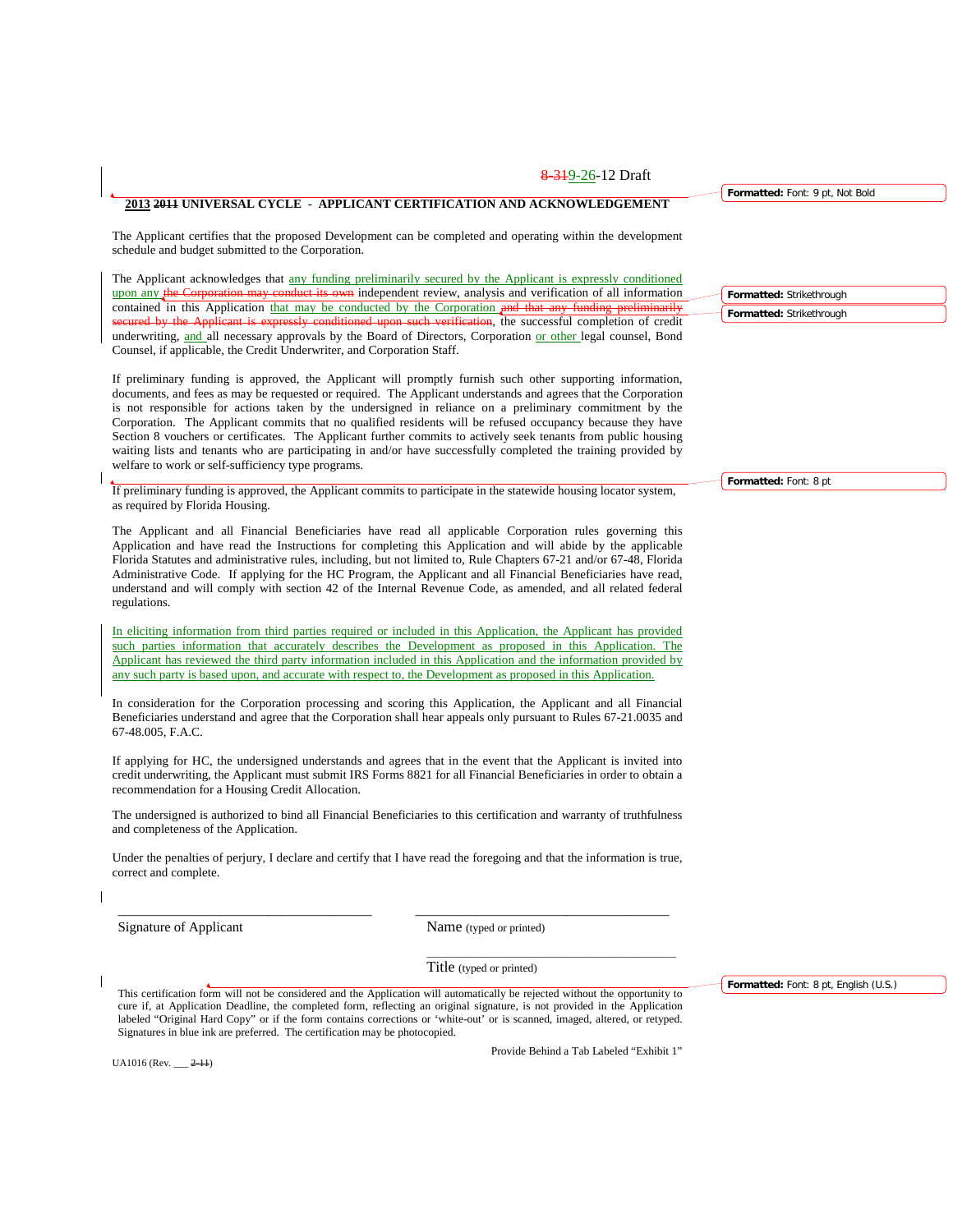### **2013 2011 UNIVERSAL CYCLE - APPLICANT CERTIFICATION AND ACKNOWLEDGEMENT**

The Applicant certifies that the proposed Development can be completed and operating within the development schedule and budget submitted to the Corporation.

The Applicant acknowledges that any funding preliminarily secured by the Applicant is expressly conditioned upon any the Corporation may conduct its own independent review, analysis and verification of all information contained in this Application that may be conducted by the Corporation and that any funding preliminarily erification, the successful completion of credit underwriting, and all necessary approvals by the Board of Directors, Corporation or other legal counsel, Bond Counsel, if applicable, the Credit Underwriter, and Corporation Staff.

If preliminary funding is approved, the Applicant will promptly furnish such other supporting information, documents, and fees as may be requested or required. The Applicant understands and agrees that the Corporation is not responsible for actions taken by the undersigned in reliance on a preliminary commitment by the Corporation. The Applicant commits that no qualified residents will be refused occupancy because they have Section 8 vouchers or certificates. The Applicant further commits to actively seek tenants from public housing waiting lists and tenants who are participating in and/or have successfully completed the training provided by welfare to work or self-sufficiency type programs.

If preliminary funding is approved, the Applicant commits to participate in the statewide housing locator system, as required by Florida Housing.

The Applicant and all Financial Beneficiaries have read all applicable Corporation rules governing this Application and have read the Instructions for completing this Application and will abide by the applicable Florida Statutes and administrative rules, including, but not limited to, Rule Chapters 67-21 and/or 67-48, Florida Administrative Code. If applying for the HC Program, the Applicant and all Financial Beneficiaries have read, understand and will comply with section 42 of the Internal Revenue Code, as amended, and all related federal regulations.

In eliciting information from third parties required or included in this Application, the Applicant has provided such parties information that accurately describes the Development as proposed in this Application. The Applicant has reviewed the third party information included in this Application and the information provided by any such party is based upon, and accurate with respect to, the Development as proposed in this Application.

In consideration for the Corporation processing and scoring this Application, the Applicant and all Financial Beneficiaries understand and agree that the Corporation shall hear appeals only pursuant to Rules 67-21.0035 and 67-48.005, F.A.C.

If applying for HC, the undersigned understands and agrees that in the event that the Applicant is invited into credit underwriting, the Applicant must submit IRS Forms 8821 for all Financial Beneficiaries in order to obtain a recommendation for a Housing Credit Allocation.

The undersigned is authorized to bind all Financial Beneficiaries to this certification and warranty of truthfulness and completeness of the Application.

Under the penalties of perjury, I declare and certify that I have read the foregoing and that the information is true, correct and complete.

\_\_\_\_\_\_\_\_\_\_\_\_\_\_\_\_\_\_\_\_\_\_\_\_\_\_\_\_\_\_\_\_\_\_\_\_\_ \_\_\_\_\_\_\_\_\_\_\_\_\_\_\_\_\_\_\_\_\_\_\_\_\_\_\_\_\_\_\_\_\_\_\_\_\_

Signature of Applicant Name (typed or printed)

Title (typed or printed)

This certification form will not be considered and the Application will automatically be rejected without the opportunity to cure if, at Application Deadline, the completed form, reflecting an original signature, is not provided in the Application labeled "Original Hard Copy" or if the form contains corrections or 'white-out' or is scanned, imaged, altered, or retyped. Signatures in blue ink are preferred. The certification may be photocopied.

UA1016 (Rev. \_\_\_ 2-11)

Provide Behind a Tab Labeled "Exhibit 1"

\_\_\_\_\_\_\_\_\_\_\_\_\_\_\_\_\_\_\_\_\_\_\_\_\_\_\_\_\_\_\_\_\_\_\_\_\_\_\_\_\_\_\_\_\_\_\_\_\_\_

**Formatted:** Font: 8 pt, English (U.S.)

**Formatted:** Font: 8 pt

**Formatted:** Font: 9 pt, Not Bold

**Formatted:** Strikethrough **Formatted:** Strikethrough

8 319-26-12 Draft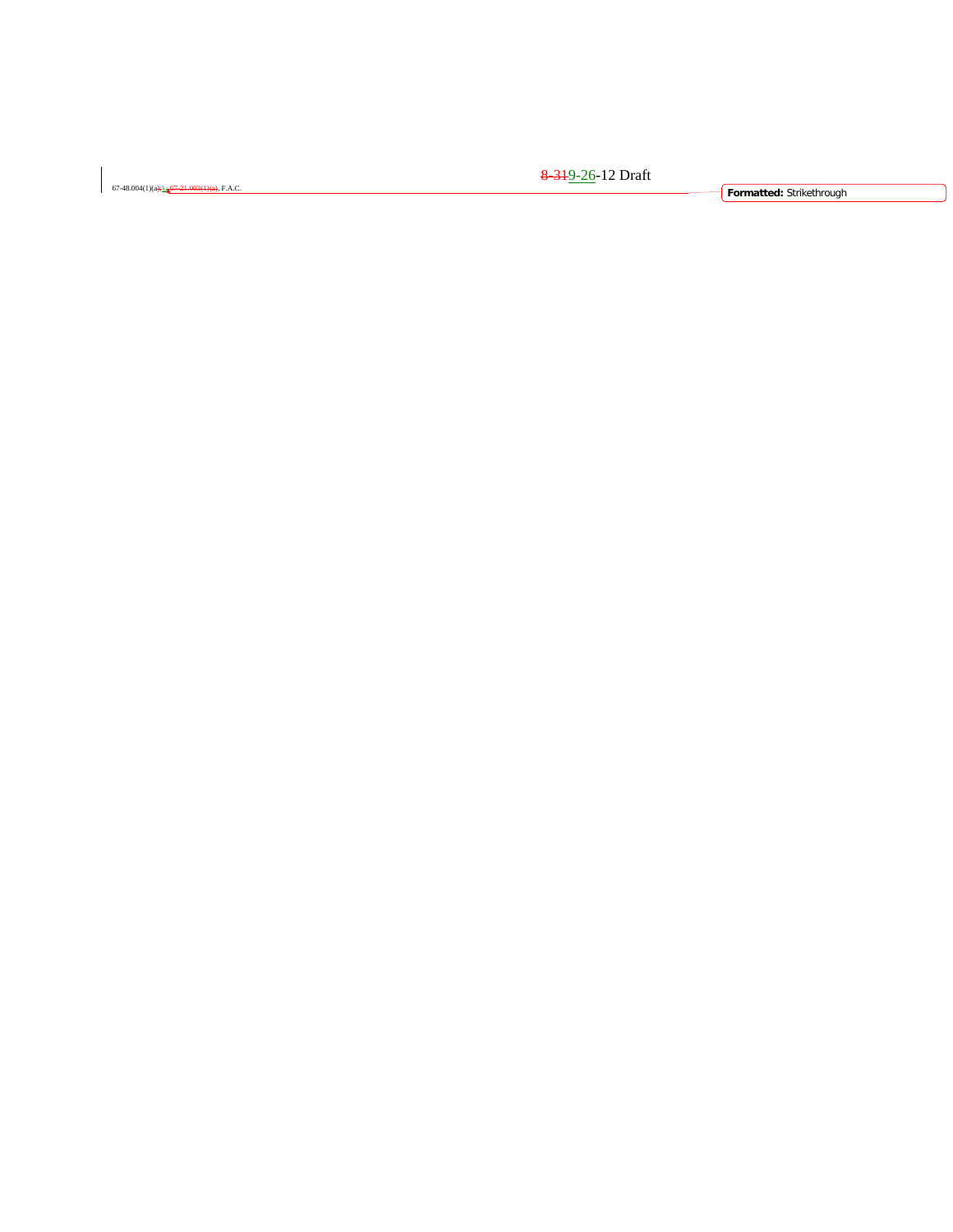67-48.004(1)(a);),; 67-21.003(1)(a), F.A.C. **Formatted:** Strikethrough

<del>8 31</del>9-26-12 Draft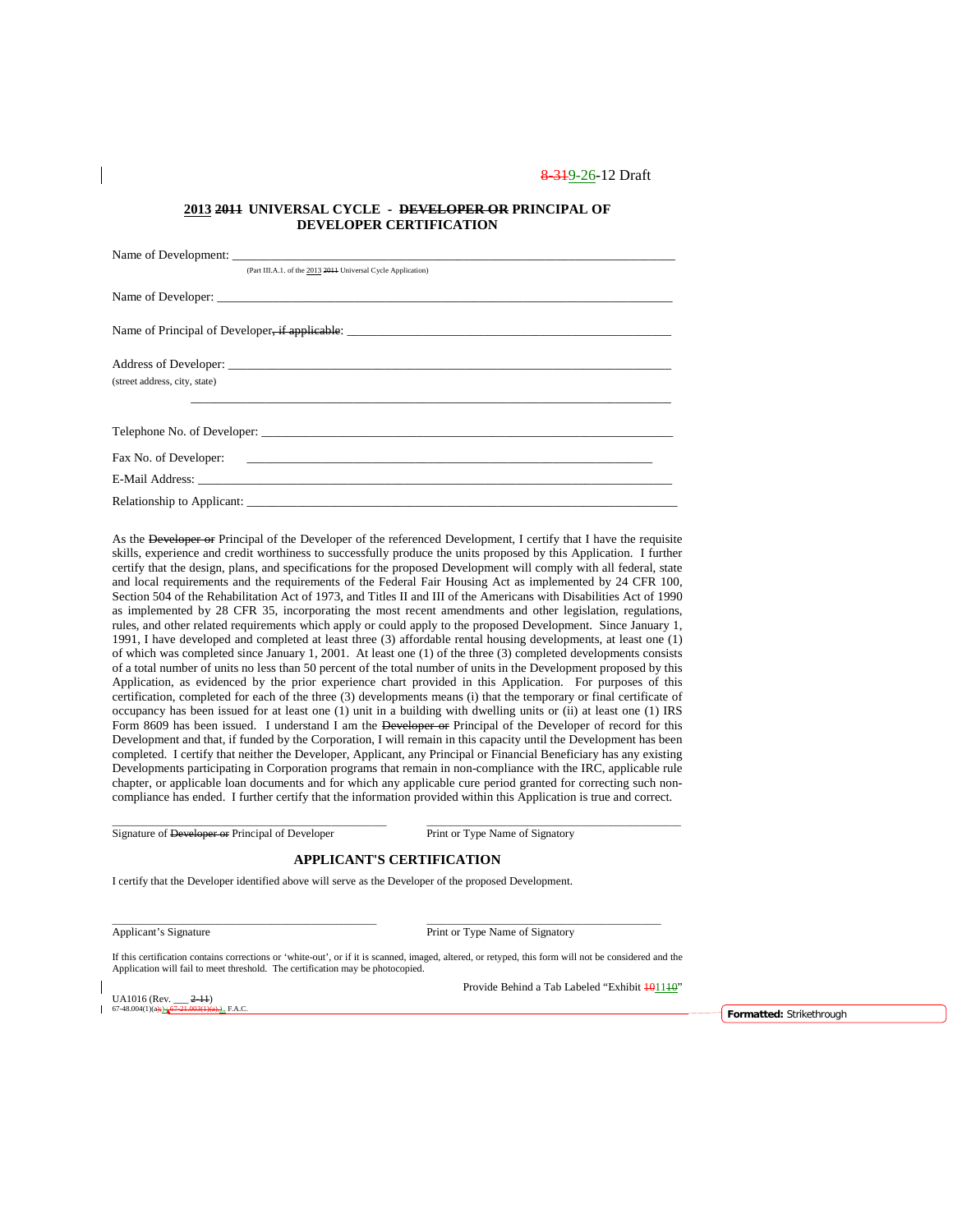#### **2013 2011 UNIVERSAL CYCLE - DEVELOPER OR PRINCIPAL OF DEVELOPER CERTIFICATION**

| (Part III.A.1. of the 2013 2014 Universal Cycle Application) |
|--------------------------------------------------------------|
|                                                              |
|                                                              |
| (street address, city, state)                                |
|                                                              |
|                                                              |
|                                                              |
|                                                              |
| Relationship to Applicant:                                   |

As the Developer or Principal of the Developer of the referenced Development, I certify that I have the requisite skills, experience and credit worthiness to successfully produce the units proposed by this Application. I further certify that the design, plans, and specifications for the proposed Development will comply with all federal, state and local requirements and the requirements of the Federal Fair Housing Act as implemented by 24 CFR 100, Section 504 of the Rehabilitation Act of 1973, and Titles II and III of the Americans with Disabilities Act of 1990 as implemented by 28 CFR 35, incorporating the most recent amendments and other legislation, regulations, rules, and other related requirements which apply or could apply to the proposed Development. Since January 1, 1991, I have developed and completed at least three (3) affordable rental housing developments, at least one (1) of which was completed since January 1, 2001. At least one (1) of the three (3) completed developments consists of a total number of units no less than 50 percent of the total number of units in the Development proposed by this Application, as evidenced by the prior experience chart provided in this Application. For purposes of this certification, completed for each of the three (3) developments means (i) that the temporary or final certificate of occupancy has been issued for at least one (1) unit in a building with dwelling units or (ii) at least one (1) IRS Form 8609 has been issued. I understand I am the Developer or Principal of the Developer of record for this Development and that, if funded by the Corporation, I will remain in this capacity until the Development has been completed. I certify that neither the Developer, Applicant, any Principal or Financial Beneficiary has any existing Developments participating in Corporation programs that remain in non-compliance with the IRC, applicable rule chapter, or applicable loan documents and for which any applicable cure period granted for correcting such noncompliance has ended. I further certify that the information provided within this Application is true and correct.

Signature of Developer or Principal of Developer Print or Type Name of Signatory

### **APPLICANT'S CERTIFICATION**

\_\_\_\_\_\_\_\_\_\_\_\_\_\_\_\_\_\_\_\_\_\_\_\_\_\_\_\_\_\_\_\_\_\_\_\_\_\_\_\_\_\_\_\_\_\_\_\_\_\_\_\_\_ \_\_\_\_\_\_\_\_\_\_\_\_\_\_\_\_\_\_\_\_\_\_\_\_\_\_\_\_\_\_\_\_\_\_\_\_\_\_\_\_\_\_\_\_\_\_\_

\_\_\_\_\_\_\_\_\_\_\_\_\_\_\_\_\_\_\_\_\_\_\_\_\_\_\_\_\_\_\_\_\_\_\_\_\_\_\_\_\_\_\_\_\_\_\_\_\_\_\_\_\_\_\_ \_\_\_\_\_\_\_\_\_\_\_\_\_\_\_\_\_\_\_\_\_\_\_\_\_\_\_\_\_\_\_\_\_\_\_\_\_\_\_\_\_\_\_\_\_\_\_\_\_\_\_

I certify that the Developer identified above will serve as the Developer of the proposed Development.

Applicant's Signature Print or Type Name of Signatory

If this certification contains corrections or 'white-out', or if it is scanned, imaged, altered, or retyped, this form will not be considered and the Application will fail to meet threshold. The certification may be photocopied.

UA1016 (Rev.  $-2-11$ )<br>67-48.004(1)(a): 67-21.003(1)(

Provide Behind a Tab Labeled "Exhibit 401140"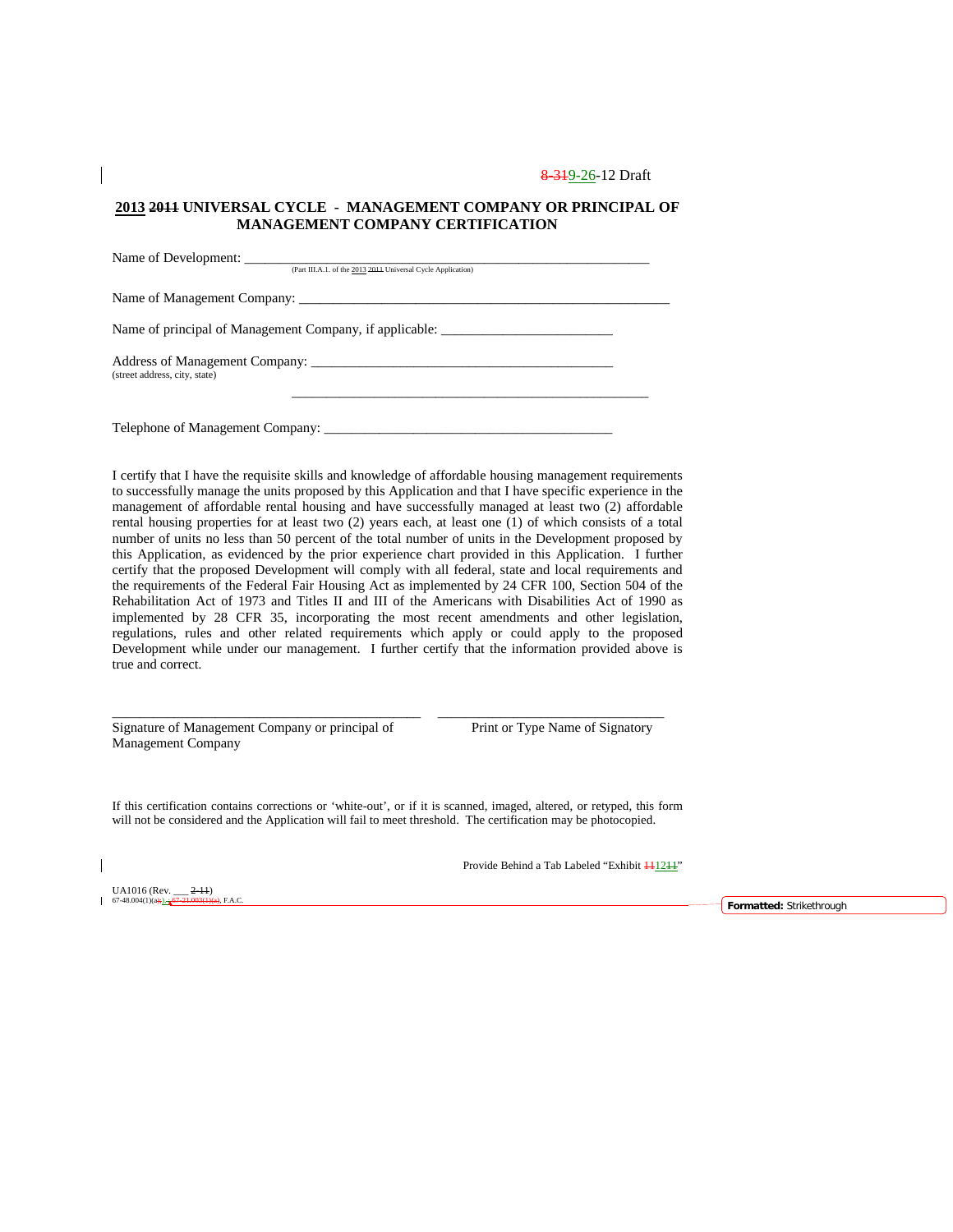### **2013 2011 UNIVERSAL CYCLE - MANAGEMENT COMPANY OR PRINCIPAL OF MANAGEMENT COMPANY CERTIFICATION**

| Name of Development:                                                              |  |
|-----------------------------------------------------------------------------------|--|
| (Part III.A.1. of the 2013 2014 Universal Cycle Application)                      |  |
|                                                                                   |  |
| Name of principal of Management Company, if applicable: _________________________ |  |
| (street address, city, state)                                                     |  |
| Telephone of Management Company:                                                  |  |

I certify that I have the requisite skills and knowledge of affordable housing management requirements to successfully manage the units proposed by this Application and that I have specific experience in the management of affordable rental housing and have successfully managed at least two (2) affordable rental housing properties for at least two (2) years each, at least one (1) of which consists of a total number of units no less than 50 percent of the total number of units in the Development proposed by this Application, as evidenced by the prior experience chart provided in this Application. I further certify that the proposed Development will comply with all federal, state and local requirements and the requirements of the Federal Fair Housing Act as implemented by 24 CFR 100, Section 504 of the Rehabilitation Act of 1973 and Titles II and III of the Americans with Disabilities Act of 1990 as implemented by 28 CFR 35, incorporating the most recent amendments and other legislation, regulations, rules and other related requirements which apply or could apply to the proposed Development while under our management. I further certify that the information provided above is true and correct.

Signature of Management Company or principal of Print or Type Name of Signatory Management Company

If this certification contains corrections or 'white-out', or if it is scanned, imaged, altered, or retyped, this form will not be considered and the Application will fail to meet threshold. The certification may be photocopied.

\_\_\_\_\_\_\_\_\_\_\_\_\_\_\_\_\_\_\_\_\_\_\_\_\_\_\_\_\_\_\_\_\_\_\_\_\_\_\_\_\_\_\_\_\_ \_\_\_\_\_\_\_\_\_\_\_\_\_\_\_\_\_\_\_\_\_\_\_\_\_\_\_\_\_\_\_\_\_

Provide Behind a Tab Labeled "Exhibit  $\frac{111211}{11111}$ "

UA1016 (Rev.  $\frac{2-11}{67-48.004(1)(a) + 1.67-21.003(1)}$ 

67-48.004(1)(a);), ; 67-21.003(1)(a), F.A.C. **Formatted:** Strikethrough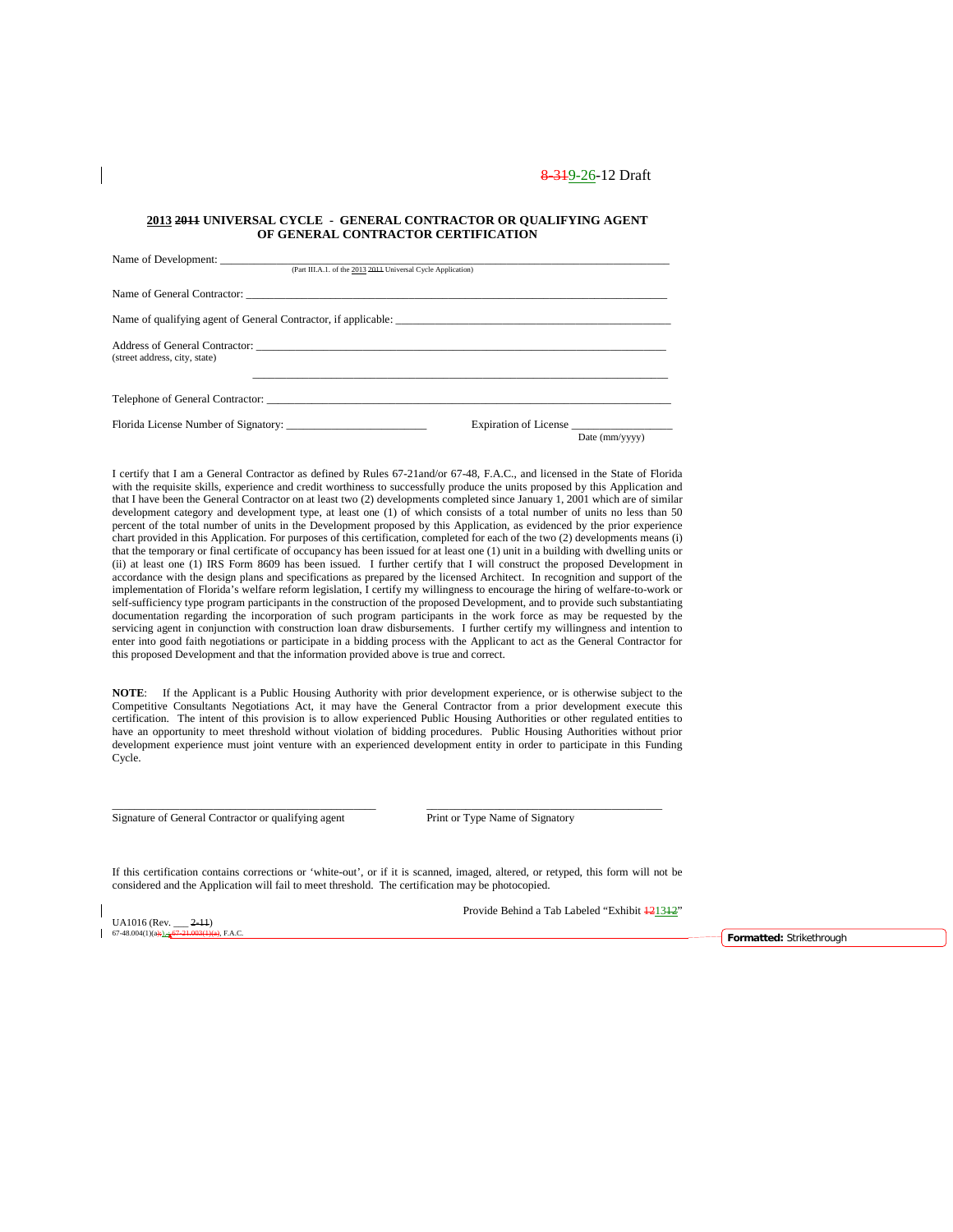#### **2013 2011 UNIVERSAL CYCLE - GENERAL CONTRACTOR OR QUALIFYING AGENT OF GENERAL CONTRACTOR CERTIFICATION**

| (Part III.A.1. of the 2013 2014 Universal Cycle Application) |                                         |
|--------------------------------------------------------------|-----------------------------------------|
|                                                              |                                         |
|                                                              |                                         |
|                                                              |                                         |
| (street address, city, state)                                |                                         |
|                                                              |                                         |
| Telephone of General Contractor:                             |                                         |
| Florida License Number of Signatory:                         | Expiration of License<br>Date (mm/yyyy) |

I certify that I am a General Contractor as defined by Rules 67-21and/or 67-48, F.A.C., and licensed in the State of Florida with the requisite skills, experience and credit worthiness to successfully produce the units proposed by this Application and that I have been the General Contractor on at least two (2) developments completed since January 1, 2001 which are of similar development category and development type, at least one (1) of which consists of a total number of units no less than 50 percent of the total number of units in the Development proposed by this Application, as evidenced by the prior experience chart provided in this Application. For purposes of this certification, completed for each of the two (2) developments means (i) that the temporary or final certificate of occupancy has been issued for at least one (1) unit in a building with dwelling units or (ii) at least one (1) IRS Form 8609 has been issued. I further certify that I will construct the proposed Development in accordance with the design plans and specifications as prepared by the licensed Architect. In recognition and support of the implementation of Florida's welfare reform legislation, I certify my willingness to encourage the hiring of welfare-to-work or self-sufficiency type program participants in the construction of the proposed Development, and to provide such substantiating documentation regarding the incorporation of such program participants in the work force as may be requested by the servicing agent in conjunction with construction loan draw disbursements. I further certify my willingness and intention to enter into good faith negotiations or participate in a bidding process with the Applicant to act as the General Contractor for this proposed Development and that the information provided above is true and correct.

**NOTE**: If the Applicant is a Public Housing Authority with prior development experience, or is otherwise subject to the Competitive Consultants Negotiations Act, it may have the General Contractor from a prior development execute this certification. The intent of this provision is to allow experienced Public Housing Authorities or other regulated entities to have an opportunity to meet threshold without violation of bidding procedures. Public Housing Authorities without prior development experience must joint venture with an experienced development entity in order to participate in this Funding Cycle.

\_\_\_\_\_\_\_\_\_\_\_\_\_\_\_\_\_\_\_\_\_\_\_\_\_\_\_\_\_\_\_\_\_\_\_\_\_\_\_\_\_\_\_\_\_\_\_ \_\_\_\_\_\_\_\_\_\_\_\_\_\_\_\_\_\_\_\_\_\_\_\_\_\_\_\_\_\_\_\_\_\_\_\_\_\_\_\_\_\_

Signature of General Contractor or qualifying agent Print or Type Name of Signatory

If this certification contains corrections or 'white-out', or if it is scanned, imaged, altered, or retyped, this form will not be considered and the Application will fail to meet threshold. The certification may be photocopied.

UA1016 (Rev.  $\frac{2-11}{67-48.004(1)(a) + 1}$   $\frac{67-21.003(1)}{67-48.004(1)}$ 

Provide Behind a Tab Labeled "Exhibit  $\frac{121312}{ }$ "

67-48.004(1)(a);), ; 67-21.003(1)(a), F.A.C. **Formatted:** Strikethrough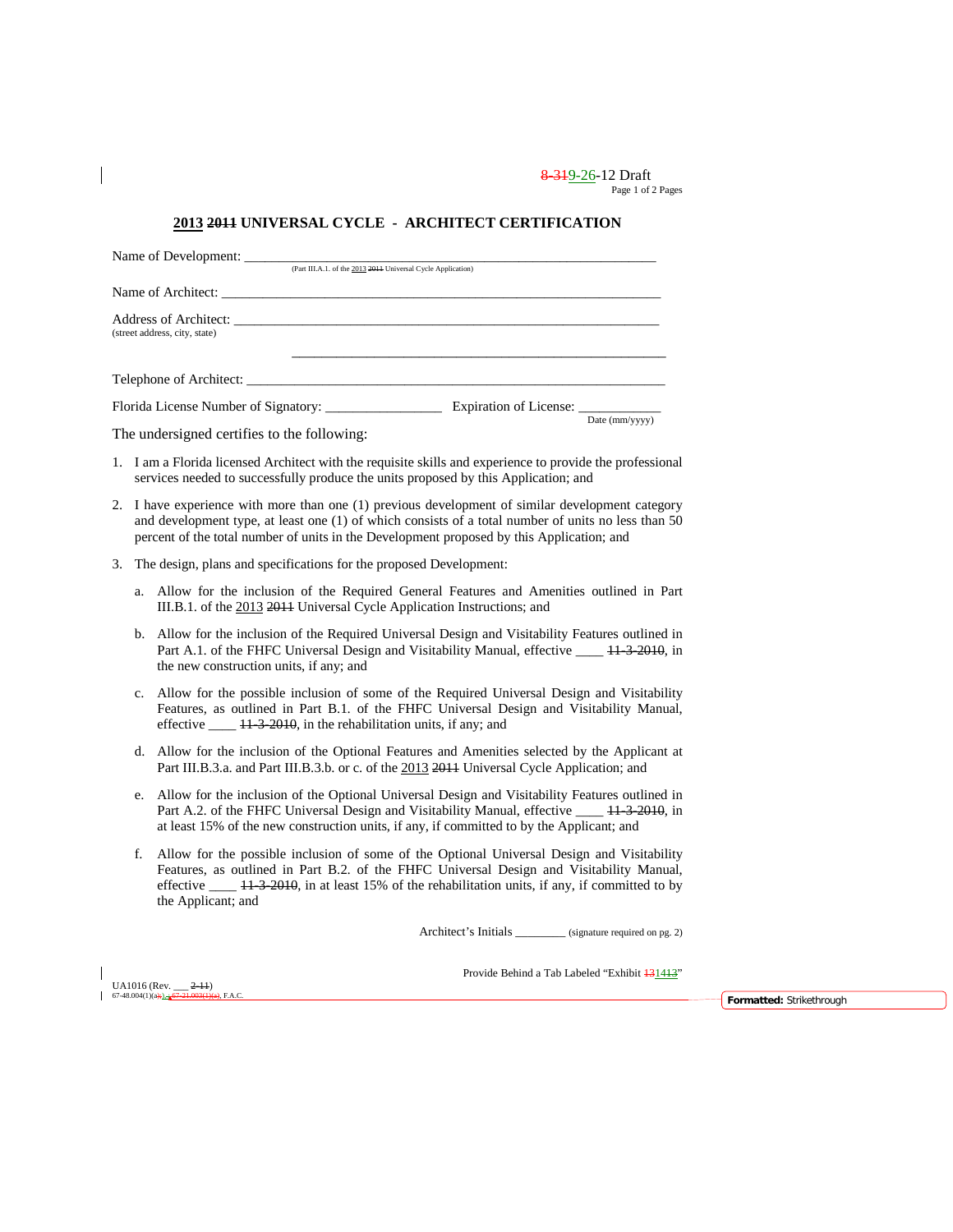8-319-26-12 Draft Page 1 of 2 Pages

## **2013 2011 UNIVERSAL CYCLE - ARCHITECT CERTIFICATION**

|    |    | Name of Development: ________<br>(Part III.A.1. of the 2013 2011 Universal Cycle Application)                                                                                                                                                                                                                     |
|----|----|-------------------------------------------------------------------------------------------------------------------------------------------------------------------------------------------------------------------------------------------------------------------------------------------------------------------|
|    |    |                                                                                                                                                                                                                                                                                                                   |
|    |    | (street address, city, state)                                                                                                                                                                                                                                                                                     |
|    |    |                                                                                                                                                                                                                                                                                                                   |
|    |    | Florida License Number of Signatory: Expiration of License:                                                                                                                                                                                                                                                       |
|    |    | Date (mm/yyyy)<br>The undersigned certifies to the following:                                                                                                                                                                                                                                                     |
|    |    | 1. I am a Florida licensed Architect with the requisite skills and experience to provide the professional<br>services needed to successfully produce the units proposed by this Application; and                                                                                                                  |
|    |    | 2. I have experience with more than one (1) previous development of similar development category<br>and development type, at least one (1) of which consists of a total number of units no less than 50<br>percent of the total number of units in the Development proposed by this Application; and              |
| 3. |    | The design, plans and specifications for the proposed Development:                                                                                                                                                                                                                                                |
|    | a. | Allow for the inclusion of the Required General Features and Amenities outlined in Part<br>III.B.1. of the 2013 2014 Universal Cycle Application Instructions; and                                                                                                                                                |
|    |    | b. Allow for the inclusion of the Required Universal Design and Visitability Features outlined in<br>Part A.1. of the FHFC Universal Design and Visitability Manual, effective _____ 44 3 2010, in<br>the new construction units, if any; and                                                                     |
|    |    | c. Allow for the possible inclusion of some of the Required Universal Design and Visitability<br>Features, as outlined in Part B.1. of the FHFC Universal Design and Visitability Manual,<br>effective $\frac{11.32010}{11.32010}$ , in the rehabilitation units, if any; and                                     |
|    |    | d. Allow for the inclusion of the Optional Features and Amenities selected by the Applicant at<br>Part III.B.3.a. and Part III.B.3.b. or c. of the 2013 2014 Universal Cycle Application; and                                                                                                                     |
|    | e. | Allow for the inclusion of the Optional Universal Design and Visitability Features outlined in<br>Part A.2. of the FHFC Universal Design and Visitability Manual, effective _____ 44-3-2010, in<br>at least 15% of the new construction units, if any, if committed to by the Applicant; and                      |
|    | f. | Allow for the possible inclusion of some of the Optional Universal Design and Visitability<br>Features, as outlined in Part B.2. of the FHFC Universal Design and Visitability Manual,<br>effective ____ 11 3 2010, in at least 15% of the rehabilitation units, if any, if committed to by<br>the Applicant; and |
|    |    | Architect's Initials _________ (signature required on pg. 2)                                                                                                                                                                                                                                                      |

UA1016 (Rev.  $\frac{2-11}{67-48.004(1)(a)+1.267-21.003(1)(e)}$ 

 $\overline{\phantom{a}}$ 

 $\overline{\phantom{a}}$ 

 $\left\{\right.}$  Formatted: Strikethrough

Provide Behind a Tab Labeled "Exhibit  $\frac{131413}{3}$ "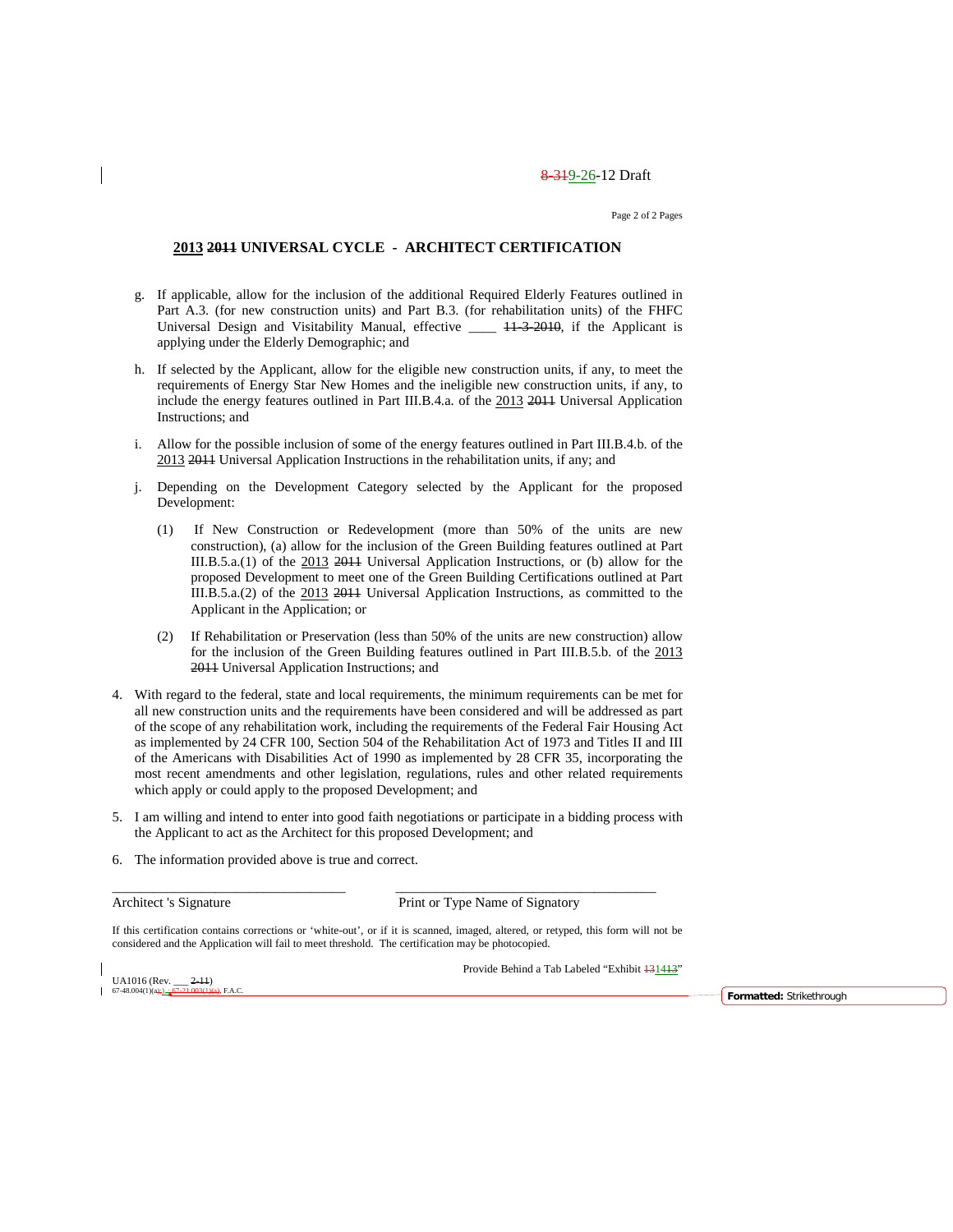Page 2 of 2 Pages

### **2013 2011 UNIVERSAL CYCLE - ARCHITECT CERTIFICATION**

- g. If applicable, allow for the inclusion of the additional Required Elderly Features outlined in Part A.3. (for new construction units) and Part B.3. (for rehabilitation units) of the FHFC Universal Design and Visitability Manual, effective \_\_\_\_ 41-3-2010, if the Applicant is applying under the Elderly Demographic; and
- h. If selected by the Applicant, allow for the eligible new construction units, if any, to meet the requirements of Energy Star New Homes and the ineligible new construction units, if any, to include the energy features outlined in Part III.B.4.a. of the 2013 2011 Universal Application Instructions; and
- i. Allow for the possible inclusion of some of the energy features outlined in Part III.B.4.b. of the 2013 2011 Universal Application Instructions in the rehabilitation units, if any; and
- j. Depending on the Development Category selected by the Applicant for the proposed Development:
	- (1) If New Construction or Redevelopment (more than 50% of the units are new construction), (a) allow for the inclusion of the Green Building features outlined at Part III.B.5.a.(1) of the 2013 2011 Universal Application Instructions, or (b) allow for the proposed Development to meet one of the Green Building Certifications outlined at Part III.B.5.a.(2) of the 2013 2011 Universal Application Instructions, as committed to the Applicant in the Application; or
	- (2) If Rehabilitation or Preservation (less than 50% of the units are new construction) allow for the inclusion of the Green Building features outlined in Part III.B.5.b. of the 2013 2011 Universal Application Instructions; and
- 4. With regard to the federal, state and local requirements, the minimum requirements can be met for all new construction units and the requirements have been considered and will be addressed as part of the scope of any rehabilitation work, including the requirements of the Federal Fair Housing Act as implemented by 24 CFR 100, Section 504 of the Rehabilitation Act of 1973 and Titles II and III of the Americans with Disabilities Act of 1990 as implemented by 28 CFR 35, incorporating the most recent amendments and other legislation, regulations, rules and other related requirements which apply or could apply to the proposed Development; and
- 5. I am willing and intend to enter into good faith negotiations or participate in a bidding process with the Applicant to act as the Architect for this proposed Development; and
- 6. The information provided above is true and correct.

Architect 's Signature Print or Type Name of Signatory

If this certification contains corrections or 'white-out', or if it is scanned, imaged, altered, or retyped, this form will not be considered and the Application will fail to meet threshold. The certification may be photocopied.

\_\_\_\_\_\_\_\_\_\_\_\_\_\_\_\_\_\_\_\_\_\_\_\_\_\_\_\_\_\_\_\_\_\_ \_\_\_\_\_\_\_\_\_\_\_\_\_\_\_\_\_\_\_\_\_\_\_\_\_\_\_\_\_\_\_\_\_\_\_\_\_\_

UA1016 (Rev.  $-2-11$ )<br>67-48.004(1)(a):  $\frac{67-21.003(1)}{2}$ 

Provide Behind a Tab Labeled "Exhibit  $\frac{131413}{12}$ "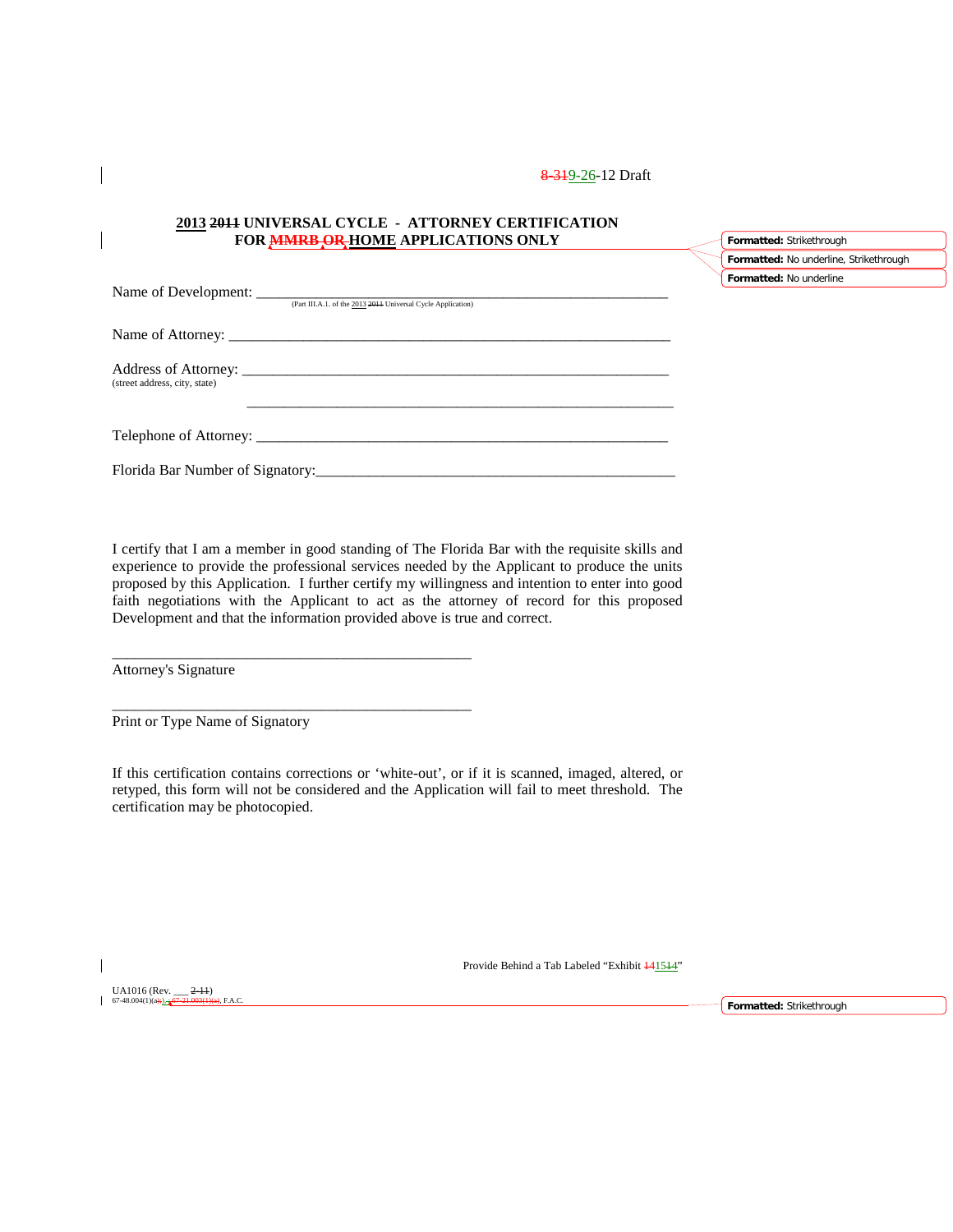### **2013 2011 UNIVERSAL CYCLE - ATTORNEY CERTIFICATION FOR MMRB OR HOME APPLICATIONS ONLY**

|                                                              | Formatted: No underline, Strikethrough |
|--------------------------------------------------------------|----------------------------------------|
|                                                              | Formatted: No underline                |
| (Part III.A.1. of the 2013 2014 Universal Cycle Application) |                                        |
|                                                              |                                        |
|                                                              |                                        |
|                                                              |                                        |
| (street address, city, state)                                |                                        |
|                                                              |                                        |
|                                                              |                                        |
| Florida Bar Number of Signatory:                             |                                        |

I certify that I am a member in good standing of The Florida Bar with the requisite skills and experience to provide the professional services needed by the Applicant to produce the units proposed by this Application. I further certify my willingness and intention to enter into good faith negotiations with the Applicant to act as the attorney of record for this proposed Development and that the information provided above is true and correct.

Attorney's Signature

Print or Type Name of Signatory

\_\_\_\_\_\_\_\_\_\_\_\_\_\_\_\_\_\_\_\_\_\_\_\_\_\_\_\_\_\_\_\_\_\_\_\_\_\_\_\_\_\_\_\_\_\_\_\_

\_\_\_\_\_\_\_\_\_\_\_\_\_\_\_\_\_\_\_\_\_\_\_\_\_\_\_\_\_\_\_\_\_\_\_\_\_\_\_\_\_\_\_\_\_\_\_\_

If this certification contains corrections or 'white-out', or if it is scanned, imaged, altered, or retyped, this form will not be considered and the Application will fail to meet threshold. The certification may be photocopied.

UA1016 (Rev. \_\_\_ 2-11)  $67-48.004(1)(a)$ 

Provide Behind a Tab Labeled "Exhibit  $\frac{441544}{ }$ "

**Formatted:** Strikethrough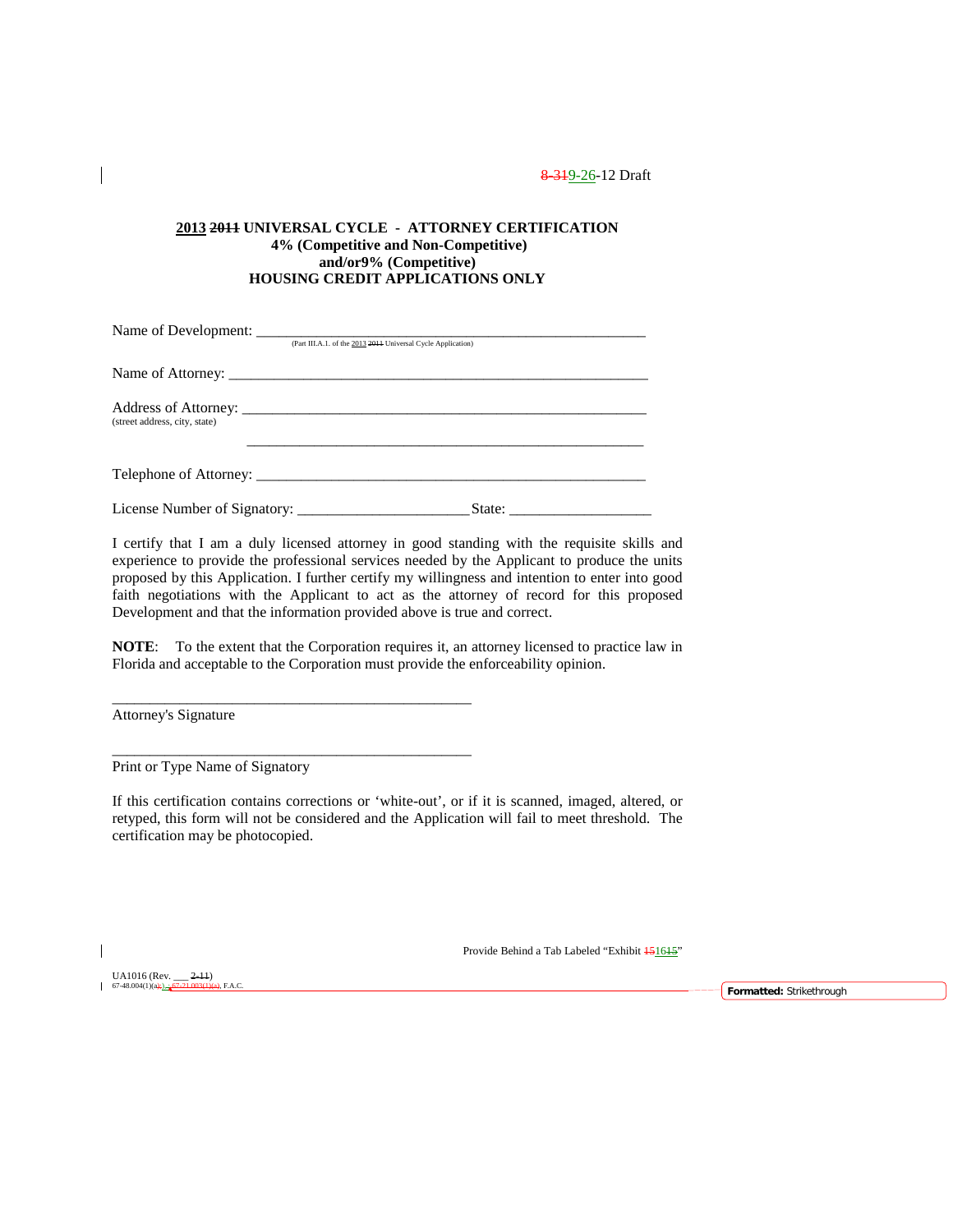### **2013 2011 UNIVERSAL CYCLE - ATTORNEY CERTIFICATION 4% (Competitive and Non-Competitive) and/or9% (Competitive) HOUSING CREDIT APPLICATIONS ONLY**

| (Part III.A.1, of the 2013 2014 Universal Cycle Application) |  |
|--------------------------------------------------------------|--|
|                                                              |  |
|                                                              |  |
| (street address, city, state)                                |  |
| Telephone of Attorney:                                       |  |
|                                                              |  |

I certify that I am a duly licensed attorney in good standing with the requisite skills and experience to provide the professional services needed by the Applicant to produce the units proposed by this Application. I further certify my willingness and intention to enter into good faith negotiations with the Applicant to act as the attorney of record for this proposed Development and that the information provided above is true and correct.

**NOTE**: To the extent that the Corporation requires it, an attorney licensed to practice law in Florida and acceptable to the Corporation must provide the enforceability opinion.

Attorney's Signature

Print or Type Name of Signatory

\_\_\_\_\_\_\_\_\_\_\_\_\_\_\_\_\_\_\_\_\_\_\_\_\_\_\_\_\_\_\_\_\_\_\_\_\_\_\_\_\_\_\_\_\_\_\_\_

\_\_\_\_\_\_\_\_\_\_\_\_\_\_\_\_\_\_\_\_\_\_\_\_\_\_\_\_\_\_\_\_\_\_\_\_\_\_\_\_\_\_\_\_\_\_\_\_

If this certification contains corrections or 'white-out', or if it is scanned, imaged, altered, or retyped, this form will not be considered and the Application will fail to meet threshold. The certification may be photocopied.

Provide Behind a Tab Labeled "Exhibit 451615"

UA1016 (Rev. \_\_\_ 2-11)

67-48.004(1)(a);), ; 67-21.003(1)(a), F.A.C. **Formatted:** Strikethrough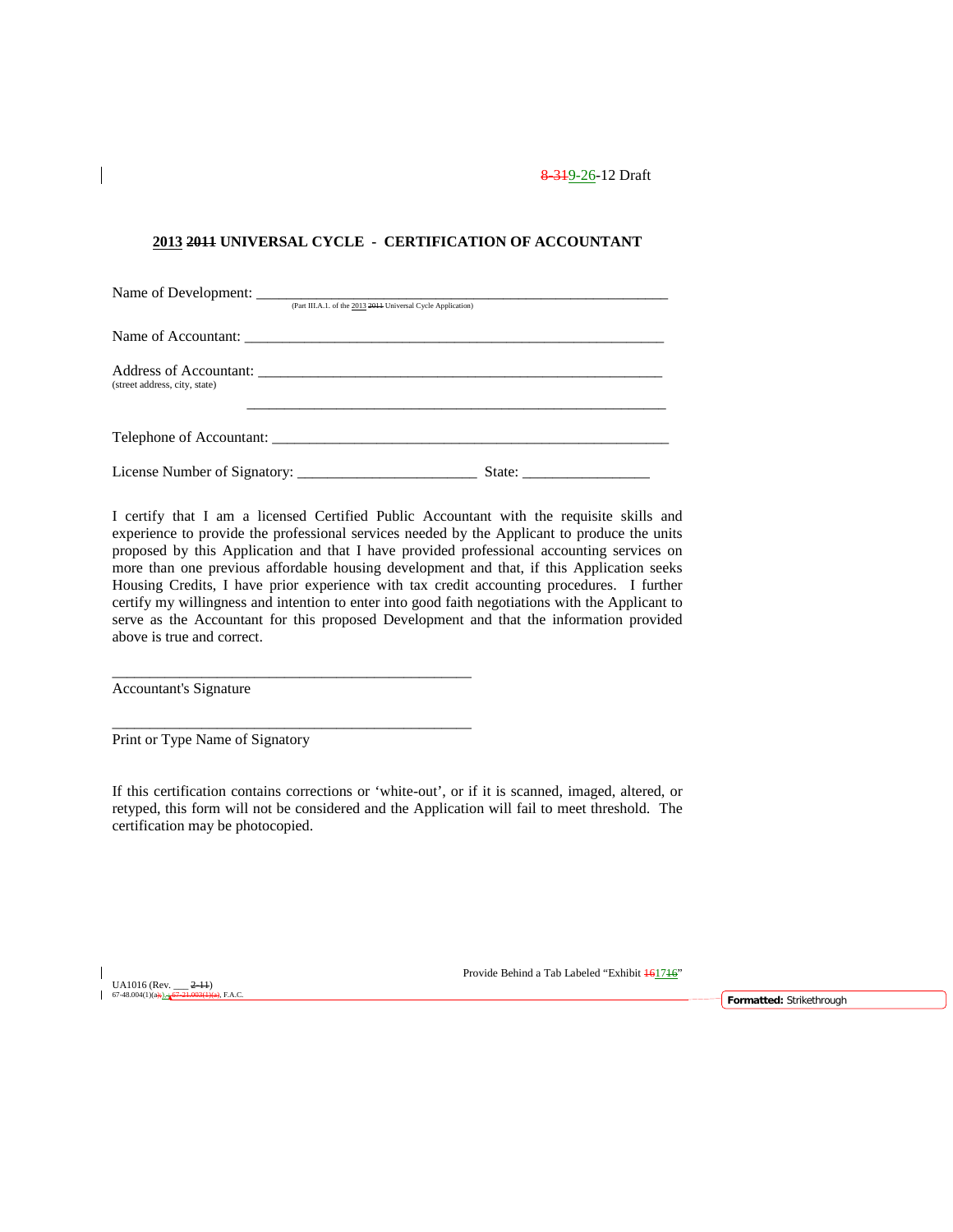### **2013 2011 UNIVERSAL CYCLE - CERTIFICATION OF ACCOUNTANT**

|                               | (Part III.A.1. of the 2013 2014 Universal Cycle Application) |                               |
|-------------------------------|--------------------------------------------------------------|-------------------------------|
|                               |                                                              |                               |
| (street address, city, state) |                                                              |                               |
|                               | Telephone of Accountant:                                     |                               |
|                               |                                                              | State: $\qquad \qquad \qquad$ |

I certify that I am a licensed Certified Public Accountant with the requisite skills and experience to provide the professional services needed by the Applicant to produce the units proposed by this Application and that I have provided professional accounting services on more than one previous affordable housing development and that, if this Application seeks Housing Credits, I have prior experience with tax credit accounting procedures. I further certify my willingness and intention to enter into good faith negotiations with the Applicant to serve as the Accountant for this proposed Development and that the information provided above is true and correct.

Accountant's Signature

Print or Type Name of Signatory

\_\_\_\_\_\_\_\_\_\_\_\_\_\_\_\_\_\_\_\_\_\_\_\_\_\_\_\_\_\_\_\_\_\_\_\_\_\_\_\_\_\_\_\_\_\_\_\_

\_\_\_\_\_\_\_\_\_\_\_\_\_\_\_\_\_\_\_\_\_\_\_\_\_\_\_\_\_\_\_\_\_\_\_\_\_\_\_\_\_\_\_\_\_\_\_\_

If this certification contains corrections or 'white-out', or if it is scanned, imaged, altered, or retyped, this form will not be considered and the Application will fail to meet threshold. The certification may be photocopied.

UA1016 (Rev.  $-2-11$ )<br>67-48.004(1)(a):  $+67-21.003(1)$ 

Provide Behind a Tab Labeled "Exhibit  $\frac{161716}{16}$ "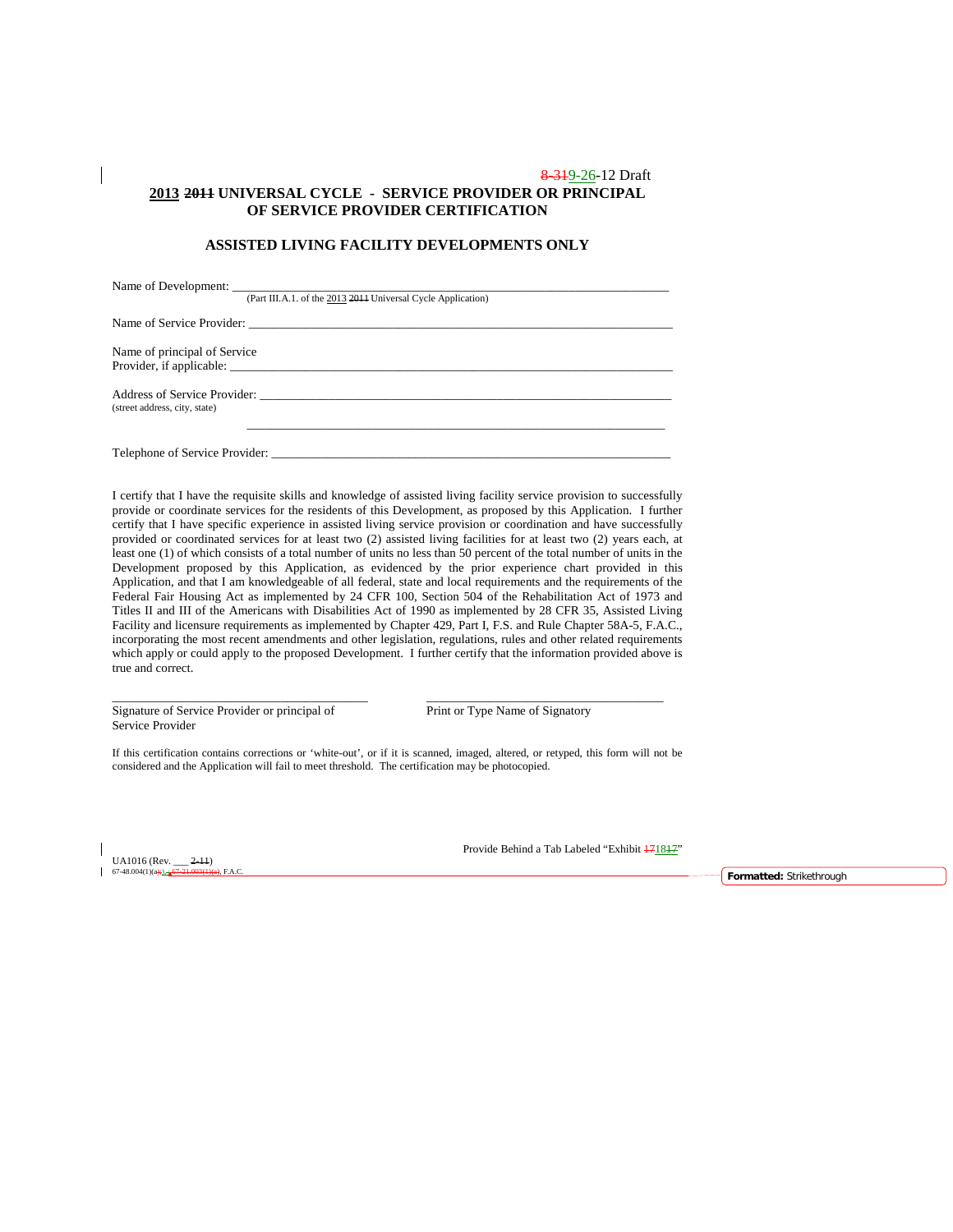### 8-319-26-12 Draft **2013 2011 UNIVERSAL CYCLE - SERVICE PROVIDER OR PRINCIPAL OF SERVICE PROVIDER CERTIFICATION**

### **ASSISTED LIVING FACILITY DEVELOPMENTS ONLY**

|                               | (Part III.A.1. of the 2013 2011 Universal Cycle Application) |
|-------------------------------|--------------------------------------------------------------|
|                               |                                                              |
| Name of principal of Service  |                                                              |
| (street address, city, state) | Address of Service Provider:                                 |
|                               |                                                              |

I certify that I have the requisite skills and knowledge of assisted living facility service provision to successfully provide or coordinate services for the residents of this Development, as proposed by this Application. I further certify that I have specific experience in assisted living service provision or coordination and have successfully provided or coordinated services for at least two (2) assisted living facilities for at least two (2) years each, at least one (1) of which consists of a total number of units no less than 50 percent of the total number of units in the Development proposed by this Application, as evidenced by the prior experience chart provided in this Application, and that I am knowledgeable of all federal, state and local requirements and the requirements of the Federal Fair Housing Act as implemented by 24 CFR 100, Section 504 of the Rehabilitation Act of 1973 and Titles II and III of the Americans with Disabilities Act of 1990 as implemented by 28 CFR 35, Assisted Living Facility and licensure requirements as implemented by Chapter 429, Part I, F.S. and Rule Chapter 58A-5, F.A.C., incorporating the most recent amendments and other legislation, regulations, rules and other related requirements which apply or could apply to the proposed Development. I further certify that the information provided above is true and correct.

Signature of Service Provider or principal of Print or Type Name of Signatory Service Provider

If this certification contains corrections or 'white-out', or if it is scanned, imaged, altered, or retyped, this form will not be considered and the Application will fail to meet threshold. The certification may be photocopied.

\_\_\_\_\_\_\_\_\_\_\_\_\_\_\_\_\_\_\_\_\_\_\_\_\_\_\_\_\_\_\_\_\_\_\_\_\_\_\_\_\_ \_\_\_\_\_\_\_\_\_\_\_\_\_\_\_\_\_\_\_\_\_\_\_\_\_\_\_\_\_\_\_\_\_\_\_\_\_\_

UA1016 (Rev.  $\frac{2-11}{67-21.003(1)}$ 

Provide Behind a Tab Labeled "Exhibit  $\frac{171817}{7}$ "

67-48.004(1)(a);), ; 67-21.003(1)(a), F.A.C. **Formatted:** Strikethrough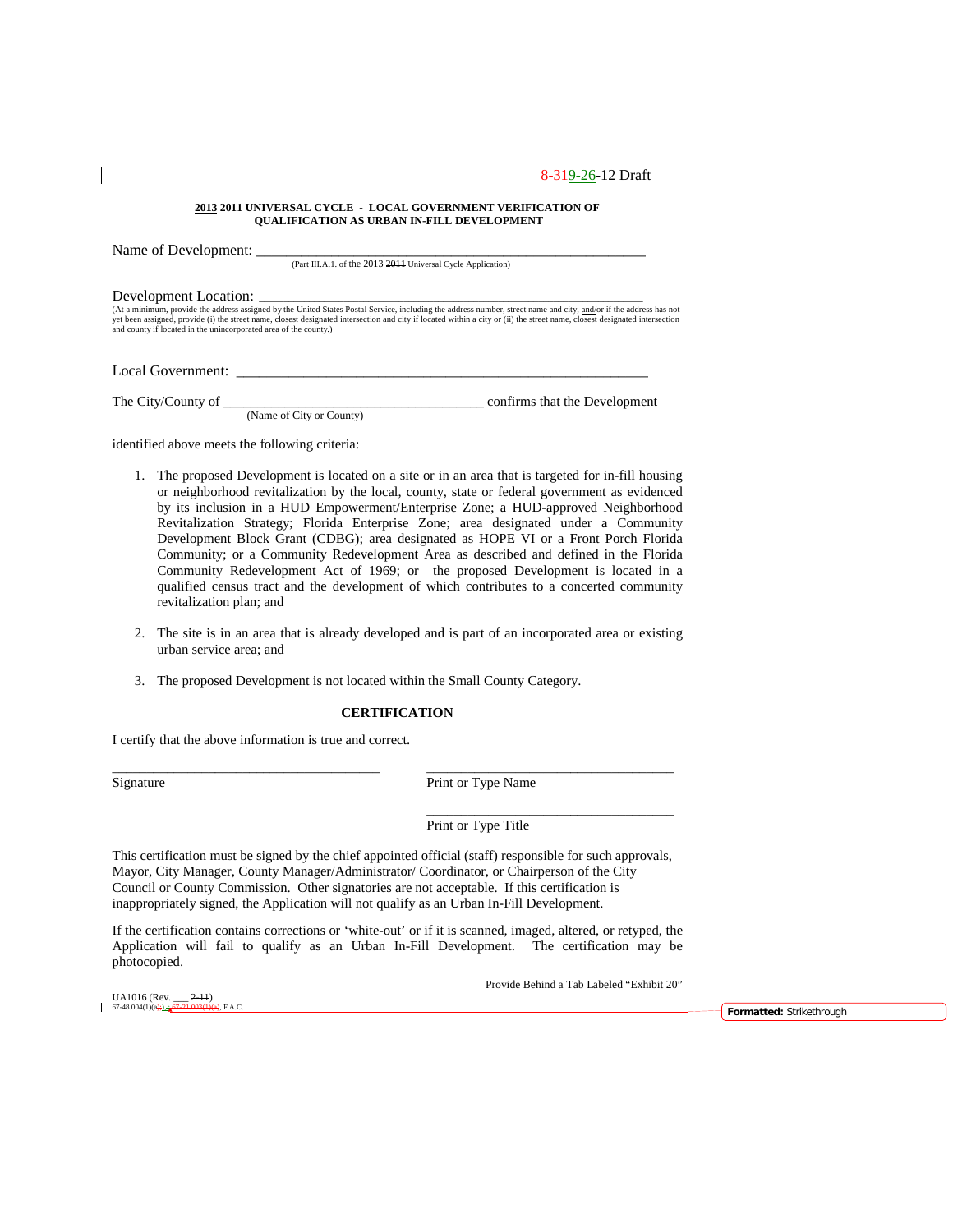#### **2013 2011 UNIVERSAL CYCLE - LOCAL GOVERNMENT VERIFICATION OF QUALIFICATION AS URBAN IN-FILL DEVELOPMENT**

| $\frac{1}{2}$                                                    | (Part III.A.1. of the 2013 2014 Universal Cycle Application) |                                                                                                                                                                                                                                                                                                                                                  |
|------------------------------------------------------------------|--------------------------------------------------------------|--------------------------------------------------------------------------------------------------------------------------------------------------------------------------------------------------------------------------------------------------------------------------------------------------------------------------------------------------|
|                                                                  |                                                              |                                                                                                                                                                                                                                                                                                                                                  |
| and county if located in the unincorporated area of the county.) |                                                              | (At a minimum, provide the address assigned by the United States Postal Service, including the address number, street name and city, and/or if the address has not<br>yet been assigned, provide (i) the street name, closest designated intersection and city if located within a city or (ii) the street name, closest designated intersection |
| Local Government:                                                |                                                              |                                                                                                                                                                                                                                                                                                                                                  |
| The City/County of                                               | (Name of City or County)                                     | confirms that the Development                                                                                                                                                                                                                                                                                                                    |
| $\cdots$ . The state of the state $\cdots$                       |                                                              |                                                                                                                                                                                                                                                                                                                                                  |

identified above meets the following criteria:

Name of Development:

- 1. The proposed Development is located on a site or in an area that is targeted for in-fill housing or neighborhood revitalization by the local, county, state or federal government as evidenced by its inclusion in a HUD Empowerment/Enterprise Zone; a HUD-approved Neighborhood Revitalization Strategy; Florida Enterprise Zone; area designated under a Community Development Block Grant (CDBG); area designated as HOPE VI or a Front Porch Florida Community; or a Community Redevelopment Area as described and defined in the Florida Community Redevelopment Act of 1969; or the proposed Development is located in a qualified census tract and the development of which contributes to a concerted community revitalization plan; and
- 2. The site is in an area that is already developed and is part of an incorporated area or existing urban service area; and
- 3. The proposed Development is not located within the Small County Category.

#### **CERTIFICATION**

\_\_\_\_\_\_\_\_\_\_\_\_\_\_\_\_\_\_\_\_\_\_\_\_\_\_\_\_\_\_\_\_\_\_\_\_\_\_\_ \_\_\_\_\_\_\_\_\_\_\_\_\_\_\_\_\_\_\_\_\_\_\_\_\_\_\_\_\_\_\_\_\_\_\_\_

I certify that the above information is true and correct.

UA1016 (Rev.  $\frac{2-11}{67-48.004(1)(a) + \frac{1}{24}}$  (67-21.003(1)(

Signature Print or Type Name

\_\_\_\_\_\_\_\_\_\_\_\_\_\_\_\_\_\_\_\_\_\_\_\_\_\_\_\_\_\_\_\_\_\_\_\_

Print or Type Title

This certification must be signed by the chief appointed official (staff) responsible for such approvals, Mayor, City Manager, County Manager/Administrator/ Coordinator, or Chairperson of the City Council or County Commission. Other signatories are not acceptable. If this certification is inappropriately signed, the Application will not qualify as an Urban In-Fill Development.

If the certification contains corrections or 'white-out' or if it is scanned, imaged, altered, or retyped, the Application will fail to qualify as an Urban In-Fill Development. The certification may be photocopied.

Provide Behind a Tab Labeled "Exhibit 20"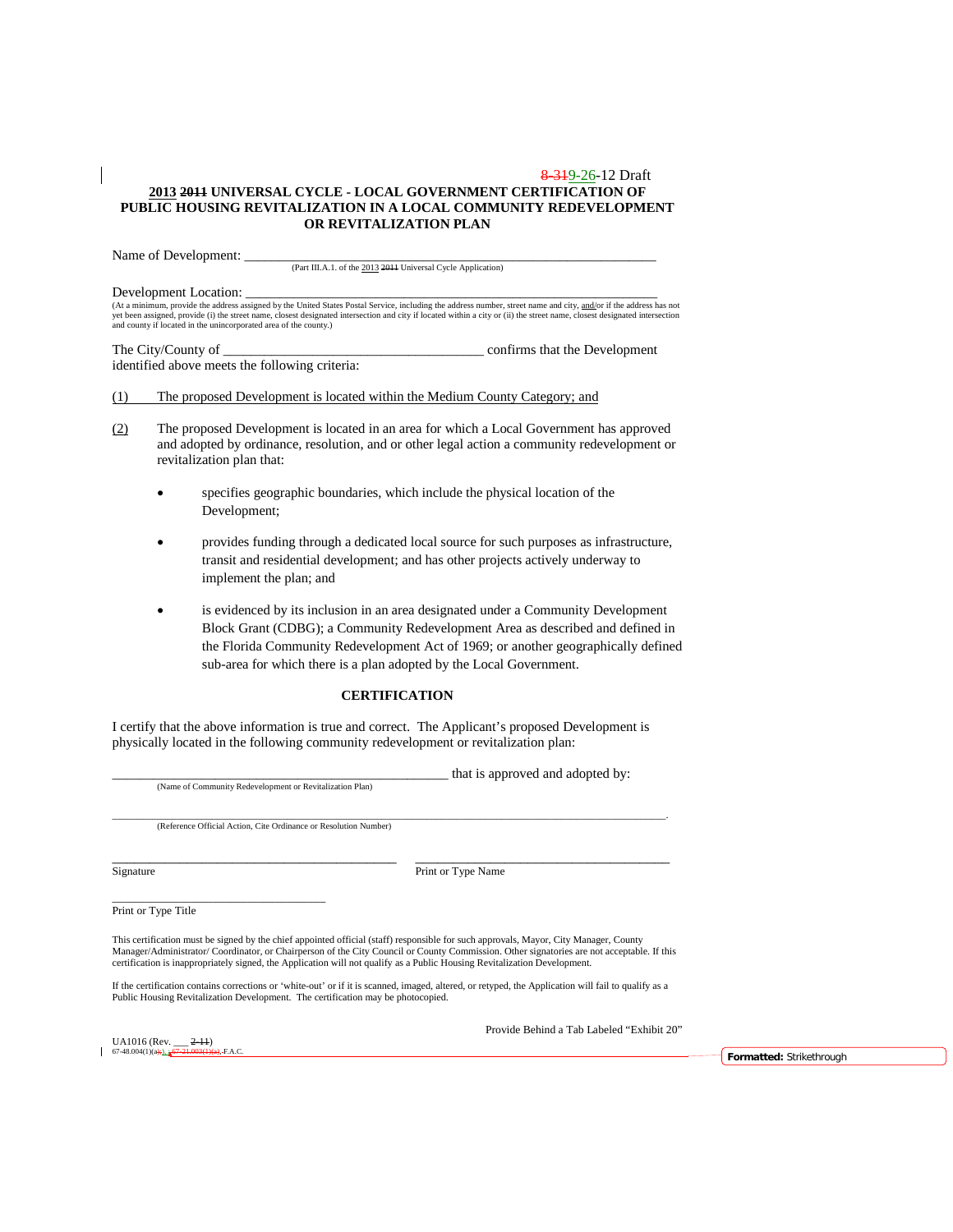#### 8 3 1 9 - 26 - 12 Draft **2013 2011 UNIVERSAL CYCLE - LOCAL GOVERNMENT CERTIFICATION OF PUBLIC HOUSING REVITALIZATION IN A LOCAL COMMUNITY REDEVELOPMENT OR REVITALIZATION PLAN**

Name of Development:

(Part III.A.1. of the 2013 2011 Universal Cycle Application)

Development Location:<br>(At a minimum, provide the address assigned by the United States Postal Service, including the address number, street name and city, <u>and/</u>or if the address has not yet been assigned, provide (i) the street name, closest designated intersection and city if located within a city or (ii) the street name, closest designated intersection<br>and county if located in the unincorporated area of

The City/County of \_\_\_\_\_\_\_\_\_\_\_\_\_\_\_\_\_\_\_\_\_\_\_\_\_\_\_\_\_\_\_\_\_\_\_\_\_\_ confirms that the Development identified above meets the following criteria:

(1) The proposed Development is located within the Medium County Category; and

- (2) The proposed Development is located in an area for which a Local Government has approved and adopted by ordinance, resolution, and or other legal action a community redevelopment or revitalization plan that:
	- specifies geographic boundaries, which include the physical location of the Development;
	- provides funding through a dedicated local source for such purposes as infrastructure, transit and residential development; and has other projects actively underway to implement the plan; and
	- is evidenced by its inclusion in an area designated under a Community Development Block Grant (CDBG); a Community Redevelopment Area as described and defined in the Florida Community Redevelopment Act of 1969; or another geographically defined sub-area for which there is a plan adopted by the Local Government.

### **CERTIFICATION**

I certify that the above information is true and correct. The Applicant's proposed Development is physically located in the following community redevelopment or revitalization plan:

(Name of Community Redevelopment or Revitalization Plan)

that is approved and adopted by:

\_\_\_\_\_\_\_\_\_\_\_\_\_\_\_\_\_\_\_\_\_\_\_\_\_\_\_\_\_\_\_\_\_\_\_\_\_\_\_\_\_\_\_\_\_\_\_\_\_\_\_\_\_\_\_\_\_\_\_\_\_\_\_\_\_\_\_\_\_\_\_\_\_\_\_\_\_\_\_\_\_\_\_\_\_\_\_\_\_\_\_\_\_\_\_\_\_\_\_\_\_\_\_\_\_\_\_\_\_\_\_. (Reference Official Action, Cite Ordinance or Resolution Number)

|  | signature |
|--|-----------|
|  |           |

\_\_\_\_\_\_\_\_\_\_\_\_\_\_\_\_\_\_\_\_\_\_\_\_\_\_\_\_\_\_\_\_\_\_\_\_\_\_ \_\_\_\_\_\_\_\_\_\_\_\_\_\_\_\_\_\_\_\_\_\_\_\_\_\_\_\_\_\_\_\_\_\_ Print or Type Name

\_\_\_\_\_\_\_\_\_\_\_\_\_\_\_\_\_\_\_\_\_\_\_\_\_\_\_\_\_\_\_\_\_\_\_\_\_\_ Print or Type Title

This certification must be signed by the chief appointed official (staff) responsible for such approvals, Mayor, City Manager, County Manager/Administrator/ Coordinator, or Chairperson of the City Council or County Commission. Other signatories are not acceptable. If this certification is inappropriately signed, the Application will not qualify as a Public Housing Revitalization Development.

If the certification contains corrections or 'white-out' or if it is scanned, imaged, altered, or retyped, the Application will fail to qualify as a Public Housing Revitalization Development. The certification may be photocopied.

UA1016 (Rev. \_\_\_ 2-11)

Provide Behind a Tab Labeled "Exhibit 20"

67-48.004(1)(a);), ; 67-21.003(1)(a), F.A.C. **Formatted:** Strikethrough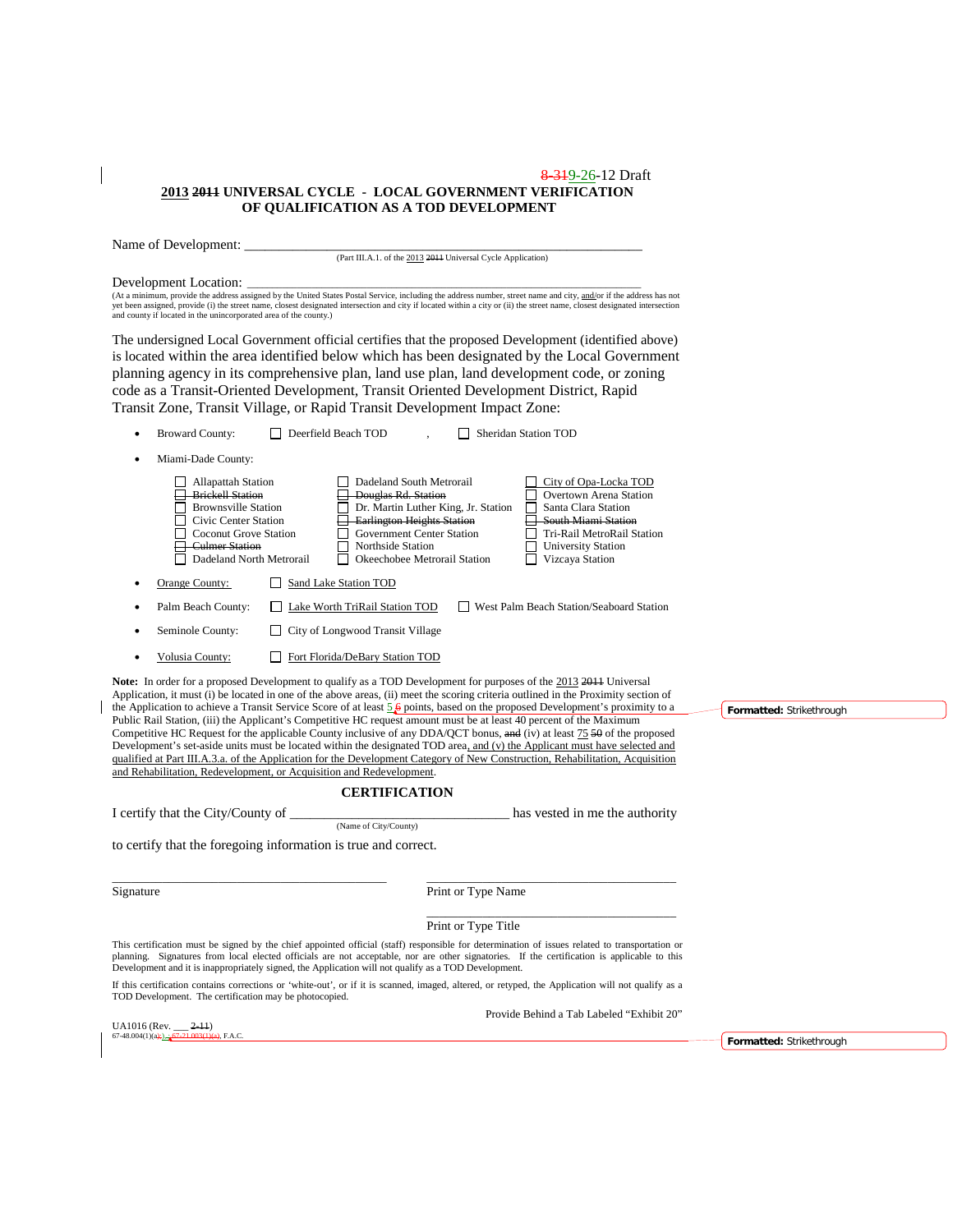#### 8-319-26-12 Draft **2013 2011 UNIVERSAL CYCLE - LOCAL GOVERNMENT VERIFICATION OF QUALIFICATION AS A TOD DEVELOPMENT**

Name of Development: \_\_\_\_\_\_\_\_\_\_\_\_\_\_\_\_\_\_\_\_\_\_\_\_\_\_\_\_\_\_\_\_\_\_\_\_\_\_\_\_\_\_\_\_\_\_\_\_\_\_\_\_\_\_\_\_\_\_

(Part III.A.1. of the 2013 2011 Universal Cycle Application)

Development Location:<br>(At a minimum, provide the address assigned by the United States Postal Service, including the address number, street name and city, and/or if the address has not<br>yet been assigned, provide (i) the st

The undersigned Local Government official certifies that the proposed Development (identified above) is located within the area identified below which has been designated by the Local Government planning agency in its comprehensive plan, land use plan, land development code, or zoning code as a Transit-Oriented Development, Transit Oriented Development District, Rapid Transit Zone, Transit Village, or Rapid Transit Development Impact Zone:

| ٠         | <b>Broward County:</b>                                                                                                                                                                          | Deerfield Beach TOD                                                                                                                                                                  |                                     | Sheridan Station TOD                                                                                                                                                                                                                                                                                                                                                                                                                                                                                                                                                                                                                                                                                                                                                                            |                          |
|-----------|-------------------------------------------------------------------------------------------------------------------------------------------------------------------------------------------------|--------------------------------------------------------------------------------------------------------------------------------------------------------------------------------------|-------------------------------------|-------------------------------------------------------------------------------------------------------------------------------------------------------------------------------------------------------------------------------------------------------------------------------------------------------------------------------------------------------------------------------------------------------------------------------------------------------------------------------------------------------------------------------------------------------------------------------------------------------------------------------------------------------------------------------------------------------------------------------------------------------------------------------------------------|--------------------------|
| $\bullet$ | Miami-Dade County:                                                                                                                                                                              |                                                                                                                                                                                      |                                     |                                                                                                                                                                                                                                                                                                                                                                                                                                                                                                                                                                                                                                                                                                                                                                                                 |                          |
|           | <b>Allapattah Station</b><br><b>Brickell Station</b><br><b>Brownsville Station</b><br>Civic Center Station<br><b>Coconut Grove Station</b><br><b>Culmer Station</b><br>Dadeland North Metrorail | Dadeland South Metrorail<br><b>Douglas Rd. Station</b><br><b>Earlington Heights Station</b><br><b>Government Center Station</b><br>Northside Station<br>Okeechobee Metrorail Station | Dr. Martin Luther King, Jr. Station | City of Opa-Locka TOD<br>Overtown Arena Station<br>Santa Clara Station<br>South Miami Station<br>Tri-Rail MetroRail Station<br><b>University Station</b><br>Vizcaya Station                                                                                                                                                                                                                                                                                                                                                                                                                                                                                                                                                                                                                     |                          |
|           | Orange County:                                                                                                                                                                                  | Sand Lake Station TOD                                                                                                                                                                |                                     |                                                                                                                                                                                                                                                                                                                                                                                                                                                                                                                                                                                                                                                                                                                                                                                                 |                          |
|           | Palm Beach County:                                                                                                                                                                              | Lake Worth TriRail Station TOD                                                                                                                                                       |                                     | West Palm Beach Station/Seaboard Station                                                                                                                                                                                                                                                                                                                                                                                                                                                                                                                                                                                                                                                                                                                                                        |                          |
|           | Seminole County:                                                                                                                                                                                | City of Longwood Transit Village                                                                                                                                                     |                                     |                                                                                                                                                                                                                                                                                                                                                                                                                                                                                                                                                                                                                                                                                                                                                                                                 |                          |
| $\bullet$ | Volusia County:                                                                                                                                                                                 | Fort Florida/DeBary Station TOD                                                                                                                                                      |                                     |                                                                                                                                                                                                                                                                                                                                                                                                                                                                                                                                                                                                                                                                                                                                                                                                 |                          |
|           | and Rehabilitation, Redevelopment, or Acquisition and Redevelopment.                                                                                                                            | <b>CERTIFICATION</b>                                                                                                                                                                 |                                     | Application, it must (i) be located in one of the above areas, (ii) meet the scoring criteria outlined in the Proximity section of<br>the Application to achieve a Transit Service Score of at least $5\cancel{6}$ points, based on the proposed Development's proximity to a<br>Public Rail Station, (iii) the Applicant's Competitive HC request amount must be at least 40 percent of the Maximum<br>Competitive HC Request for the applicable County inclusive of any DDA/QCT bonus, and (iv) at least 75 50 of the proposed<br>Development's set-aside units must be located within the designated TOD area, and (v) the Applicant must have selected and<br>qualified at Part III.A.3.a. of the Application for the Development Category of New Construction, Rehabilitation, Acquisition | Formatted: Strikethrough |
|           | I certify that the City/County of                                                                                                                                                               |                                                                                                                                                                                      |                                     | has vested in me the authority                                                                                                                                                                                                                                                                                                                                                                                                                                                                                                                                                                                                                                                                                                                                                                  |                          |
|           | to certify that the foregoing information is true and correct.                                                                                                                                  | (Name of City/County)                                                                                                                                                                |                                     |                                                                                                                                                                                                                                                                                                                                                                                                                                                                                                                                                                                                                                                                                                                                                                                                 |                          |
| Signature |                                                                                                                                                                                                 |                                                                                                                                                                                      | Print or Type Name                  |                                                                                                                                                                                                                                                                                                                                                                                                                                                                                                                                                                                                                                                                                                                                                                                                 |                          |
|           |                                                                                                                                                                                                 |                                                                                                                                                                                      | Print or Type Title                 |                                                                                                                                                                                                                                                                                                                                                                                                                                                                                                                                                                                                                                                                                                                                                                                                 |                          |
|           | Development and it is inappropriately signed, the Application will not qualify as a TOD Development.                                                                                            |                                                                                                                                                                                      |                                     | This certification must be signed by the chief appointed official (staff) responsible for determination of issues related to transportation or<br>planning. Signatures from local elected officials are not acceptable, nor are other signatories. If the certification is applicable to this                                                                                                                                                                                                                                                                                                                                                                                                                                                                                                   |                          |
|           | TOD Development. The certification may be photocopied.                                                                                                                                          |                                                                                                                                                                                      |                                     | If this certification contains corrections or 'white-out', or if it is scanned, imaged, altered, or retyped, the Application will not qualify as a                                                                                                                                                                                                                                                                                                                                                                                                                                                                                                                                                                                                                                              |                          |
|           | UA1016 (Rev. ___ <del>2-11</del> )                                                                                                                                                              |                                                                                                                                                                                      |                                     | Provide Behind a Tab Labeled "Exhibit 20"                                                                                                                                                                                                                                                                                                                                                                                                                                                                                                                                                                                                                                                                                                                                                       |                          |

67-48.004(1)(a);),  $\frac{1}{67}$ -21.003(1)(a), F.A.C.

 $\overline{\phantom{a}}$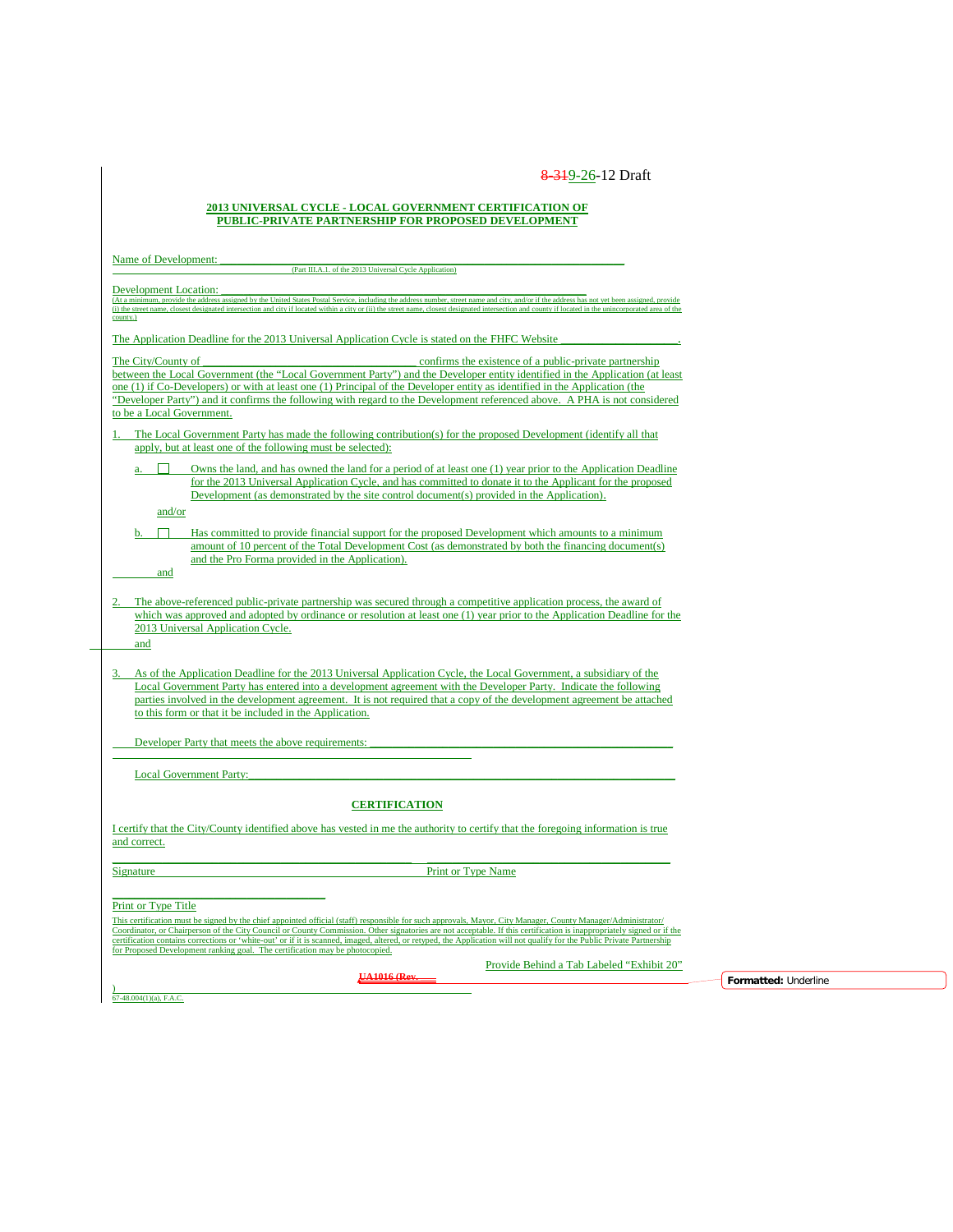#### **2013 UNIVERSAL CYCLE - LOCAL GOVERNMENT CERTIFICATION OF PUBLIC-PRIVATE PARTNERSHIP FOR PROPOSED DEVELOPMENT**

| (Part III.A.1. of the 2013 Universal Cycle Application)                                                                                                                                                                                                                                                                               |
|---------------------------------------------------------------------------------------------------------------------------------------------------------------------------------------------------------------------------------------------------------------------------------------------------------------------------------------|
| Development Location:                                                                                                                                                                                                                                                                                                                 |
| (At a minimum, provide the address assigned by the United States Postal Service, including the address number, street name and city, and/or if the address has not yet been assigned, provide                                                                                                                                         |
| (i) the street name, closest designated intersection and city if located within a city or (ii) the street name, closest designated intersection and county if located in the unincorporated area of the<br>county.)                                                                                                                   |
| The Application Deadline for the 2013 Universal Application Cycle is stated on the FHFC Website                                                                                                                                                                                                                                       |
|                                                                                                                                                                                                                                                                                                                                       |
| The City/County of<br>confirms the existence of a public-private partnership                                                                                                                                                                                                                                                          |
| between the Local Government (the "Local Government Party") and the Developer entity identified in the Application (at least<br>one (1) if Co-Developers) or with at least one (1) Principal of the Developer entity as identified in the Application (the                                                                            |
| "Developer Party") and it confirms the following with regard to the Development referenced above. A PHA is not considered                                                                                                                                                                                                             |
| to be a Local Government.                                                                                                                                                                                                                                                                                                             |
| The Local Government Party has made the following contribution(s) for the proposed Development (identify all that                                                                                                                                                                                                                     |
| apply, but at least one of the following must be selected):                                                                                                                                                                                                                                                                           |
| Owns the land, and has owned the land for a period of at least one (1) year prior to the Application Deadline                                                                                                                                                                                                                         |
| for the 2013 Universal Application Cycle, and has committed to donate it to the Applicant for the proposed                                                                                                                                                                                                                            |
| Development (as demonstrated by the site control document(s) provided in the Application).                                                                                                                                                                                                                                            |
| and/or                                                                                                                                                                                                                                                                                                                                |
| $\Box$<br>Has committed to provide financial support for the proposed Development which amounts to a minimum                                                                                                                                                                                                                          |
| amount of 10 percent of the Total Development Cost (as demonstrated by both the financing document(s)                                                                                                                                                                                                                                 |
| and the Pro Forma provided in the Application).                                                                                                                                                                                                                                                                                       |
| and                                                                                                                                                                                                                                                                                                                                   |
|                                                                                                                                                                                                                                                                                                                                       |
| The above-referenced public-private partnership was secured through a competitive application process, the award of<br>which was approved and adopted by ordinance or resolution at least one (1) year prior to the Application Deadline for the                                                                                      |
| 2013 Universal Application Cycle.                                                                                                                                                                                                                                                                                                     |
| and                                                                                                                                                                                                                                                                                                                                   |
|                                                                                                                                                                                                                                                                                                                                       |
| As of the Application Deadline for the 2013 Universal Application Cycle, the Local Government, a subsidiary of the                                                                                                                                                                                                                    |
| Local Government Party has entered into a development agreement with the Developer Party. Indicate the following<br>parties involved in the development agreement. It is not required that a copy of the development agreement be attached                                                                                            |
| to this form or that it be included in the Application.                                                                                                                                                                                                                                                                               |
|                                                                                                                                                                                                                                                                                                                                       |
| Developer Party that meets the above requirements:                                                                                                                                                                                                                                                                                    |
|                                                                                                                                                                                                                                                                                                                                       |
| <b>Local Government Party:</b>                                                                                                                                                                                                                                                                                                        |
|                                                                                                                                                                                                                                                                                                                                       |
| <b>CERTIFICATION</b>                                                                                                                                                                                                                                                                                                                  |
| I certify that the City/County identified above has vested in me the authority to certify that the foregoing information is true                                                                                                                                                                                                      |
| and correct.                                                                                                                                                                                                                                                                                                                          |
|                                                                                                                                                                                                                                                                                                                                       |
| Print or Type Name<br>Signature                                                                                                                                                                                                                                                                                                       |
|                                                                                                                                                                                                                                                                                                                                       |
| Print or Type Title                                                                                                                                                                                                                                                                                                                   |
| This certification must be signed by the chief appointed official (staff) responsible for such approvals, Mayor, City Manager, County Manager/Administrator/<br>Coordinator, or Chairperson of the City Council or County Commission. Other signatories are not acceptable. If this certification is inappropriately signed or if the |
| certification contains corrections or 'white-out' or if it is scanned, imaged, altered, or retyped, the Application will not qualify for the Public Private Partnership<br>for Proposed Development ranking goal. The certification may be photocopied.                                                                               |
|                                                                                                                                                                                                                                                                                                                                       |
| Provide Behind a Tab Labeled "Exhibit 20"                                                                                                                                                                                                                                                                                             |

**nderline**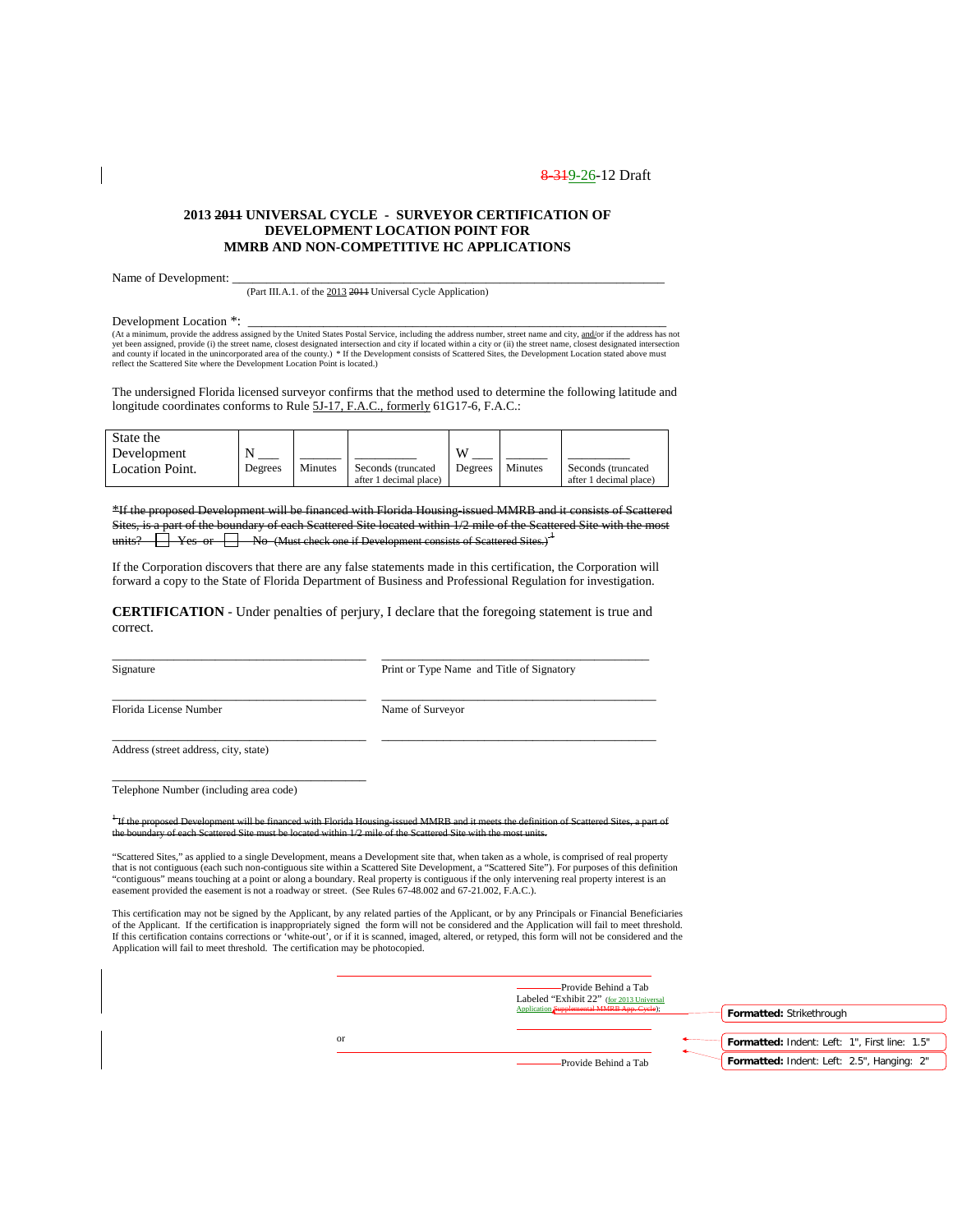#### **2013 2011 UNIVERSAL CYCLE - SURVEYOR CERTIFICATION OF DEVELOPMENT LOCATION POINT FOR MMRB AND NON-COMPETITIVE HC APPLICATIONS**

Name of Development:

(Part III.A.1. of the 2013 2011 Universal Cycle Application)

Development Location \*:

(At a minimum, provide the address assigned by the United States Postal Service, including the address number, street name and city, and/or if the address has not yet been assigned, provide (i) the street name, closest designated intersection and city if located within a city or (ii) the street name, closest designated intersection<br>and county if located in the unincorporated area of reflect the Scattered Site where the Development Location Point is located.)

The undersigned Florida licensed surveyor confirms that the method used to determine the following latitude and longitude coordinates conforms to Rule 5J-17, F.A.C., formerly 61G17-6, F.A.C.:

| State the       |         |         |                        |         |         |                        |
|-----------------|---------|---------|------------------------|---------|---------|------------------------|
| Development     |         |         |                        | w       |         |                        |
| Location Point. | Degrees | Minutes | Seconds (truncated)    | Degrees | Minutes | Seconds (truncated     |
|                 |         |         | after 1 decimal place) |         |         | after 1 decimal place) |

\*If the proposed Development will be financed with Florida Housing-issued MMRB and it consists of Scattered Sites, is a part of the boundary of each Scattered Site located within 1/2 mile of the Scattered Site with the most its?  $\Box$  Yes or  $\Box$  No (Must check one if Development consists of Scattered Sites.)

If the Corporation discovers that there are any false statements made in this certification, the Corporation will forward a copy to the State of Florida Department of Business and Professional Regulation for investigation.

**CERTIFICATION** - Under penalties of perjury, I declare that the foregoing statement is true and correct.

\_\_\_\_\_\_\_\_\_\_\_\_\_\_\_\_\_\_\_\_\_\_\_\_\_\_\_\_\_\_\_\_\_\_\_\_\_ \_\_\_\_\_\_\_\_\_\_\_\_\_\_\_\_\_\_\_\_\_\_\_\_\_\_\_\_\_\_\_\_\_\_\_\_\_\_\_ Signature Print or Type Name and Title of Signatory

Florida License Number Name of Surveyor

\_\_\_\_\_\_\_\_\_\_\_\_\_\_\_\_\_\_\_\_\_\_\_\_\_\_\_\_\_\_\_\_\_\_\_\_\_ \_\_\_\_\_\_\_\_\_\_\_\_\_\_\_\_\_\_\_\_\_\_\_\_\_\_\_\_\_\_\_\_\_\_\_\_\_\_\_\_

\_\_\_\_\_\_\_\_\_\_\_\_\_\_\_\_\_\_\_\_\_\_\_\_\_\_\_\_\_\_\_\_\_\_\_\_\_ \_\_\_\_\_\_\_\_\_\_\_\_\_\_\_\_\_\_\_\_\_\_\_\_\_\_\_\_\_\_\_\_\_\_\_\_\_\_\_\_ Address (street address, city, state)

\_\_\_\_\_\_\_\_\_\_\_\_\_\_\_\_\_\_\_\_\_\_\_\_\_\_\_\_\_\_\_\_\_\_\_\_\_ Telephone Number (including area code)

<sup>1</sup> If the proposed Development will be financed with Florida Housing-issued MMRB and it meets the definition of Scattered Sites, a part of the boundary of each Scattered Site must be located within 1/2 mile of the Scattered Site with the most units.

"Scattered Sites," as applied to a single Development, means a Development site that, when taken as a whole, is comprised of real property that is not contiguous (each such non-contiguous site within a Scattered Site Development, a "Scattered Site"). For purposes of this definition "contiguous" means touching at a point or along a boundary. Real property is contiguous if the only intervening real property interest is an<br>easement provided the easement is not a roadway or street. (See Rules 67-48.002 a

This certification may not be signed by the Applicant, by any related parties of the Applicant, or by any Principals or Financial Beneficiaries of the Applicant. If the certification is inappropriately signed the form will not be considered and the Application will fail to meet threshold.<br>If this certification contains corrections or 'white-out', or if it is scann Application will fail to meet threshold. The certification may be photocopied.

|    | -Provide Behind a Tab<br>Labeled "Exhibit 22" (for 2013 Universal<br>Application Supplemental MMRB App. Cycle); | Formatted: Strikethrough                      |
|----|-----------------------------------------------------------------------------------------------------------------|-----------------------------------------------|
| or |                                                                                                                 | Formatted: Indent: Left: 1", First line: 1.5" |
|    | -Provide Behind a Tab                                                                                           | Formatted: Indent: Left: 2.5", Hanging: 2"    |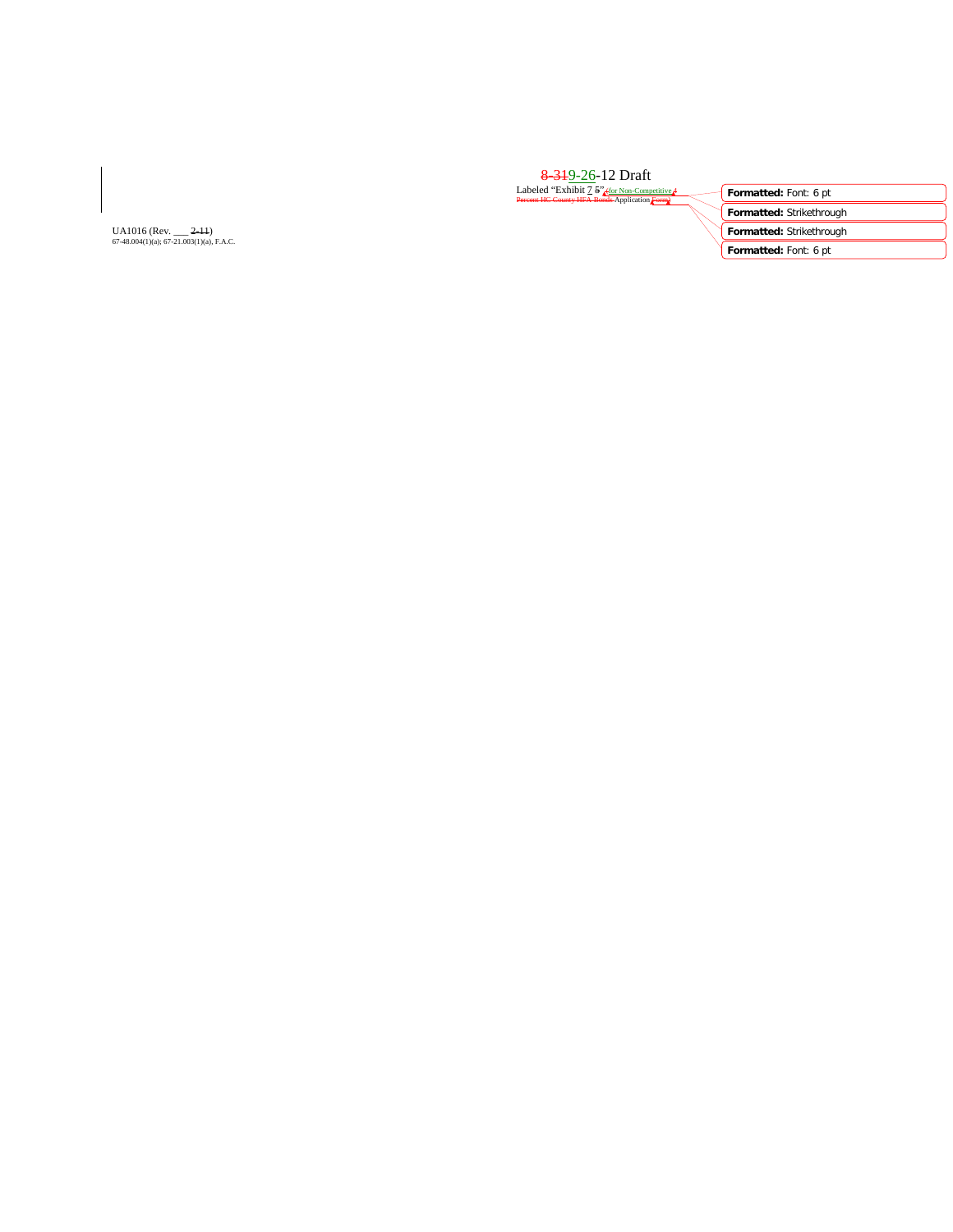| 8 3 19 - 26 - 12 Draft                                                                       |                          |
|----------------------------------------------------------------------------------------------|--------------------------|
| Labeled "Exhibit 7 5" (for Non-Competitive 4<br>Percent HC County HFA Bonds Application Form | Formatted: Font: 6 pt    |
|                                                                                              | Formatted: Strikethrough |
|                                                                                              | Formatted: Strikethrough |
|                                                                                              | Formatted: Font: 6 pt    |
|                                                                                              |                          |

UA1016 (Rev. \_\_\_ <del>2-11</del>)<br>67-48.004(1)(a); 67-21.003(1)(a), F.A.C.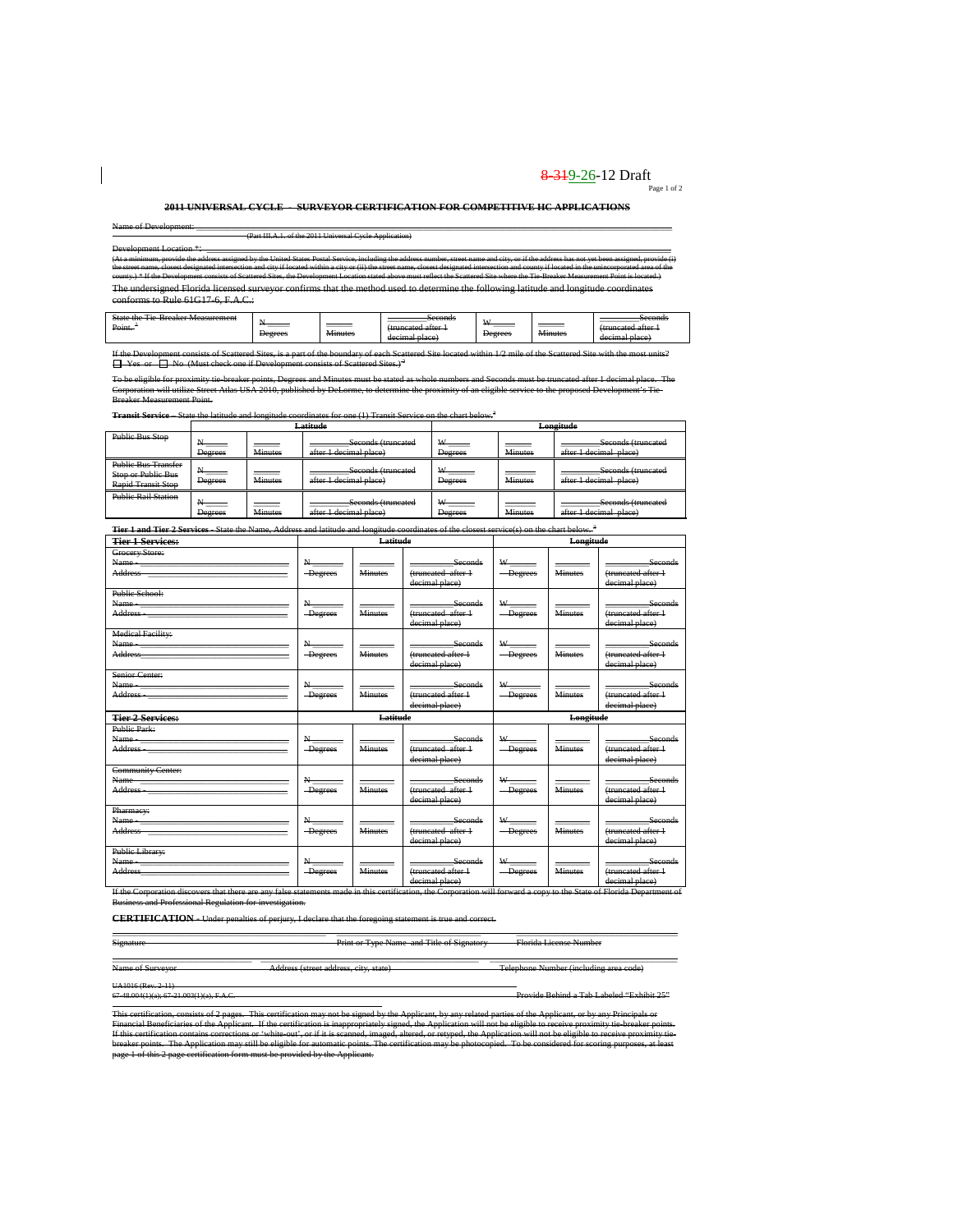# 8-319-26-12 Draft  $P_{\text{Page 1 of 2}}$

**2011 UNIVERSAL CYCLE - SURVEYOR CERTIFICATION FOR COMPETITIVE HC APPLICATIONS**

Name of Development: \_\_\_\_\_\_\_\_\_\_\_\_\_\_\_\_\_\_\_\_\_\_\_\_\_\_\_\_\_\_\_\_\_\_\_\_\_\_\_\_\_\_\_\_\_\_\_\_\_\_\_\_\_\_\_\_\_\_\_\_\_\_\_\_\_\_\_\_\_\_\_\_\_\_\_\_\_\_\_\_\_\_\_\_\_\_\_\_\_\_\_\_\_\_\_\_\_\_\_\_\_\_\_\_\_\_\_\_\_ (Part III.A.1. of the 2011 Universal Cycle Application)

 $\overline{\phantom{a}}$ 

Development Location \*:<br>(At a minimum, provide the address assigned by the United States Postal Service, including the address number, street name and city, or if the address has not yet been assigned, provide (i)<br>the stre county.) \* If the Development consists of Scattered Sites, the Development Location alased above must release the Scatte Measurement Point is located.)<br>The undersigned Florida licensed surveyor confirms that the method use conforms to Rule 61G17-6, F.A.C.:

|  | Ctota<br>$\sim$<br>'raakar Maasuramant<br><del>oute the Tie breaker wiedstrement</del><br>Point. | ______<br>Degrees | ______<br>$\ddot{\phantom{1}}$<br>Ainutac | Second<br>s <del>econu</del> s<br>termonted ottor<br><del>ummancu anci</del><br><b>nlaan</b><br>daarraal<br><del>uceman place</del> | $\mathbf{v}$<br>Degrees | $\cdots$<br><b>Minutes</b> | Second<br>s <del>econus</del><br>unaatad attar<br><del></del><br>$\alpha$ in the set of $\alpha$<br><del>uceman patec</del> |
|--|--------------------------------------------------------------------------------------------------|-------------------|-------------------------------------------|-------------------------------------------------------------------------------------------------------------------------------------|-------------------------|----------------------------|-----------------------------------------------------------------------------------------------------------------------------|
|--|--------------------------------------------------------------------------------------------------|-------------------|-------------------------------------------|-------------------------------------------------------------------------------------------------------------------------------------|-------------------------|----------------------------|-----------------------------------------------------------------------------------------------------------------------------|

If the Development consists of Scattered Sites, is a part of the boundary of each Scattered Site located within 1/2 mile of the Scattered Site with the most units?<br>□ Yes or □ No (Must check one if Development consists of

ble for proximity tie-breaker points, Degrees and Minutes must be stated as whole numbers and Seconds must be truncated after 1 decimal place. The<br>n will utilize Street Atlas USA 2010, published by DeLorme, to determine th will utilize Street Atlas USA 2010, published by DeLorme, to determine<br>surrement Point-Breaker Measurement Point.

**Transit Service** – State the latitude and longitude coordinates for one (1) Transit Service on the chart below.<sup>3</sup><br>**Latitude Longitude** 

|                                                                                      |                |                | <del>Latıtude</del>                                                              |                     |                | <del>Longitude</del>                                                              |
|--------------------------------------------------------------------------------------|----------------|----------------|----------------------------------------------------------------------------------|---------------------|----------------|-----------------------------------------------------------------------------------|
| <b>Public Bus Stop</b>                                                               | <b>Degrees</b> | <b>Minutes</b> | Seconds (truncated<br>after 1 decimal place)                                     | W<br><b>Degrees</b> | <b>Minutes</b> | Seconds (truncated<br>after 1 decimal place)<br><del>anci i uccinal biacc</del> ) |
| <b>Public Bus Transfer</b><br><b>Stop or Public Bus</b><br><b>Rapid Transit Stop</b> | Degrees        | <b>Minutes</b> | Seconds (truncated<br>after 1 decimal place)                                     | Degrees             | <b>Minutes</b> | Seconds (truncated<br>after I decimal place)                                      |
| <b>Public Rail Station</b>                                                           | <b>Degrees</b> | <b>Minutes</b> | Seconds (truncated<br>after 1 decimal place)<br><del>anci 1 ucennai piace.</del> | <b>Degrees</b>      | <b>Minutes</b> | Seconds (truncated<br>after 1 decimal place)<br><del>anci i uccinal biacc</del> ) |

| <b>Tier 1 and Tier 2 Services</b> State the Name, Address and latitude and longitude coordinates of the closest service(s) on the chart below. <sup>3</sup>                                                                                                                                                                                                                     |                              |                |                                                                   |                                                                    |                |                                                                   |  |
|---------------------------------------------------------------------------------------------------------------------------------------------------------------------------------------------------------------------------------------------------------------------------------------------------------------------------------------------------------------------------------|------------------------------|----------------|-------------------------------------------------------------------|--------------------------------------------------------------------|----------------|-------------------------------------------------------------------|--|
| <b>Tier 1 Services:</b>                                                                                                                                                                                                                                                                                                                                                         |                              | Latitude       |                                                                   |                                                                    | Longitude      |                                                                   |  |
| Grocery Store:<br>Name - The Commission of the Commission of the Commission of the Commission of the Commission of the Commission<br>Address and the contract of the contract of the contract of the contract of the contract of the contract of the contract of the contract of the contract of the contract of the contract of the contract of the contract of th             | N<br>-Degrees                | <b>Minutes</b> | Seconds<br>(truncated after 1<br>decimal place)                   | $W$ <sub>----</sub><br>-Degrees                                    | <b>Minutes</b> | Seconds<br>(truncated after 1<br>decimal place)                   |  |
| Public School:<br>Name - https://www.com/communications/communications/communications/communications/communications/communications/communications/communications/communications/communications/communications/communications/communications/comm<br>Address and the contract of the contract of the contract of the contract of the contract of the contract of the             | -Degrees                     | <b>Minutes</b> | <b>Seconds</b><br>(truncated after 1<br>decimal place)            | $W$ <sub>------</sub><br>-Degrees                                  | <b>Minutes</b> | Seconds<br>(truncated after 1<br>decimal place)                   |  |
| <b>Medical Facility:</b><br>Address <b>Management</b>                                                                                                                                                                                                                                                                                                                           | $N-$<br>-Degrees             | <b>Minutes</b> | <b>Seconds</b><br>(truncated after +<br>decimal place)            | $W_{\underline{\hspace{1cm}}\underline{\hspace{1cm}}}$<br>-Degrees | <b>Minutes</b> | <b>Seconds</b><br>(truncated after +<br>decimal place)            |  |
| Senior Center:<br>Name - 2000 - 2000 - 2000 - 2000 - 2000 - 2000 - 2000 - 2000 - 2000 - 2000 - 2000 - 2000 - 2000 - 2000 - 2000 - 2000 - 2000 - 2000 - 2000 - 2000 - 2000 - 2000 - 2000 - 2000 - 2000 - 2000 - 2000 - 2000 - 2000 - 2000 - 2000<br>Address and the contract of the contract of the contract of the contract of the contract of the contract of the              | $N_{-}$<br>-Degrees          | <b>Minutes</b> | Seconds<br>(truncated after 1<br>decimal place)                   | W<br>-Degrees                                                      | <b>Minutes</b> | Seconds<br>(truncated after 1<br>decimal place)                   |  |
|                                                                                                                                                                                                                                                                                                                                                                                 |                              |                |                                                                   |                                                                    |                |                                                                   |  |
| <b>Tier 2 Services:</b>                                                                                                                                                                                                                                                                                                                                                         |                              | Latitude       |                                                                   |                                                                    | Longitude      |                                                                   |  |
| Public Park:<br>Name                                                                                                                                                                                                                                                                                                                                                            | $N_{-}$<br>-Degrees          | <b>Minutes</b> | Seconds<br>(truncated after 1-                                    | $W =$<br>-Degrees                                                  | <b>Minutes</b> | Seconds<br>(truncated after 1                                     |  |
| <b>Community Center:</b><br>Address and the contract of the contract of the contract of the contract of the contract of the contract of the                                                                                                                                                                                                                                     | $N_{\text{max}}$<br>-Degrees | <b>Minutes</b> | decimal place)<br>Seconds<br>(truncated after 1<br>decimal place) | $W_{\frac{1}{2}}$<br>-Degrees                                      | <b>Minutes</b> | decimal place)<br>Seconds<br>(truncated after 1<br>decimal place) |  |
| Pharmacy:<br>Name - 2008 - 2009 - 2009 - 2010 - 2010 - 2010 - 2010 - 2010 - 2010 - 2010 - 2010 - 2010 - 2010 - 2010 - 2010<br>Address and the contract of the contract of the contract of the contract of the contract of the contract of the contract of the contract of the contract of the contract of the contract of the contract of the contract of th<br>Public Library: | $N-$<br>-Degrees             | <b>Minutes</b> | Seconds<br>(truncated after 1<br>decimal place)                   | $W$ <sub>___</sub><br>-Degrees                                     | <b>Minutes</b> | Seconds<br>(truncated after 1<br>decimal place)                   |  |

Business and Professional Regulation for investigation.

**CERTIFICATION** - Under penalties of perjury, I declare that the foregoing statement is true and correct.

\_\_\_\_\_\_\_\_\_\_\_\_\_\_\_\_\_\_\_\_\_\_\_\_\_\_\_\_\_\_\_\_\_\_\_\_\_\_\_\_\_\_\_\_\_\_\_\_\_ \_\_\_\_\_\_\_\_\_\_\_\_\_\_\_\_\_\_\_\_\_\_\_\_\_\_\_\_\_\_\_\_\_ \_\_\_\_\_\_\_\_\_\_\_\_\_\_\_\_\_\_\_\_\_\_\_\_\_\_\_\_\_\_\_\_\_\_\_\_\_ Signature Print or Type Name and Title of Signatory Florida License Number

\_\_\_\_\_\_\_\_\_\_\_\_\_\_\_\_\_\_\_\_\_\_\_\_\_\_\_\_\_\_\_\_ \_\_\_\_\_\_\_\_\_\_\_\_\_\_\_\_\_\_\_\_\_\_\_\_\_\_\_\_\_\_\_\_\_\_\_\_\_\_\_\_\_\_\_\_\_\_\_\_\_\_ \_\_\_\_\_\_\_\_\_\_\_\_\_\_\_\_\_\_\_\_\_\_\_\_\_\_\_\_\_\_\_\_\_\_\_\_\_\_\_\_\_\_\_ Name of Surveyor Address (street address, city, state) Telephone Number (including area code)

 $2.11$ 

67-48.004(1)(a); 67-21.003(1)(a), F.A.C. Provide Behind a Tab Labeled "Exhibit 25"

This certification, consists of 2-pages. "This certification may not be signed by the Applicant, by any related parties of the Applicant, or by any Principals or<br>Financial Beneficiaries of the Applicant. If the certificati breaker points. The Application may still be eligible for automatic points. The certification may be photocopied. To be considered for scoring purposes, at least<br>page 1 of this 2 page certification form must be provided by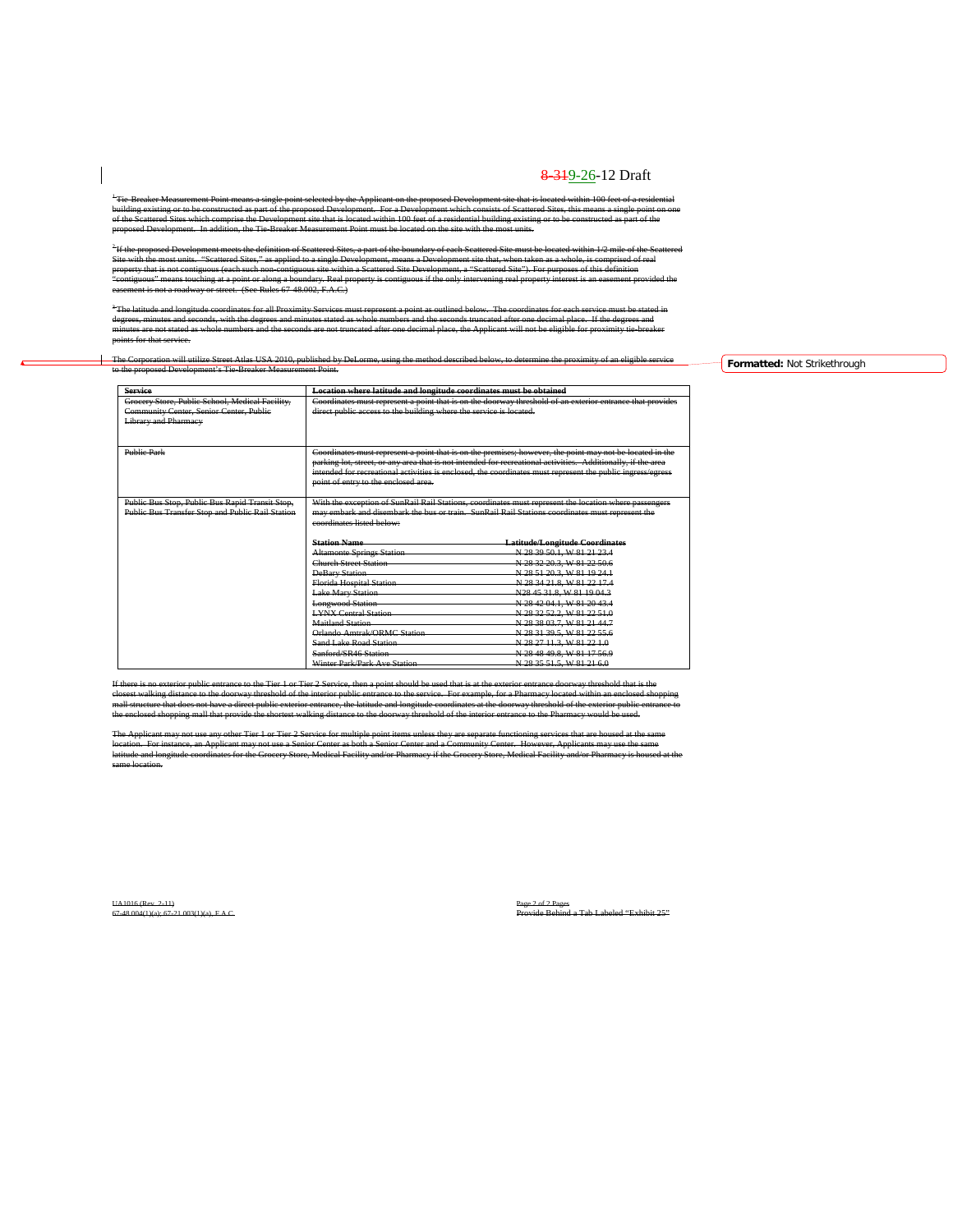<sup>1</sup> Tie-Breaker Measurement Point means a single point selected by the Applicant on the proposed Development site that is located within 100 feet of a residential building existing or to be constructed as part of the proposed Development. For a Development which consists of Scattered Sites, this means a single point on one of the Scattered Sites which comprise the Development site that is located within 100 feet of a residential building existing or to be constructed as part of the proposed Development. In addition, the Tie-Breaker Measurement Point must be located on the site with the most units.

<sup>2</sup> If the proposed Development meets the definition of Scattered Sites, a part of the boundary of each Scattered Site must be located within 1/2 mile of the Scattered Site with the most units. "Scattered Sites," as applied to a single Development, means a Development site that, when taken as a whole, is comprised of real property that is not contiguous (each such non-contiguous site within a Scattered Site Development, a "Scattered Site"). For purposes of this definition "contiguous" means touching at a point or along a boundary. Real property is contiguous if the only intervening real property interest is an easement provided the easement is not a roadway or street. (See Rules 67-48.002, F.A.C.)

 $^3$  The latitude and longitude coordinates for all Proximity Services must represent a point as outlined below. The coordinates for each service must be stated in degrees, minutes and seconds, with the degrees and minutes stated as whole numbers and the seconds truncated after one decimal place. If the degrees and minutes are not stated as whole numbers and the seconds are not truncated after one decimal place, the Applicant will not be eligible for proximity tie-breaker points for that service.

#### The Corporation will utilize Street Atlas USA 2010, published by DeLorme, using the method described below, to determine the proximity of an eligible service to the proposed Development's Tie-Breaker Measurement Point.

| <b>Service</b>                                   | Location where latitude and longitude coordinates must be obtained                                        |                                                                                                              |  |  |  |
|--------------------------------------------------|-----------------------------------------------------------------------------------------------------------|--------------------------------------------------------------------------------------------------------------|--|--|--|
| Grocery Store, Public School, Medical Facility,  | Coordinates must represent a point that is on the doorway threshold of an exterior entrance that provides |                                                                                                              |  |  |  |
| Community Center, Senior Center, Public          | direct public access to the building where the service is located.                                        |                                                                                                              |  |  |  |
| <b>Library and Pharmacy</b>                      |                                                                                                           |                                                                                                              |  |  |  |
|                                                  |                                                                                                           |                                                                                                              |  |  |  |
|                                                  |                                                                                                           |                                                                                                              |  |  |  |
| <b>Public Park</b>                               |                                                                                                           | Coordinates must represent a point that is on the premises; however, the point may not be located in the     |  |  |  |
|                                                  |                                                                                                           | parking lot, street, or any area that is not intended for recreational activities. Additionally, if the area |  |  |  |
|                                                  |                                                                                                           | intended for recreational activities is enclosed, the coordinates must represent the public ingress/egress   |  |  |  |
|                                                  | point of entry to the enclosed area.                                                                      |                                                                                                              |  |  |  |
|                                                  |                                                                                                           |                                                                                                              |  |  |  |
| Public Bus Stop, Public Bus Rapid Transit Stop,  |                                                                                                           | With the exception of SunRail Rail Stations, coordinates must represent the location where passengers        |  |  |  |
| Public Bus Transfer Stop and Public Rail Station | may embark and disembark the bus or train. SunRail Rail Stations coordinates must represent the           |                                                                                                              |  |  |  |
|                                                  | coordinates listed below:                                                                                 |                                                                                                              |  |  |  |
|                                                  |                                                                                                           |                                                                                                              |  |  |  |
|                                                  | <b>Station Name</b>                                                                                       | <b>Latitude/Longitude Coordinates</b>                                                                        |  |  |  |
|                                                  | <b>Altamonte Springs Station</b>                                                                          | N 28 39 50.1, W 81 21 23.4                                                                                   |  |  |  |
|                                                  | <b>Church Street Station</b>                                                                              | N 28 32 20 3, W 81 22 50 6                                                                                   |  |  |  |
|                                                  | <b>DeBary Station</b>                                                                                     | N 28 51 20 3, W 81 19 24 1                                                                                   |  |  |  |
|                                                  | <b>Florida Hospital Station</b>                                                                           | N 28 34 21.8, W 81 22 17.4                                                                                   |  |  |  |
|                                                  | <b>Lake Mary Station</b>                                                                                  | N28 45 31.8, W 81 19 04.3                                                                                    |  |  |  |
|                                                  | <b>Longwood Station</b>                                                                                   | N 28 42 04.1, W 81 20 43.4                                                                                   |  |  |  |
|                                                  | <b>LYNX Central Station</b>                                                                               | N 28 32 52.2, W 81 22 51.0                                                                                   |  |  |  |
|                                                  | <b>Maitland Station</b>                                                                                   | N 28 38 03 7, W 81 21 44 7                                                                                   |  |  |  |
|                                                  | Orlando Amtrak/ORMC Station                                                                               | N 28 31 39.5, W 81 22 55.6                                                                                   |  |  |  |
|                                                  | Sand Lake Road Station                                                                                    | N 28 27 11.3, W 81 22 1.0                                                                                    |  |  |  |
|                                                  | Sanford/SR46 Station                                                                                      | N 28 48 49.8, W 81 17 56.9                                                                                   |  |  |  |
|                                                  | Winter Park/Park Ave Station                                                                              | N 28 35 51 5, W 81 21 6.0                                                                                    |  |  |  |

If there is no exterior public entrance to the Tier 1 or Tier 2 Service, then a point should be used that is at the exterior entrance doorway threshold that is the closest walking distance to the doorway threshold of the interior public entrance to the service. For example, for a Pharmacy located within an enclosed shopping mall structure that does not have a direct public exterior entrance, the latitude and longitude coordinates at the doorway threshold of the exterior public entrance to the enclosed shopping mall that provide the shortest walking distance to the doorway threshold of the interior entrance to the Pharmacy would be used.

The Applicant may not use any other Tier 1 or Tier 2 Service for multiple point items unless they are separate functioning services that are housed at the same location. For instance, an Applicant may not use a Senior Center as both a Senior Center and a Community Center. However, Applicants may use the same latitude and longitude coordinates for the Grocery Store, Medical Facility and/or Pharmacy if the Grocery Store, Medical Facility and/or Pharmacy is housed at the same location.

UA1016 (Rev. 2-11) Page 2 of 2 Pages

67-48.004(1)(a); 67-21.003(1)(a), F.A.C. Provide Behind a Tab Labeled "Exhibit 25"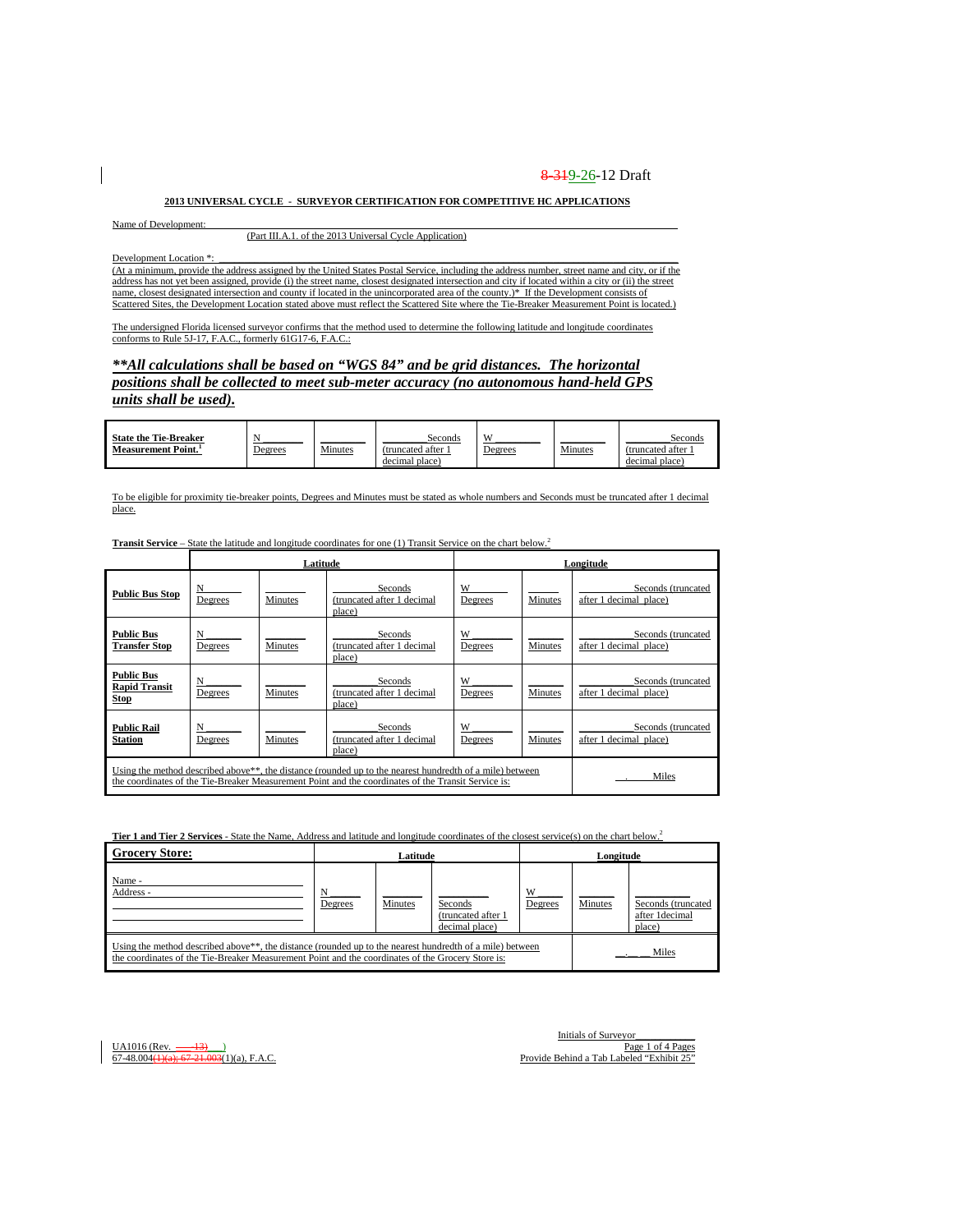#### **2013 UNIVERSAL CYCLE - SURVEYOR CERTIFICATION FOR COMPETITIVE HC APPLICATIONS**

Name of Development:

(Part III.A.1. of the 2013 Universal Cycle Application)

Development Location \*:

(At a minimum, provide the address assigned by the United States Postal Service, including the address number, street name and city, or if the address has not yet been assigned, provide (i) the street name, closest designated intersection and city if located within a city or (ii) the street name, closest designated intersection and county if located in the unincorporated area of the county.)\* If the Development consists of Scattered Sites, the Development Location stated above must reflect the Scattered Site where the Tie-Breaker Measurement Point is located.)

The undersigned Florida licensed surveyor confirms that the method used to determine the following latitude and longitude coordinates conforms to Rule 5J-17, F.A.C., formerly 61G17-6, F.A.C.:

### *\*\*All calculations shall be based on "WGS 84" and be grid distances. The horizontal positions shall be collected to meet sub-meter accuracy (no autonomous hand-held GPS units shall be used).*

| <b>State the Tie-Breaker</b><br>Measurement Point. <sup>1</sup> | <u>Degrees</u> | Minutes | Seconds<br>(truncated after<br>decimal place) | <b>II</b><br><u>Jegrees</u> | Minutes | Seconds<br>(truncated after<br>decimal place) |
|-----------------------------------------------------------------|----------------|---------|-----------------------------------------------|-----------------------------|---------|-----------------------------------------------|
|-----------------------------------------------------------------|----------------|---------|-----------------------------------------------|-----------------------------|---------|-----------------------------------------------|

To be eligible for proximity tie-breaker points, Degrees and Minutes must be stated as whole numbers and Seconds must be truncated after 1 decimal place.

**Transit Service – State the latitude and longitude coordinates for one (1) Transit Service on the chart below.<sup>2</sup>** 

|                                                          |              | Latitude       |                                                                                                                                                                                                                 |              |                | Longitude                                    |
|----------------------------------------------------------|--------------|----------------|-----------------------------------------------------------------------------------------------------------------------------------------------------------------------------------------------------------------|--------------|----------------|----------------------------------------------|
| <b>Public Bus Stop</b>                                   | N<br>Degrees | <b>Minutes</b> | Seconds<br>(truncated after 1 decimal<br>place)                                                                                                                                                                 | W<br>Degrees | <b>Minutes</b> | Seconds (truncated<br>after 1 decimal place) |
| <b>Public Bus</b><br><b>Transfer Stop</b>                | N<br>Degrees | Minutes        | Seconds<br>(truncated after 1 decimal<br>place)                                                                                                                                                                 | W<br>Degrees | <b>Minutes</b> | Seconds (truncated<br>after 1 decimal place) |
| <b>Public Bus</b><br><b>Rapid Transit</b><br><b>Stop</b> | N<br>Degrees | <b>Minutes</b> | Seconds<br>(truncated after 1 decimal<br>place)                                                                                                                                                                 | W<br>Degrees | Minutes        | Seconds (truncated<br>after 1 decimal place) |
| <b>Public Rail</b><br><b>Station</b>                     | N<br>Degrees | <b>Minutes</b> | Seconds<br>(truncated after 1 decimal<br>place)                                                                                                                                                                 | W<br>Degrees | <b>Minutes</b> | Seconds (truncated<br>after 1 decimal place) |
|                                                          |              |                | Using the method described above**, the distance (rounded up to the nearest hundredth of a mile) between<br>the coordinates of the Tie-Breaker Measurement Point and the coordinates of the Transit Service is: |              |                | Miles                                        |

**Tier 1 and Tier 2 Services** - State the Name, Address and latitude and longitude coordinates of the closest service(s) on the chart below.2

| <b>Grocery Store:</b>                                                                                                                                                                                                      |              | Latitude |                                                  |              | Longitude |                                                |
|----------------------------------------------------------------------------------------------------------------------------------------------------------------------------------------------------------------------------|--------------|----------|--------------------------------------------------|--------------|-----------|------------------------------------------------|
| Name -<br>Address -                                                                                                                                                                                                        | N<br>Degrees | Minutes  | Seconds<br>(truncated after 1)<br>decimal place) | W<br>Degrees | Minutes   | Seconds (truncated<br>after 1decimal<br>place) |
| Using the method described above <sup>**</sup> , the distance (rounded up to the nearest hundredth of a mile) between<br>the coordinates of the Tie-Breaker Measurement Point and the coordinates of the Grocery Store is: |              |          |                                                  |              |           | Miles                                          |

Initials of Surveyor<br>Page 1 of 4 Pages UA1016 (Rev. <u>----13) )</u><br>"13 Page 1 of 4 Pages 1 of 4 Pages 1 of 4 Pages 1 of 4 Pages 1 of 4 Pages 1 of 4 Pages 1 of 4 Pages 1 of 4 Pages 1 of 4 Pages 1 of 4 Pages 1 of 4 Pages 1 of 4 Pages 1 of 4 Pages 1 of 4 Pages 1 of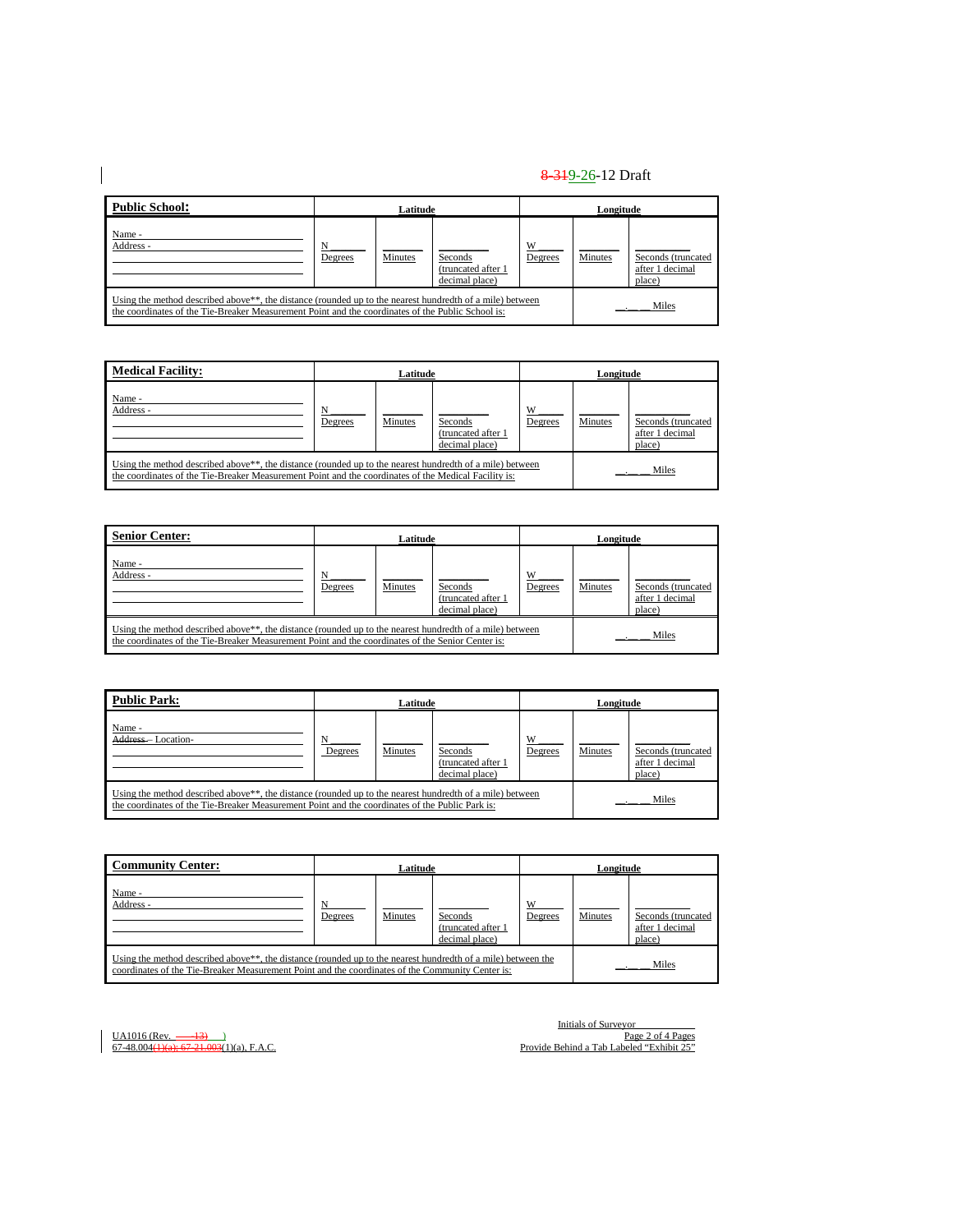| <b>Public School:</b>                                                                                                                                                                                                      |         | Latitude |                                                 |              | Longitude |                                                 |
|----------------------------------------------------------------------------------------------------------------------------------------------------------------------------------------------------------------------------|---------|----------|-------------------------------------------------|--------------|-----------|-------------------------------------------------|
| Name -<br>Address -                                                                                                                                                                                                        | Degrees | Minutes  | Seconds<br>(truncated after 1<br>decimal place) | W<br>Degrees | Minutes   | Seconds (truncated<br>after 1 decimal<br>place) |
| Using the method described above <sup>**</sup> , the distance (rounded up to the nearest hundredth of a mile) between<br>the coordinates of the Tie-Breaker Measurement Point and the coordinates of the Public School is: |         |          |                                                 |              |           | Miles                                           |

| <b>Medical Facility:</b>                                                                                                                                                                                                      |         | Latitude       |                                                  |              | Longitude |                                                 |
|-------------------------------------------------------------------------------------------------------------------------------------------------------------------------------------------------------------------------------|---------|----------------|--------------------------------------------------|--------------|-----------|-------------------------------------------------|
| Name -<br>Address -                                                                                                                                                                                                           | Degrees | <b>Minutes</b> | Seconds<br>(truncated after 1)<br>decimal place) | W<br>Degrees | Minutes   | Seconds (truncated<br>after 1 decimal<br>place) |
| Using the method described above <sup>**</sup> , the distance (rounded up to the nearest hundredth of a mile) between<br>the coordinates of the Tie-Breaker Measurement Point and the coordinates of the Medical Facility is: |         |                |                                                  |              |           | Miles                                           |

| <b>Senior Center:</b>                                                                                                                                                                                                      | Latitude     |         |                                                 | Longitude    |         |                                                 |
|----------------------------------------------------------------------------------------------------------------------------------------------------------------------------------------------------------------------------|--------------|---------|-------------------------------------------------|--------------|---------|-------------------------------------------------|
| Name -<br>Address -                                                                                                                                                                                                        | N<br>Degrees | Minutes | Seconds<br>(truncated after 1<br>decimal place) | W<br>Degrees | Minutes | Seconds (truncated<br>after 1 decimal<br>place) |
| Using the method described above <sup>**</sup> , the distance (rounded up to the nearest hundredth of a mile) between<br>the coordinates of the Tie-Breaker Measurement Point and the coordinates of the Senior Center is: |              |         |                                                 |              |         | Miles                                           |

| <b>Public Park:</b>         | Latitude                                                                                                                                                                                                                 |                |                                                 |              | Longitude |                                                 |  |
|-----------------------------|--------------------------------------------------------------------------------------------------------------------------------------------------------------------------------------------------------------------------|----------------|-------------------------------------------------|--------------|-----------|-------------------------------------------------|--|
| Name -<br>Address-Location- | Degrees                                                                                                                                                                                                                  | <b>Minutes</b> | Seconds<br>(truncated after 1<br>decimal place) | W<br>Degrees | Minutes   | Seconds (truncated<br>after 1 decimal<br>place) |  |
|                             | Using the method described above <sup>**</sup> , the distance (rounded up to the nearest hundredth of a mile) between<br>the coordinates of the Tie-Breaker Measurement Point and the coordinates of the Public Park is: |                |                                                 |              | Miles     |                                                 |  |

| <b>Community Center:</b> | Latitude                                                                                                                                                                                                                               |         |                                                  |              | Longitude      |                                                 |  |
|--------------------------|----------------------------------------------------------------------------------------------------------------------------------------------------------------------------------------------------------------------------------------|---------|--------------------------------------------------|--------------|----------------|-------------------------------------------------|--|
| Name -<br>Address -      | <b>Degrees</b>                                                                                                                                                                                                                         | Minutes | Seconds<br>(truncated after 1)<br>decimal place) | W<br>Degrees | <b>Minutes</b> | Seconds (truncated<br>after 1 decimal<br>place) |  |
|                          | Using the method described above <sup>**</sup> , the distance (rounded up to the nearest hundredth of a mile) between the<br>Miles<br>coordinates of the Tie-Breaker Measurement Point and the coordinates of the Community Center is: |         |                                                  |              |                |                                                 |  |

 $\overline{\phantom{a}}$ 

Initials of Surveyor\_\_\_\_\_\_\_\_\_\_\_\_ UA1016 (Rev. \_\_\_-13)\_\_\_) Page 2 of 4 Pages 67-48.004(1)(a); 67-21.003(1)(a), F.A.C. Provide Behind a Tab Labeled "Exhibit 25"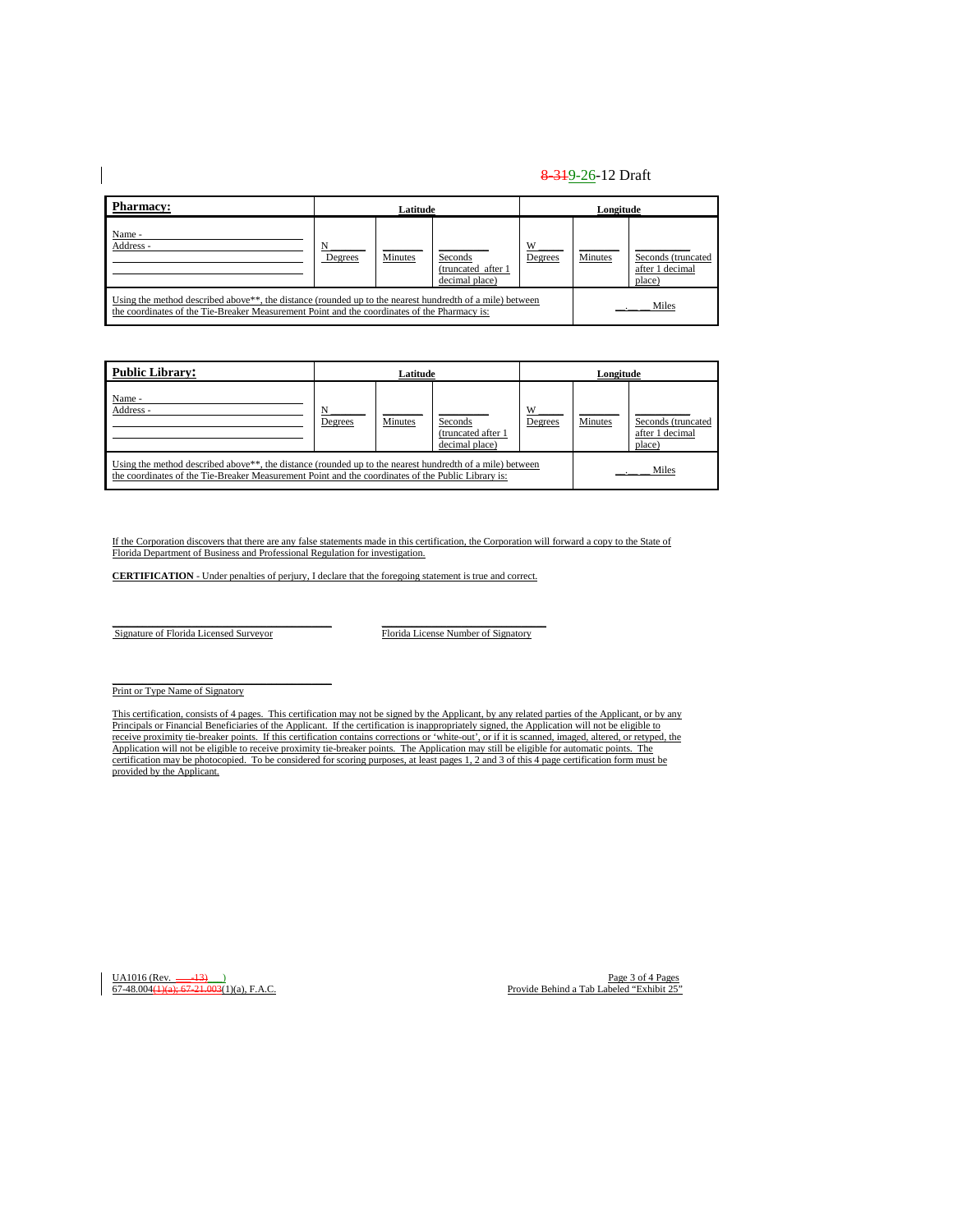| <b>Pharmacy:</b>    | Latitude                                                                                                                                                                                                              |         |                                                  |              | Longitude |                                                 |  |
|---------------------|-----------------------------------------------------------------------------------------------------------------------------------------------------------------------------------------------------------------------|---------|--------------------------------------------------|--------------|-----------|-------------------------------------------------|--|
| Name -<br>Address - | Degrees                                                                                                                                                                                                               | Minutes | Seconds<br>(truncated after 1)<br>decimal place) | W<br>Degrees | Minutes   | Seconds (truncated<br>after 1 decimal<br>place) |  |
|                     | Using the method described above <sup>**</sup> , the distance (rounded up to the nearest hundredth of a mile) between<br>the coordinates of the Tie-Breaker Measurement Point and the coordinates of the Pharmacy is: |         |                                                  |              | Miles     |                                                 |  |

| <b>Public Library:</b>                                                                                                                                                                                                      | Latitude     |         |                                                 | Longitude    |         |                                                 |
|-----------------------------------------------------------------------------------------------------------------------------------------------------------------------------------------------------------------------------|--------------|---------|-------------------------------------------------|--------------|---------|-------------------------------------------------|
| Name -<br>Address -                                                                                                                                                                                                         | N<br>Degrees | Minutes | Seconds<br>(truncated after 1<br>decimal place) | W<br>Degrees | Minutes | Seconds (truncated<br>after 1 decimal<br>place) |
| Using the method described above <sup>**</sup> , the distance (rounded up to the nearest hundredth of a mile) between<br>the coordinates of the Tie-Breaker Measurement Point and the coordinates of the Public Library is: |              |         |                                                 |              | Miles   |                                                 |

If the Corporation discovers that there are any false statements made in this certification, the Corporation will forward a copy to the State of Florida Department of Business and Professional Regulation for investigation.

**CERTIFICATION** - Under penalties of perjury, I declare that the foregoing statement is true and correct.

Signature of Florida Licensed Surveyor Florida License Number of Signatory

Print or Type Name of Signatory

This certification, consists of 4 pages. This certification may not be signed by the Applicant, by any related parties of the Applicant, or by any Principals or Financial Beneficiaries of the Applicant. If the certification is inappropriately signed, the Application will not be eligible to receive proximity tie-breaker points. If this certification contains corrections or 'white-out', or if it is scanned, imaged, altered, or retyped, the<br>Application will not be eligible to receive proximity tie-breaker point certification may be photocopied. To be considered for scoring purposes, at least pages 1, 2 and 3 of this 4 page certification form must be provided by the Applicant.

UA1016 (Rev. <u>---13)</u><br>
<u>Provide Behind a Tab Labeled "Exhibit 25"</u> Provide Behind a Tab Labeled "Exhibit 25"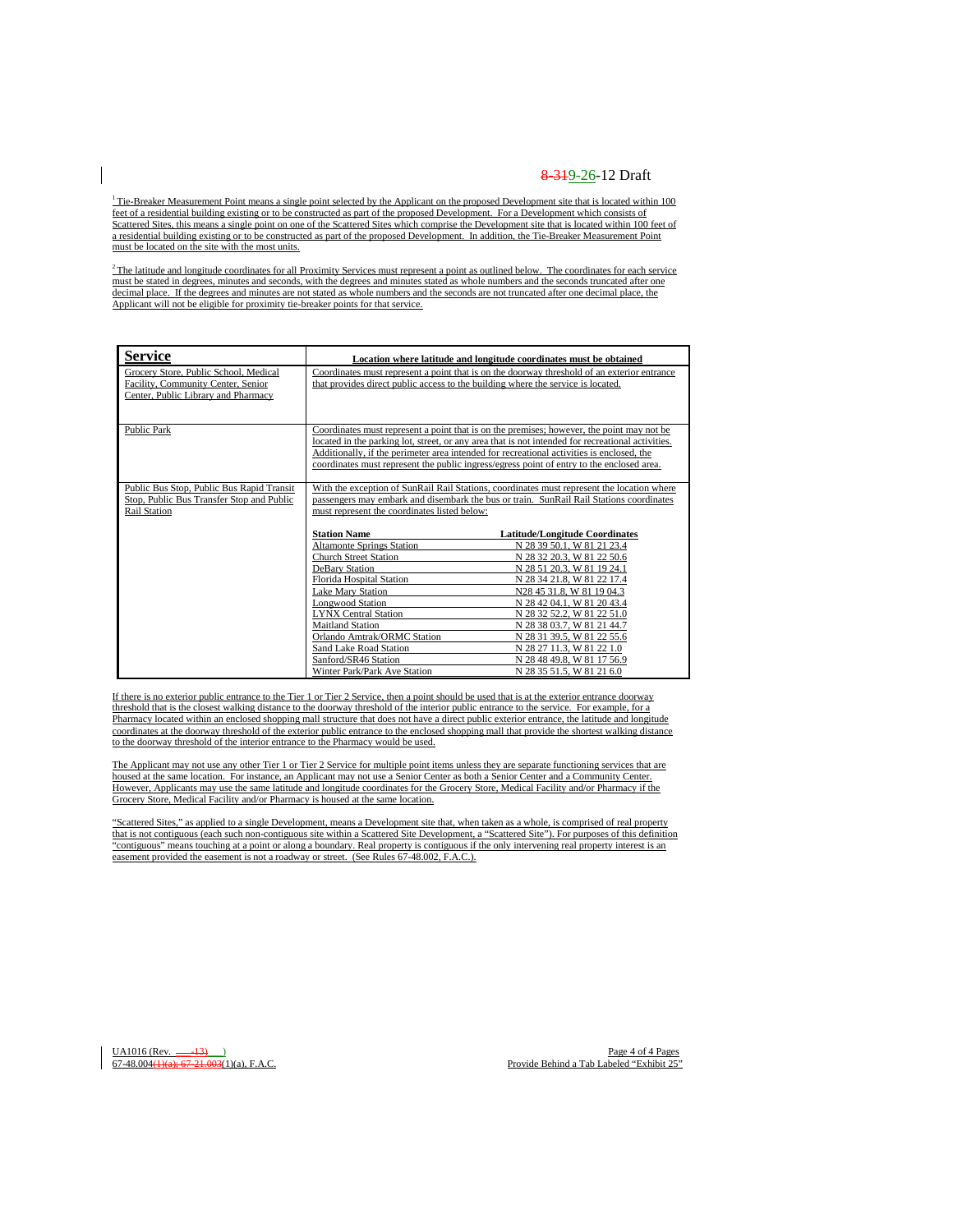$1$ <sup>1</sup> Tie-Breaker Measurement Point means a single point selected by the Applicant on the proposed Development site that is located within 100 feet of a residential building existing or to be constructed as part of the proposed Development. For a Development which consists of Scattered Sites, this means a single point on one of the Scattered Sites which comprise the Development site that is located within 100 feet of a residential building existing or to be constructed as part of the proposed Development. In addition, the Tie-Breaker Measurement Point must be located on the site with the most units.

 $2$ The latitude and longitude coordinates for all Proximity Services must represent a point as outlined below. The coordinates for each service must be stated in degrees, minutes and seconds, with the degrees and minutes stated as whole numbers and the seconds truncated after one decimal place. If the degrees and minutes are not stated as whole numbers and the seconds are not truncated after one decimal place, the Applicant will not be eligible for proximity tie-breaker points for that service.

| <b>Service</b>                                                                                                     |                                                                                                                                                                                                                                                                                                                                                                         | Location where latitude and longitude coordinates must be obtained                                                                                                                                                                                                                                                                                                                                         |  |
|--------------------------------------------------------------------------------------------------------------------|-------------------------------------------------------------------------------------------------------------------------------------------------------------------------------------------------------------------------------------------------------------------------------------------------------------------------------------------------------------------------|------------------------------------------------------------------------------------------------------------------------------------------------------------------------------------------------------------------------------------------------------------------------------------------------------------------------------------------------------------------------------------------------------------|--|
| Grocery Store, Public School, Medical<br>Facility, Community Center, Senior<br>Center, Public Library and Pharmacy | that provides direct public access to the building where the service is located.                                                                                                                                                                                                                                                                                        | Coordinates must represent a point that is on the doorway threshold of an exterior entrance                                                                                                                                                                                                                                                                                                                |  |
| Public Park                                                                                                        |                                                                                                                                                                                                                                                                                                                                                                         | Coordinates must represent a point that is on the premises; however, the point may not be<br>located in the parking lot, street, or any area that is not intended for recreational activities.<br>Additionally, if the perimeter area intended for recreational activities is enclosed, the<br>coordinates must represent the public ingress/egress point of entry to the enclosed area.                   |  |
| Public Bus Stop, Public Bus Rapid Transit<br>Stop, Public Bus Transfer Stop and Public<br><b>Rail Station</b>      | With the exception of SunRail Rail Stations, coordinates must represent the location where<br>passengers may embark and disembark the bus or train. SunRail Rail Stations coordinates<br>must represent the coordinates listed below:                                                                                                                                   |                                                                                                                                                                                                                                                                                                                                                                                                            |  |
|                                                                                                                    | <b>Station Name</b><br><b>Altamonte Springs Station</b><br><b>Church Street Station</b><br>DeBary Station<br>Florida Hospital Station<br><b>Lake Mary Station</b><br><b>Longwood Station</b><br><b>LYNX Central Station</b><br><b>Maitland Station</b><br>Orlando Amtrak/ORMC Station<br>Sand Lake Road Station<br>Sanford/SR46 Station<br>Winter Park/Park Ave Station | <b>Latitude/Longitude Coordinates</b><br>N 28 39 50.1, W 81 21 23.4<br>N 28 32 20.3, W 81 22 50.6<br>N 28 51 20.3, W 81 19 24.1<br>N 28 34 21.8, W 81 22 17.4<br>N28 45 31.8, W 81 19 04.3<br>N 28 42 04.1, W 81 20 43.4<br>N 28 32 52.2, W 81 22 51.0<br>N 28 38 03.7, W 81 21 44.7<br>N 28 31 39.5, W 81 22 55.6<br>N 28 27 11.3, W 81 22 1.0<br>N 28 48 49.8, W 81 17 56.9<br>N 28 35 51.5, W 81 21 6.0 |  |

If there is no exterior public entrance to the Tier 1 or Tier 2 Service, then a point should be used that is at the exterior entrance doorway threshold that is the closest walking distance to the doorway threshold of the interior public entrance to the service. For example, for a Pharmacy located within an enclosed shopping mall structure that does not have a direct public exterior entrance, the latitude and longitude coordinates at the doorway threshold of the exterior public entrance to the enclosed shopping mall that provide the shortest walking distance to the doorway threshold of the interior entrance to the Pharmacy would be used.

The Applicant may not use any other Tier 1 or Tier 2 Service for multiple point items unless they are separate functioning services that are housed at the same location. For instance, an Applicant may not use a Senior Center as both a Senior Center and a Community Center. However, Applicants may use the same latitude and longitude coordinates for the Grocery Store, Medical Facility and/or Pharmacy if the Grocery Store, Medical Facility and/or Pharmacy is housed at the same location.

"Scattered Sites," as applied to a single Development, means a Development site that, when taken as a whole, is comprised of real property that is not contiguous (each such non-contiguous site within a Scattered Site Development, a "Scattered Site"). For purposes of this definition "contiguous" means touching at a point or along a boundary. Real property is contiguous if the only intervening real property interest is an easement provided the easement is not a roadway or street. (See Rules 67-48.002, F.A.C.).

UA1016 (Rev.  $\frac{-13}{2}$ )<br>
<u>67-48.004(1)(a); 67-21.003(1)(a), F.A.C.</u><br>
Provide Behind a Tab Labeled "Exhibit 25"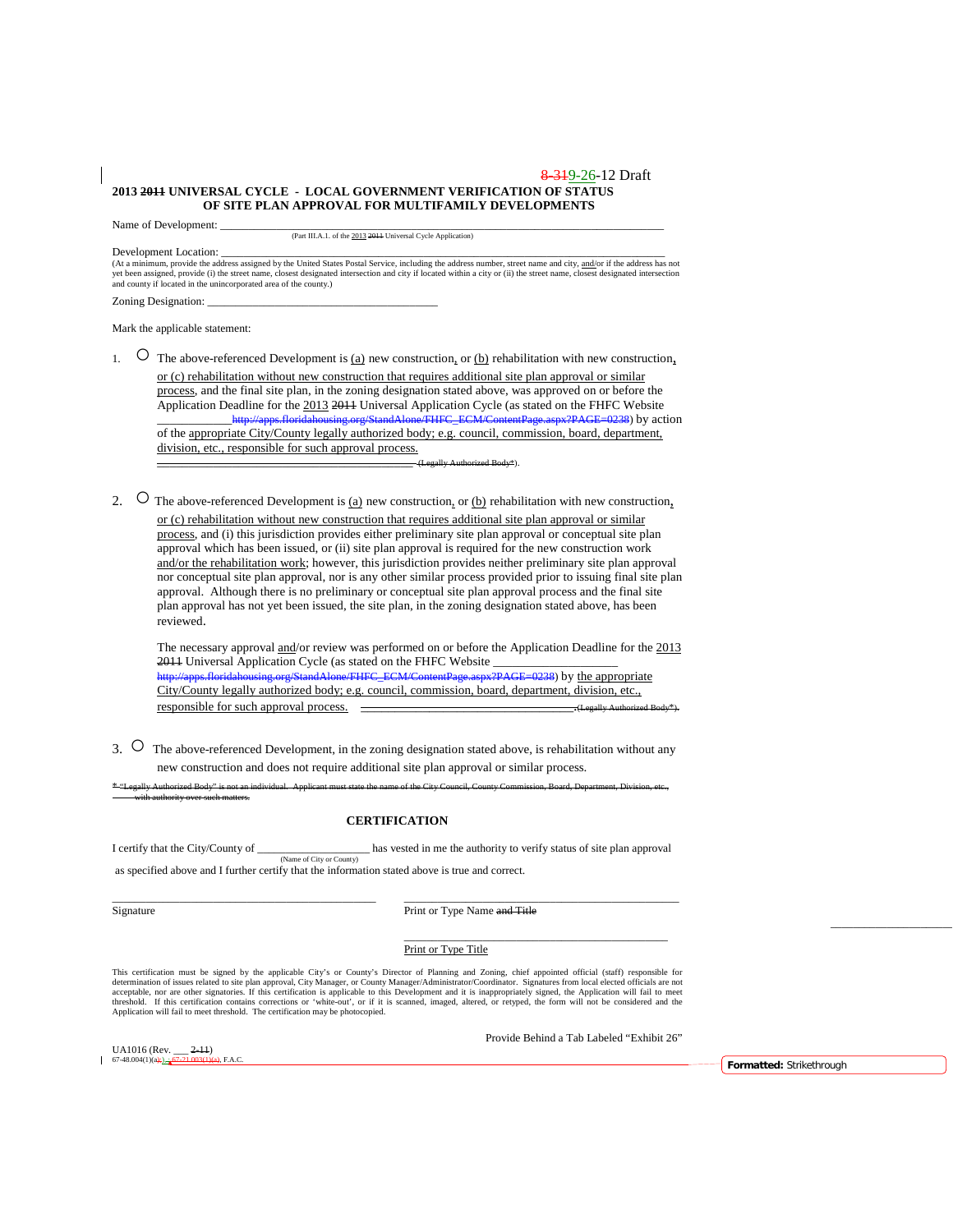#### 8 3 1 9 - 26 - 12 Draft **2013 2011 UNIVERSAL CYCLE - LOCAL GOVERNMENT VERIFICATION OF STATUS OF SITE PLAN APPROVAL FOR MULTIFAMILY DEVELOPMENTS**

Name of Development:

(Part III.A.1. of the 2013 2011 Universal Cycle Application)

Development Location:<br>(At a minimum, provide the address assigned by the United States Postal Service, including the address number, street name and city, <u>and/</u>or if the address has not yet been assigned, provide (i) the street name, closest designated intersection and city if located within a city or (ii) the street name, closest designated intersection<br>and county if located in the unincorporated area of

Zoning Designation:

Mark the applicable statement:

- 1.  $\circ$  The above-referenced Development is (a) new construction, or (b) rehabilitation with new construction, or (c) rehabilitation without new construction that requires additional site plan approval or similar process, and the final site plan, in the zoning designation stated above, was approved on or before the Application Deadline for the 2013 2011 Universal Application Cycle (as stated on the FHFC Website<br>http://anns.floridabousing.org/StandAlone/FHFC\_FCM/ContentPage.aspx?PAGE=0238) by act  $_{\text{SPX}}$ <sup>2</sup>PAGE=0238) by action of the appropriate City/County legally authorized body; e.g. council, commission, board, department, division, etc., responsible for such approval process. \_\_\_\_\_\_\_\_\_\_\_\_\_\_\_\_\_\_\_\_\_\_\_\_\_\_\_\_\_\_\_\_\_\_\_\_\_\_\_\_\_ (Legally Authorized Body\*).
- 2.  $\circ$  The above-referenced Development is <u>(a)</u> new construction, or <u>(b)</u> rehabilitation with new construction, or (c) rehabilitation without new construction that requires additional site plan approval or similar process, and (i) this jurisdiction provides either preliminary site plan approval or conceptual site plan approval which has been issued, or (ii) site plan approval is required for the new construction work and/or the rehabilitation work; however, this jurisdiction provides neither preliminary site plan approval nor conceptual site plan approval, nor is any other similar process provided prior to issuing final site plan approval. Although there is no preliminary or conceptual site plan approval process and the final site plan approval has not yet been issued, the site plan, in the zoning designation stated above, has been reviewed.

The necessary approval and/or review was performed on or before the Application Deadline for the 2013 2011 Universal Application Cycle (as stated on the FHFC Website \_\_\_\_\_\_\_\_\_\_\_\_\_\_\_\_\_\_\_\_ spx?PAGE=0238) by the appropriate City/County legally authorized body; e.g. council, commission, board, department, division, etc., responsible for such approval process.  $\qquad$ 

3. <sup>O</sup> The above-referenced Development, in the zoning designation stated above, is rehabilitation without any new construction and does not require additional site plan approval or similar process.

\* "Legally Authorized Body" is not an individual. Applicant must state the name of the City Council, County Commission, Board, Department, Division, etc.,

#### **CERTIFICATION**

I certify that the City/County of  $\frac{N_{\text{name of City or County}}}{N_{\text{name of City or County}}}$  has vested in me the authority to verify status of site plan approval as specified above and I further certify that the information stated above is true and correct.

\_\_\_\_\_\_\_\_\_\_\_\_\_\_\_\_\_\_\_\_\_\_\_\_\_\_\_\_\_\_\_\_\_\_\_\_\_\_\_\_\_\_\_\_\_\_\_ \_\_\_\_\_\_\_\_\_\_\_\_\_\_\_\_\_\_\_\_\_\_\_\_\_\_\_\_\_\_\_\_\_\_\_\_\_\_\_\_\_\_\_\_\_\_\_\_\_

Signature Print or Type Name and Title

#### Print or Type Title

This certification must be signed by the applicable City's or County's Director of Planning and Zoning, chief appointed official (staff) responsible for<br>determination of issues related to site plan approval, City Manager, acceptable, nor are other signatories. If this certification is applicable to this Development and it is inappropriately signed, the Application will fail to meet<br>threshold. If this certification contains corrections or 'w

Provide Behind a Tab Labeled "Exhibit 26"

\_\_\_\_\_\_\_\_\_\_\_\_\_\_\_\_\_\_\_\_\_\_\_\_\_\_\_\_\_\_\_\_\_\_\_\_\_\_\_\_\_\_\_\_\_\_\_

67-48.004(1)(a);), ; 67-21.003(1)(a), F.A.C. **Formatted:** Strikethrough

\_\_\_\_\_\_\_\_\_\_\_\_\_\_\_\_\_\_\_\_\_\_

UA1016 (Rev.  $-2-11$ )<br>67-48.004(1)(a):  $\frac{67-21.003(1)$ 

with authority over such matters.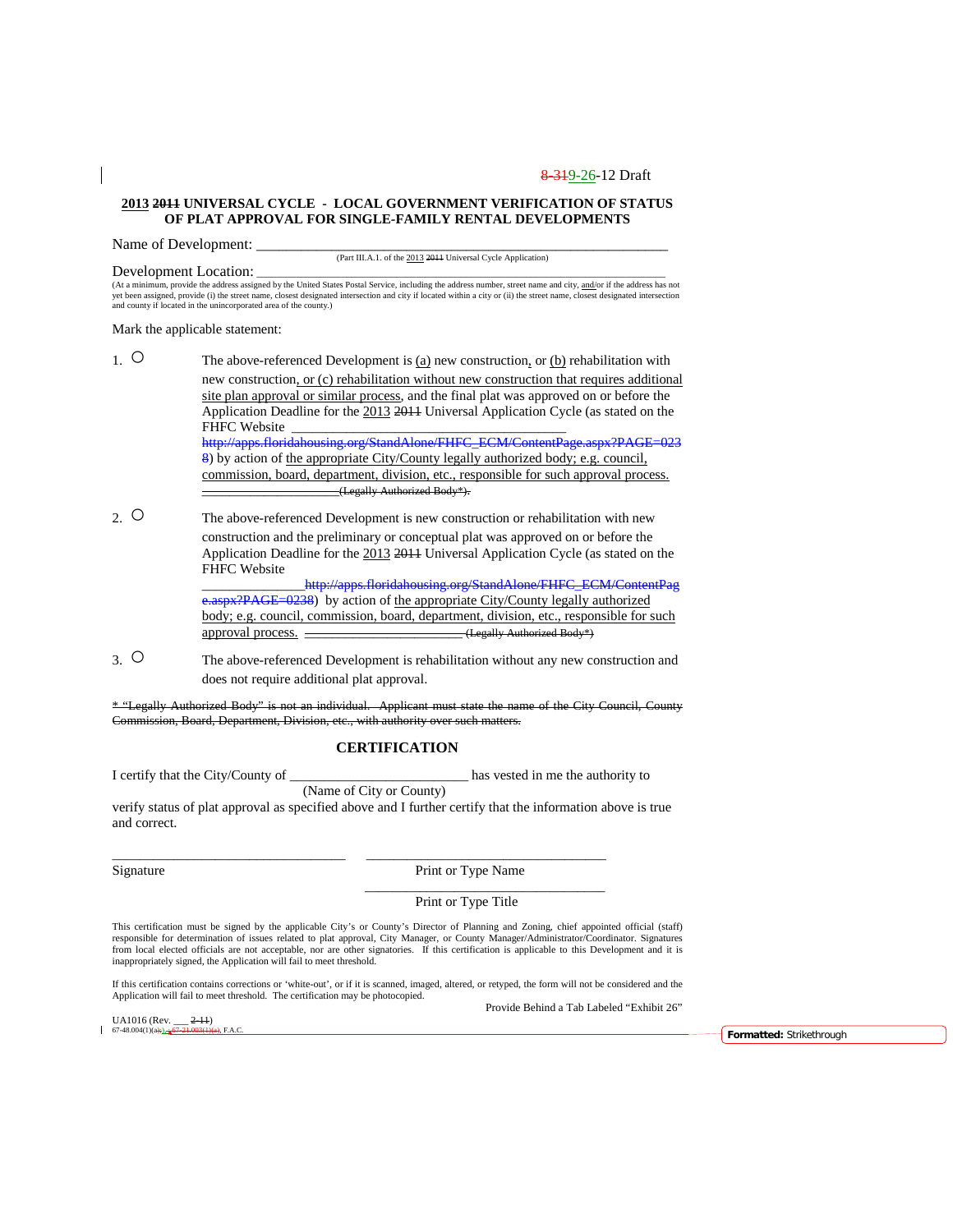#### **2013 2011 UNIVERSAL CYCLE - LOCAL GOVERNMENT VERIFICATION OF STATUS OF PLAT APPROVAL FOR SINGLE-FAMILY RENTAL DEVELOPMENTS**

Name of Development:

(Part III.A.1. of the 2013 2011 Universal Cycle Application)

Development Location:

(At a minimum, provide the address assigned by the United States Postal Service, including the address number, street name and city, and/or if the address has not yet been assigned, provide (i) the street name, closest designated intersection and city if located within a city or (ii) the street name, closest designated intersection<br>and county if located in the unincorporated area of

Mark the applicable statement:

1.  $\circ$  The above-referenced Development is (a) new construction, or (b) rehabilitation with new construction, or (c) rehabilitation without new construction that requires additional site plan approval or similar process, and the final plat was approved on or before the Application Deadline for the 2013 2011 Universal Application Cycle (as stated on the FHFC Website [http://apps.floridahousing.org/StandAlone/FHFC\\_ECM/ContentPage.aspx?PAGE=023](http://apps.floridahousing.org/StandAlone/FHFC_ECM/ContentPage.aspx?PAGE=0238) [8\)](http://apps.floridahousing.org/StandAlone/FHFC_ECM/ContentPage.aspx?PAGE=0238) by action of the appropriate City/County legally authorized body; e.g. council, commission, board, department, division, etc., responsible for such approval process. \_\_\_\_\_\_\_\_\_\_\_\_\_\_\_\_\_\_\_\_(Legally Authorized Body\*).

2. O The above-referenced Development is new construction or rehabilitation with new construction and the preliminary or conceptual plat was approved on or before the Application Deadline for the 2013 2011 Universal Application Cycle (as stated on the FHFC Website

http://apps.floridahousing.org/StandAlone/FHFC\_ECM/ContentPag [e.aspx?PAGE=0238\)](http://apps.floridahousing.org/StandAlone/FHFC_ECM/ContentPage.aspx?PAGE=0238) by action of the appropriate City/County legally authorized body; e.g. council, commission, board, department, division, etc., responsible for such approval process. \_\_\_\_\_\_\_\_\_\_\_\_\_\_\_\_\_\_\_\_\_\_\_ (Legally Authorized Body\*)

3. ○ The above-referenced Development is rehabilitation without any new construction and does not require additional plat approval.

\* "Legally Authorized Body" is not an individual. Applicant must state the name of the City Council, County Commission, Board, Department, Division, etc., with authority over such matters.

### **CERTIFICATION**

I certify that the City/County of \_\_\_\_\_\_\_\_\_\_\_\_\_\_\_\_\_\_\_\_\_\_\_\_\_\_ has vested in me the authority to (Name of City or County)

\_\_\_\_\_\_\_\_\_\_\_\_\_\_\_\_\_\_\_\_\_\_\_\_\_\_\_\_\_\_\_\_\_\_ \_\_\_\_\_\_\_\_\_\_\_\_\_\_\_\_\_\_\_\_\_\_\_\_\_\_\_\_\_\_\_\_\_\_\_

verify status of plat approval as specified above and I further certify that the information above is true and correct.

Signature Print or Type Name

Print or Type Title

\_\_\_\_\_\_\_\_\_\_\_\_\_\_\_\_\_\_\_\_\_\_\_\_\_\_\_\_\_\_\_\_\_\_\_

This certification must be signed by the applicable City's or County's Director of Planning and Zoning, chief appointed official (staff) responsible for determination of issues related to plat approval, City Manager, or County Manager/Administrator/Coordinator. Signatures<br>from local elected officials are not acceptable, nor are other signatories. If this ce inappropriately signed, the Application will fail to meet threshold.

If this certification contains corrections or 'white-out', or if it is scanned, imaged, altered, or retyped, the form will not be considered and the Application will fail to meet threshold. The certification may be photocopied.

UA1016 (Rev.  $\frac{2-11}{67-48.004(1)(a) + 1.67-21.003(1)}$ 

Provide Behind a Tab Labeled "Exhibit 26"

67-48.004(1)(a);), ; 67-21.003(1)(a), F.A.C. **Formatted:** Strikethrough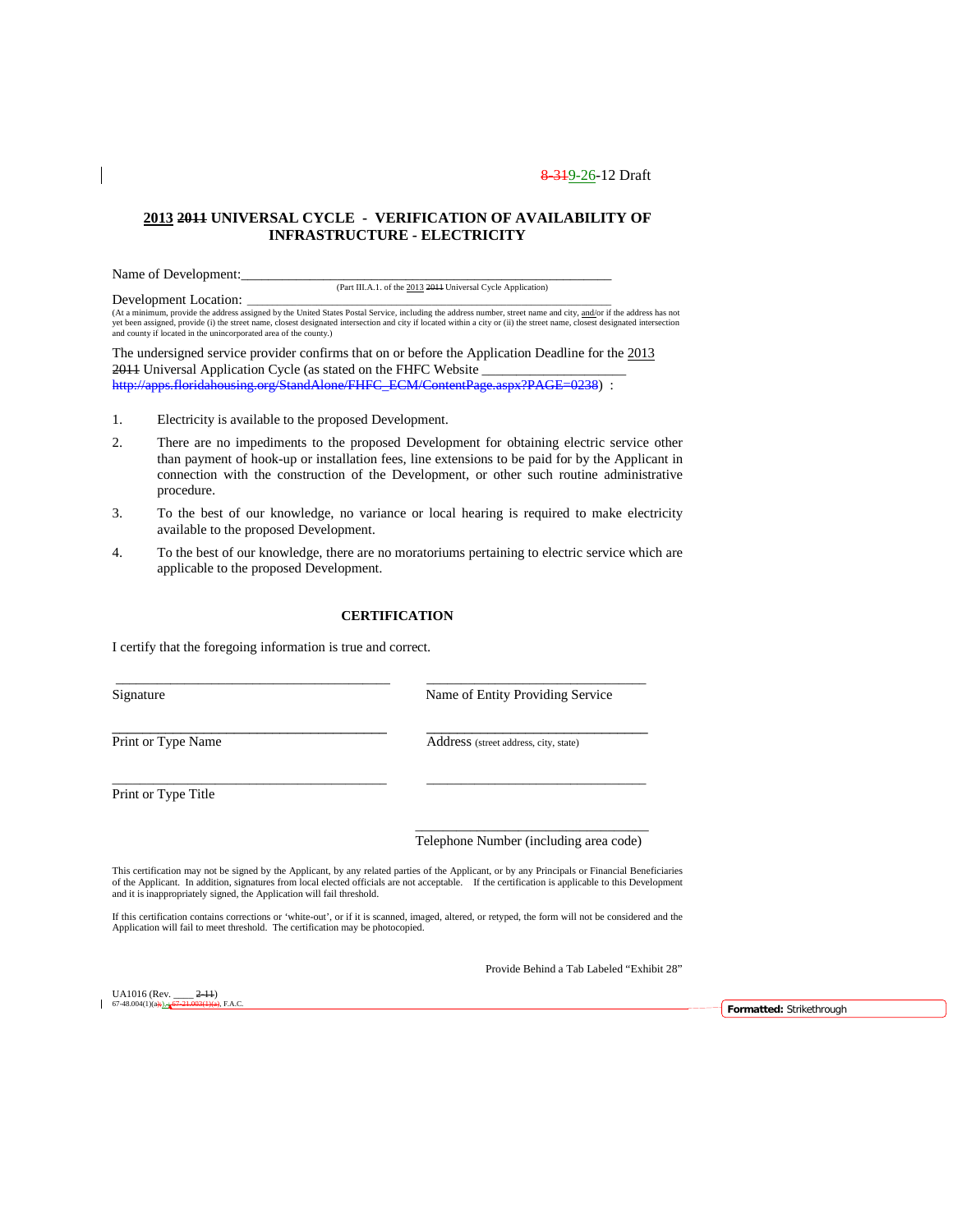### **2013 2011 UNIVERSAL CYCLE - VERIFICATION OF AVAILABILITY OF INFRASTRUCTURE - ELECTRICITY**

Name of Development:

(Part III.A.1. of the 2013 2011 Universal Cycle Application)

Development Location:<br>(At a minimum, provide the address assigned by the United States Postal Service, including the address number, street name and city, <u>and/</u>or if the address has not<br>yet been assigned, provide (i) the

The undersigned service provider confirms that on or before the Application Deadline for the 2013 2011 Universal Application Cycle (as stated on the FHFC Website [http://apps.floridahousing.org/StandAlone/FHFC\\_ECM/ContentPage.aspx?PAGE=0238\)](http://apps.floridahousing.org/StandAlone/FHFC_ECM/ContentPage.aspx?PAGE=0238) :

- 1. Electricity is available to the proposed Development.
- 2. There are no impediments to the proposed Development for obtaining electric service other than payment of hook-up or installation fees, line extensions to be paid for by the Applicant in connection with the construction of the Development, or other such routine administrative procedure.
- 3. To the best of our knowledge, no variance or local hearing is required to make electricity available to the proposed Development.
- 4. To the best of our knowledge, there are no moratoriums pertaining to electric service which are applicable to the proposed Development.

### **CERTIFICATION**

\_\_\_\_\_\_\_\_\_\_\_\_\_\_\_\_\_\_\_\_\_\_\_\_\_\_\_\_\_\_\_\_\_\_\_\_\_\_\_\_ \_\_\_\_\_\_\_\_\_\_\_\_\_\_\_\_\_\_\_\_\_\_\_\_\_\_\_\_\_\_\_\_

 $\_$  ,  $\_$  ,  $\_$  ,  $\_$  ,  $\_$  ,  $\_$  ,  $\_$  ,  $\_$  ,  $\_$  ,  $\_$  ,  $\_$  ,  $\_$  ,  $\_$  ,  $\_$  ,  $\_$  ,  $\_$  ,  $\_$  ,  $\_$  ,  $\_$  ,  $\_$ 

\_\_\_\_\_\_\_\_\_\_\_\_\_\_\_\_\_\_\_\_\_\_\_\_\_\_\_\_\_\_\_\_\_\_\_\_\_\_\_\_ \_\_\_\_\_\_\_\_\_\_\_\_\_\_\_\_\_\_\_\_\_\_\_\_\_\_\_\_\_\_\_\_

I certify that the foregoing information is true and correct.

Signature Name of Entity Providing Service

Print or Type Name Address (street address, city, state)

Print or Type Title

\_\_\_\_\_\_\_\_\_\_\_\_\_\_\_\_\_\_\_\_\_\_\_\_\_\_\_\_\_\_\_\_\_\_ Telephone Number (including area code)

This certification may not be signed by the Applicant, by any related parties of the Applicant, or by any Principals or Financial Beneficiaries of the Applicant. In addition, signatures from local elected officials are not acceptable. If the certification is applicable to this Development and it is inappropriately signed, the Application will fail threshold.

If this certification contains corrections or 'white-out', or if it is scanned, imaged, altered, or retyped, the form will not be considered and the Application will fail to meet threshold. The certification may be photocopied.

Provide Behind a Tab Labeled "Exhibit 28"

UA1016 (Rev.  $\frac{2-11}{67-48.004(1)(a+1)}$ ,  $\frac{67-21.003(1)(a)}{67-21.003(1)(a+1)}$ 

67-48.004(1)(a);), ; 67-21.003(1)(a), F.A.C. **Formatted:** Strikethrough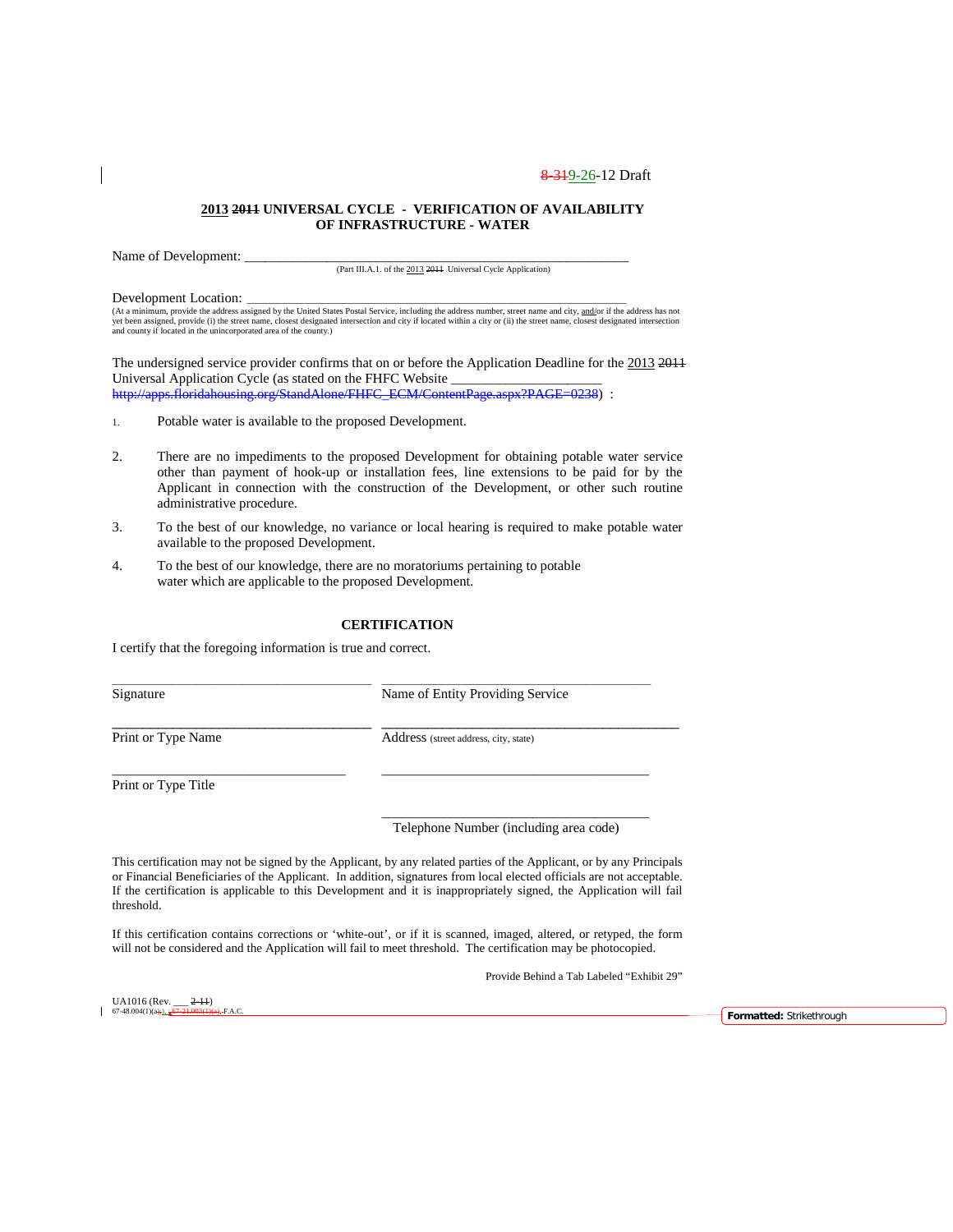#### **2013 2011 UNIVERSAL CYCLE - VERIFICATION OF AVAILABILITY OF INFRASTRUCTURE - WATER**

Name of Development:

(Part III.A.1. of the 2013 2011 Universal Cycle Application)

Development Location:<br>(At a minimum, provide the address assigned by the United States Postal Service, including the address number, street name and city, <u>and/</u>or if the address has not<br>yet been assigned, provide (i) the

The undersigned service provider confirms that on or before the Application Deadline for the 2013 2011 Universal Application Cycle (as stated on the FHFC Website \_ [http://apps.floridahousing.org/StandAlone/FHFC\\_ECM/ContentPage.aspx?PAGE=0238\)](http://apps.floridahousing.org/StandAlone/FHFC_ECM/ContentPage.aspx?PAGE=0238) :

- 1. Potable water is available to the proposed Development.
- 2. There are no impediments to the proposed Development for obtaining potable water service other than payment of hook-up or installation fees, line extensions to be paid for by the Applicant in connection with the construction of the Development, or other such routine administrative procedure.
- 3. To the best of our knowledge, no variance or local hearing is required to make potable water available to the proposed Development.
- 4. To the best of our knowledge, there are no moratoriums pertaining to potable water which are applicable to the proposed Development.

### **CERTIFICATION**

\_\_\_\_\_\_\_\_\_\_\_\_\_\_\_\_\_\_\_\_\_\_\_\_\_\_\_\_\_\_\_\_\_\_\_\_\_\_\_\_\_\_\_\_\_\_\_\_\_\_\_\_ \_\_\_\_\_\_\_\_\_\_\_\_\_\_\_\_\_\_\_\_\_\_\_\_\_\_\_\_\_\_\_\_\_\_\_\_\_\_\_\_\_\_\_\_\_\_\_\_\_\_\_\_\_\_

\_\_\_\_\_\_\_\_\_\_\_\_\_\_\_\_\_\_\_\_\_\_\_\_\_\_\_\_\_\_\_\_\_\_ \_\_\_\_\_\_\_\_\_\_\_\_\_\_\_\_\_\_\_\_\_\_\_\_\_\_\_\_\_\_\_\_\_\_\_\_\_\_\_

\_\_\_\_\_\_\_\_\_\_\_\_\_\_\_\_\_\_\_\_\_\_\_\_\_\_\_\_\_\_\_\_\_\_ \_\_\_\_\_\_\_\_\_\_\_\_\_\_\_\_\_\_\_\_\_\_\_\_\_\_\_\_\_\_\_\_\_\_\_\_\_\_\_

I certify that the foregoing information is true and correct.

Signature Name of Entity Providing Service

Print or Type Name Address (street address, city, state)

Print or Type Title

\_\_\_\_\_\_\_\_\_\_\_\_\_\_\_\_\_\_\_\_\_\_\_\_\_\_\_\_\_\_\_\_\_\_\_\_\_\_\_ Telephone Number (including area code)

This certification may not be signed by the Applicant, by any related parties of the Applicant, or by any Principals or Financial Beneficiaries of the Applicant. In addition, signatures from local elected officials are not acceptable. If the certification is applicable to this Development and it is inappropriately signed, the Application will fail threshold.

If this certification contains corrections or 'white-out', or if it is scanned, imaged, altered, or retyped, the form will not be considered and the Application will fail to meet threshold. The certification may be photocopied.

Provide Behind a Tab Labeled "Exhibit 29"

UA1016 (Rev.  $\frac{2-11}{67-48.004(1)(a+1)}$ ,  $\frac{67-21.003(1)}{67}$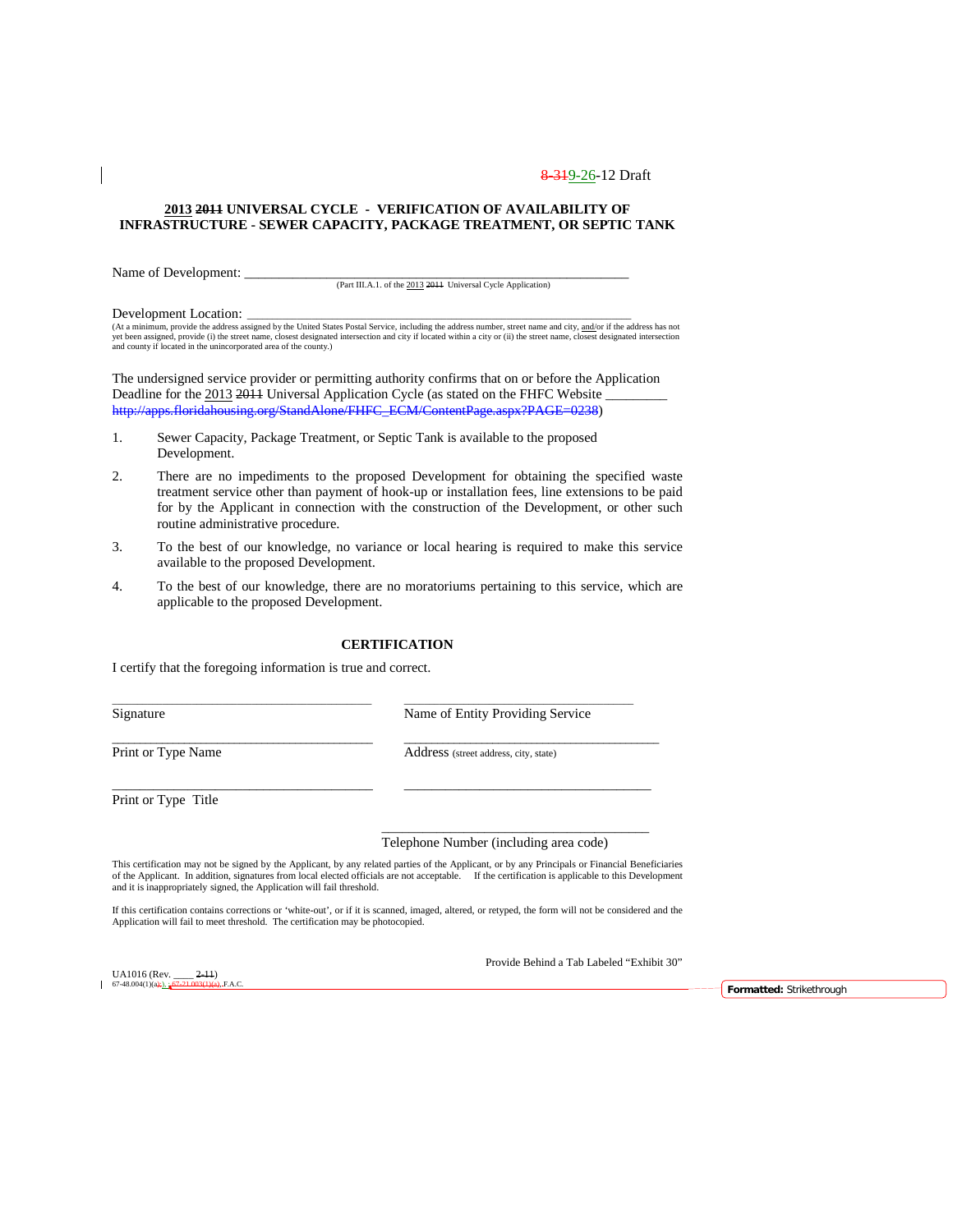#### **2013 2011 UNIVERSAL CYCLE - VERIFICATION OF AVAILABILITY OF INFRASTRUCTURE - SEWER CAPACITY, PACKAGE TREATMENT, OR SEPTIC TANK**

Name of Development:

(Part III.A.1. of the 2013 2011 Universal Cycle Application)

Development Location:

(At a minimum, provide the address assigned by the United States Postal Service, including the address number, street name and city, and/or if the address has not<br>yet been assigned, provide (i) the street name, closest des and county if located in the unincorporated area of the county.)

The undersigned service provider or permitting authority confirms that on or before the Application Deadline for the 2013 2014 Universal Application Cycle (as stated on the FHFC Website [http://apps.floridahousing.org/StandAlone/FHFC\\_ECM/ContentPage.aspx?PAGE=0238\)](http://apps.floridahousing.org/StandAlone/FHFC_ECM/ContentPage.aspx?PAGE=0238)

- 1. Sewer Capacity, Package Treatment, or Septic Tank is available to the proposed Development.
- 2. There are no impediments to the proposed Development for obtaining the specified waste treatment service other than payment of hook-up or installation fees, line extensions to be paid for by the Applicant in connection with the construction of the Development, or other such routine administrative procedure.
- 3. To the best of our knowledge, no variance or local hearing is required to make this service available to the proposed Development.
- 4. To the best of our knowledge, there are no moratoriums pertaining to this service, which are applicable to the proposed Development.

#### **CERTIFICATION**

\_\_\_\_\_\_\_\_\_\_\_\_\_\_\_\_\_\_\_\_\_\_\_\_\_\_\_\_\_\_\_\_\_\_\_\_\_\_\_\_\_\_\_\_\_\_\_\_\_\_\_\_ \_\_\_\_\_\_\_\_\_\_\_\_\_\_\_\_\_\_\_\_\_\_\_\_\_\_\_\_\_\_\_\_\_\_\_\_\_\_\_\_\_\_\_\_\_\_

 $\_$  ,  $\_$  ,  $\_$  ,  $\_$  ,  $\_$  ,  $\_$  ,  $\_$  ,  $\_$  ,  $\_$  ,  $\_$  ,  $\_$  ,  $\_$  ,  $\_$  ,  $\_$  ,  $\_$  ,  $\_$  ,  $\_$  ,  $\_$  ,  $\_$ 

\_\_\_\_\_\_\_\_\_\_\_\_\_\_\_\_\_\_\_\_\_\_\_\_\_\_\_\_\_\_\_\_\_\_\_\_\_\_ \_\_\_\_\_\_\_\_\_\_\_\_\_\_\_\_\_\_\_\_\_\_\_\_\_\_\_\_\_\_\_\_\_\_\_\_

I certify that the foregoing information is true and correct.

Signature Name of Entity Providing Service

Print or Type Name Address (street address, city, state)

Print or Type Title

Telephone Number (including area code)

\_\_\_\_\_\_\_\_\_\_\_\_\_\_\_\_\_\_\_\_\_\_\_\_\_\_\_\_\_\_\_\_\_\_\_\_\_\_\_

This certification may not be signed by the Applicant, by any related parties of the Applicant, or by any Principals or Financial Beneficiaries<br>of the Applicant. In addition, signatures from local elected officials are not and it is inappropriately signed, the Application will fail threshold.

If this certification contains corrections or 'white-out', or if it is scanned, imaged, altered, or retyped, the form will not be considered and the Application will fail to meet threshold. The certification may be photocopied.

Provide Behind a Tab Labeled "Exhibit 30"

UA1016 (Rev.  $\frac{2-11}{67-48.004(1)(a)}$ ),  $\frac{1}{67-21.003(1)(a)}$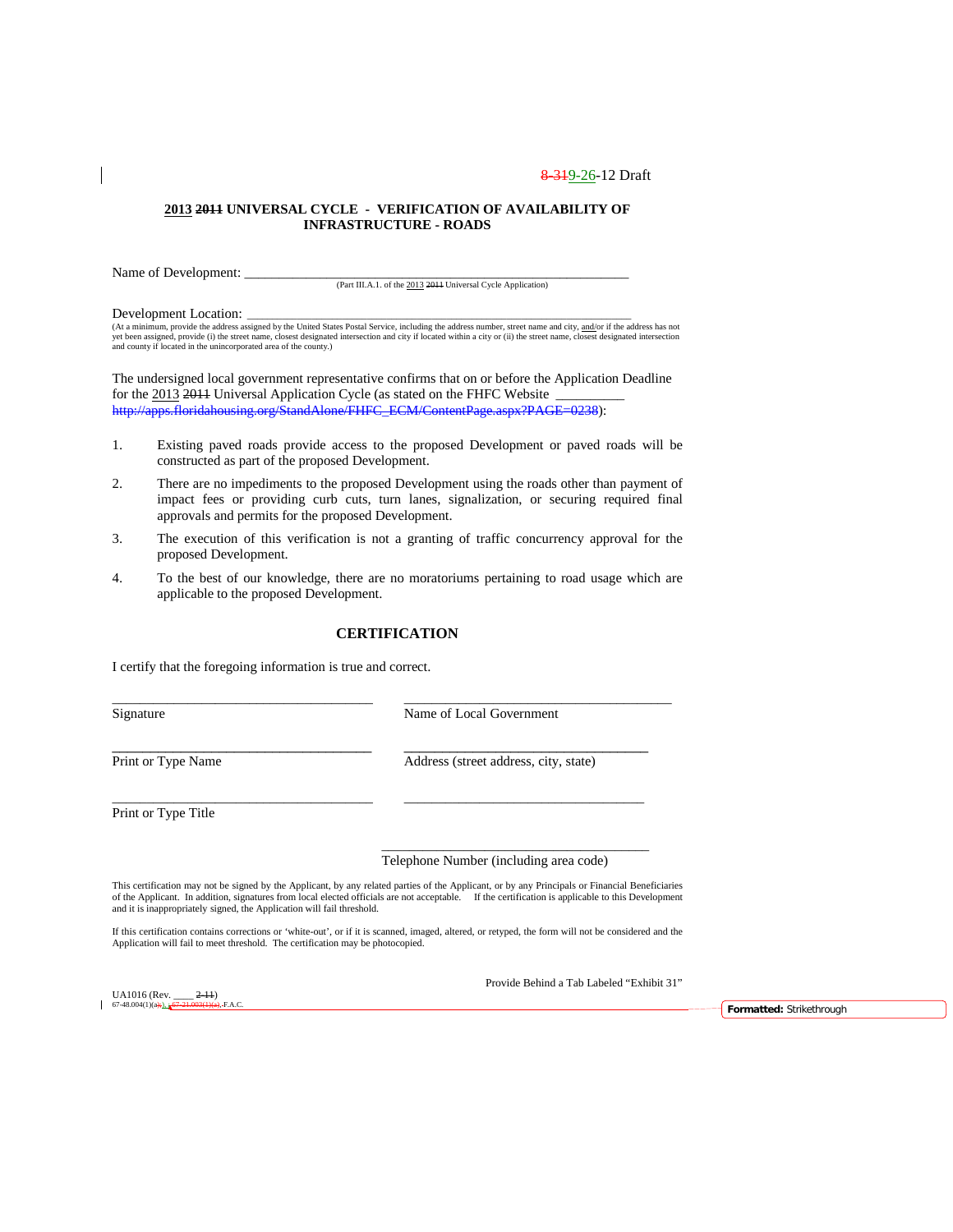#### **2013 2011 UNIVERSAL CYCLE - VERIFICATION OF AVAILABILITY OF INFRASTRUCTURE - ROADS**

Name of Development:

(Part III.A.1. of the 2013 2011 Universal Cycle Application)

Development Location:

(At a minimum, provide the address assigned by the United States Postal Service, including the address number, street name and city, and/or if the address has not<br>yet been assigned, provide (i) the street name, closest des and county if located in the unincorporated area of the county.)

The undersigned local government representative confirms that on or before the Application Deadline for the 2013 2011 Universal Application Cycle (as stated on the FHFC Website [http://apps.floridahousing.org/StandAlone/FHFC\\_ECM/ContentPage.aspx?PAGE=0238\)](http://apps.floridahousing.org/StandAlone/FHFC_ECM/ContentPage.aspx?PAGE=0238):

- 1. Existing paved roads provide access to the proposed Development or paved roads will be constructed as part of the proposed Development.
- 2. There are no impediments to the proposed Development using the roads other than payment of impact fees or providing curb cuts, turn lanes, signalization, or securing required final approvals and permits for the proposed Development.
- 3. The execution of this verification is not a granting of traffic concurrency approval for the proposed Development.
- 4. To the best of our knowledge, there are no moratoriums pertaining to road usage which are applicable to the proposed Development.

### **CERTIFICATION**

\_\_\_\_\_\_\_\_\_\_\_\_\_\_\_\_\_\_\_\_\_\_\_\_\_\_\_\_\_\_\_\_\_\_\_\_\_\_ \_\_\_\_\_\_\_\_\_\_\_\_\_\_\_\_\_\_\_\_\_\_\_\_\_\_\_\_\_\_\_\_\_\_\_\_\_\_\_

\_\_\_\_\_\_\_\_\_\_\_\_\_\_\_\_\_\_\_\_\_\_\_\_\_\_\_\_\_\_\_\_\_\_\_\_\_\_ \_\_\_\_\_\_\_\_\_\_\_\_\_\_\_\_\_\_\_\_\_\_\_\_\_\_\_\_\_\_\_\_\_\_\_

I certify that the foregoing information is true and correct.

Signature Name of Local Government

\_\_\_\_\_\_\_\_\_\_\_\_\_\_\_\_\_\_\_\_\_\_\_\_\_\_\_\_\_\_\_\_\_\_ \_\_\_\_\_\_\_\_\_\_\_\_\_\_\_\_\_\_\_\_\_\_\_\_\_\_\_\_\_\_\_\_ Print or Type Name Address (street address, city, state)

Print or Type Title

#### Telephone Number (including area code)

\_\_\_\_\_\_\_\_\_\_\_\_\_\_\_\_\_\_\_\_\_\_\_\_\_\_\_\_\_\_\_\_\_\_\_\_\_\_\_

This certification may not be signed by the Applicant, by any related parties of the Applicant, or by any Principals or Financial Beneficiaries of the Applicant. In addition, signatures from local elected officials are not acceptable. If the certification is applicable to this Development and it is inappropriately signed, the Application will fail threshold.

If this certification contains corrections or 'white-out', or if it is scanned, imaged, altered, or retyped, the form will not be considered and the<br>Application will fail to meet threshold. The certification may be photoco

Provide Behind a Tab Labeled "Exhibit 31"

UA1016 (Rev.  $\frac{2-11}{67-21.003(1)(a)}$ 

FAC. **FAC. FAC. FORD**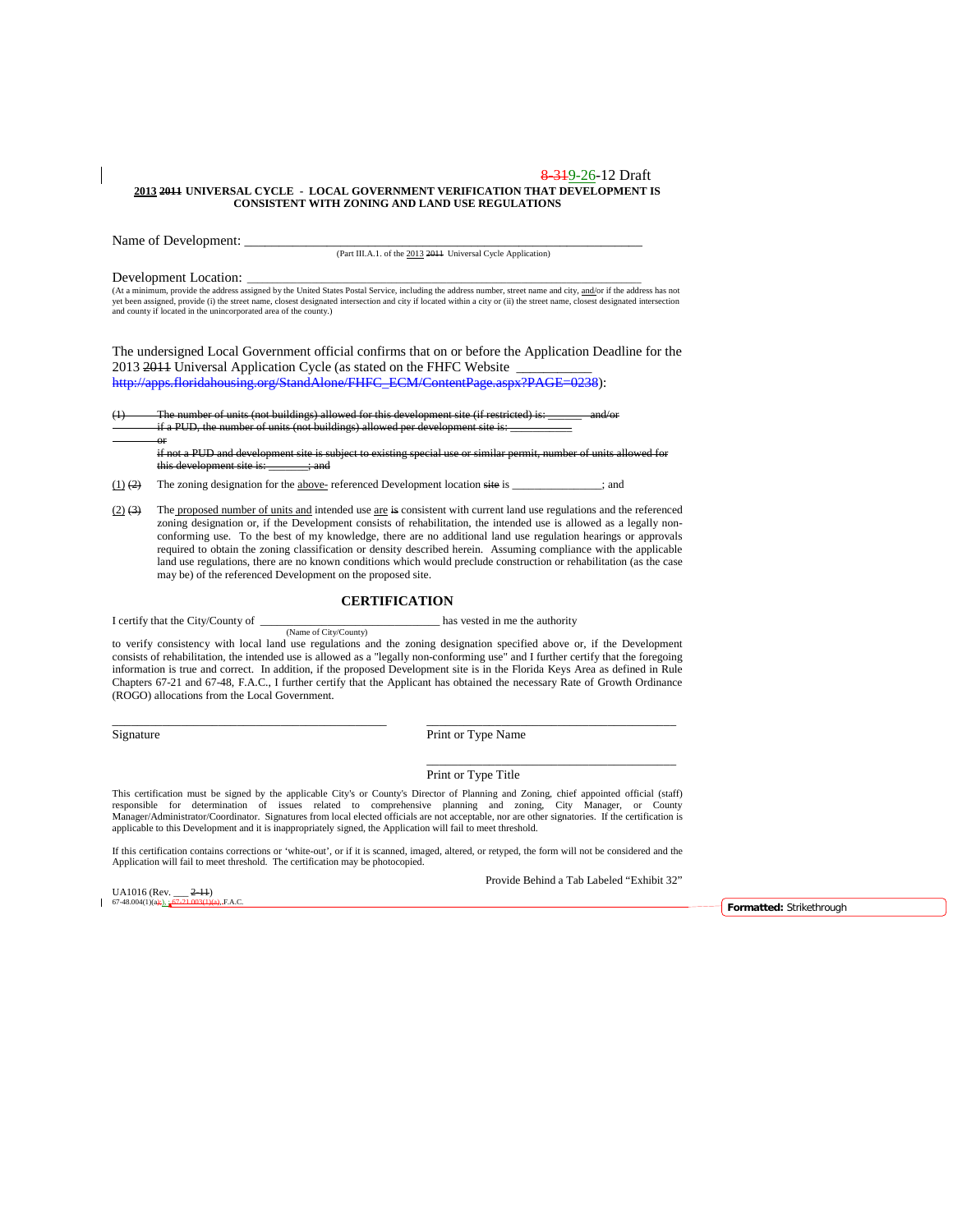#### 8 3 1 9 - 26 - 12 Draft **2013 2011 UNIVERSAL CYCLE - LOCAL GOVERNMENT VERIFICATION THAT DEVELOPMENT IS CONSISTENT WITH ZONING AND LAND USE REGULATIONS**

Name of Development: \_\_\_\_\_\_\_\_\_\_\_\_\_\_\_\_\_\_\_\_\_\_\_\_\_\_\_\_\_\_\_\_\_\_\_\_\_\_\_\_\_\_\_\_\_\_\_\_\_\_\_\_\_\_\_\_\_\_

(Part III.A.1. of the 2013 2011 Universal Cycle Application)

or

**Development Location:**<br>(At a minimum, provide the address assigned by the United States Postal Service, including the address number, street name and city, <u>and/</u>or if the address has not<br>yet been assigned, provide (i) th and county if located in the unincorporated area of the county.)

The undersigned Local Government official confirms that on or before the Application Deadline for the 2013 2014 Universal Application Cycle (as stated on the FHFC Website

[http://apps.floridahousing.org/StandAlone/FHFC\\_ECM/ContentPage.aspx?PAGE=0238\)](http://apps.floridahousing.org/StandAlone/FHFC_ECM/ContentPage.aspx?PAGE=0238):

The number of units (not buildings) allowed for this development site (if restricted) is: if a PUD, the number of units (not buildings) allowed per development site is:

if not a PUD and development site is subject to existing special use or similar permit, number of units allowed for this development site is: \_\_\_\_\_\_\_; and

 $(1)$   $(2)$  The zoning designation for the above-referenced Development location site is \_\_\_\_\_\_\_\_\_\_\_; and

(2)  $(3)$  The proposed number of units and intended use are is consistent with current land use regulations and the referenced zoning designation or, if the Development consists of rehabilitation, the intended use is allowed as a legally nonconforming use. To the best of my knowledge, there are no additional land use regulation hearings or approvals required to obtain the zoning classification or density described herein. Assuming compliance with the applicable land use regulations, there are no known conditions which would preclude construction or rehabilitation (as the case may be) of the referenced Development on the proposed site.

#### **CERTIFICATION**

I certify that the City/County of  $\qquad$  has vested in me the authority (Name of City/County)

to verify consistency with local land use regulations and the zoning designation specified above or, if the Development consists of rehabilitation, the intended use is allowed as a "legally non-conforming use" and I further certify that the foregoing information is true and correct. In addition, if the proposed Development site is in the Florida Keys Area as defined in Rule Chapters 67-21 and 67-48, F.A.C., I further certify that the Applicant has obtained the necessary Rate of Growth Ordinance (ROGO) allocations from the Local Government.

\_\_\_\_\_\_\_\_\_\_\_\_\_\_\_\_\_\_\_\_\_\_\_\_\_\_\_\_\_\_\_\_\_\_\_\_\_\_\_\_\_\_\_\_ \_\_\_\_\_\_\_\_\_\_\_\_\_\_\_\_\_\_\_\_\_\_\_\_\_\_\_\_\_\_\_\_\_\_\_\_\_\_\_\_

Signature Print or Type Name

Print or Type Title

This certification must be signed by the applicable City's or County's Director of Planning and Zoning, chief appointed official (staff) responsible for determination of issues related to comprehensive planning and zoning, City Manager, or County Manager/Administrator/Coordinator. Signatures from local elected officials are not acceptable, nor are other signatories. If the certification is applicable to this Development and it is inappropriately signed, the Application will fail to meet threshold.

If this certification contains corrections or 'white-out', or if it is scanned, imaged, altered, or retyped, the form will not be considered and the Application will fail to meet threshold. The certification may be photocopied.

UA1016 (Rev.  $2-11$ )<br>67-48.004(1)(a);  $\frac{67-21.003(1)(1)}{1}$ 

Provide Behind a Tab Labeled "Exhibit 32"

\_\_\_\_\_\_\_\_\_\_\_\_\_\_\_\_\_\_\_\_\_\_\_\_\_\_\_\_\_\_\_\_\_\_\_\_\_\_\_\_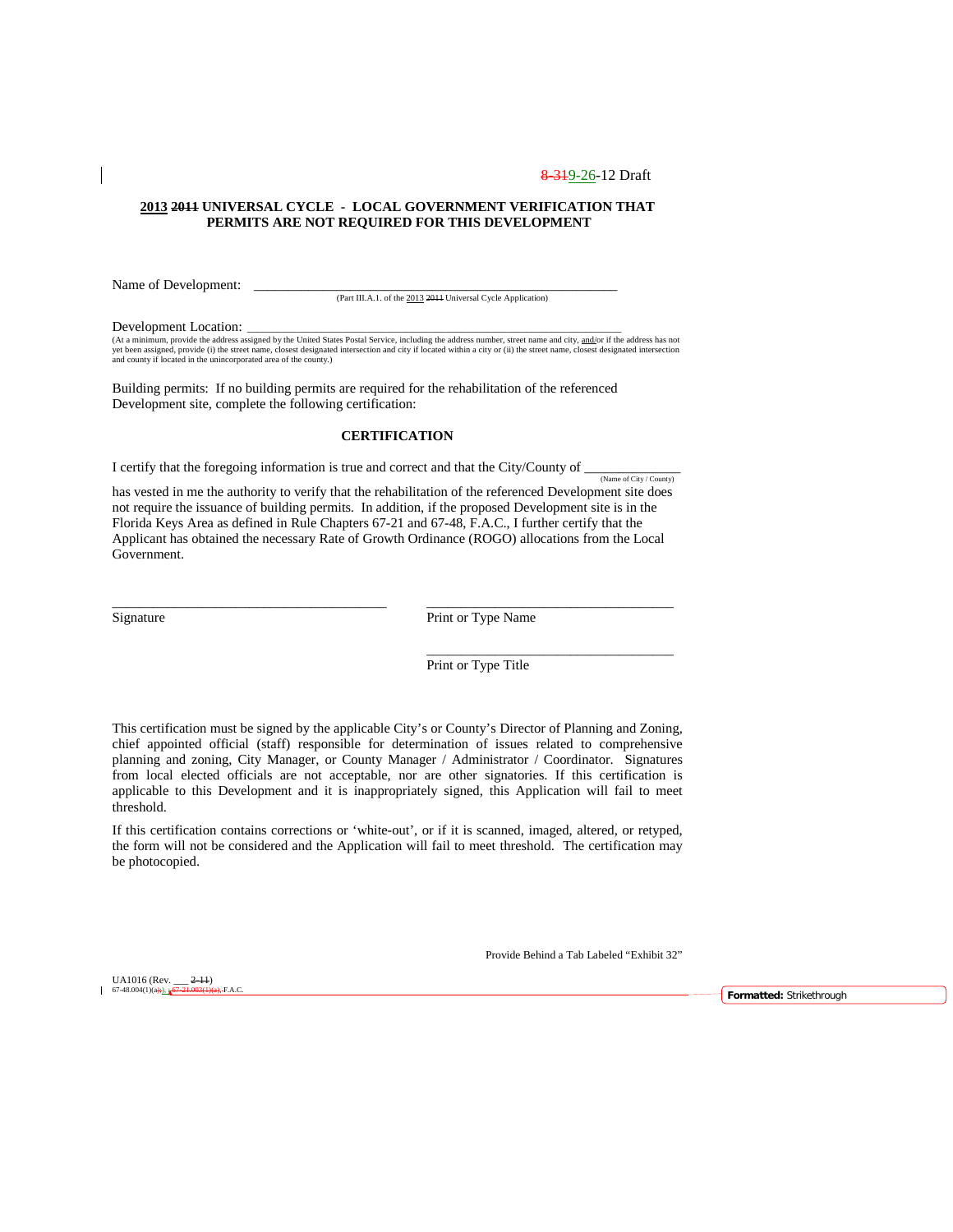### **2013 2011 UNIVERSAL CYCLE - LOCAL GOVERNMENT VERIFICATION THAT PERMITS ARE NOT REQUIRED FOR THIS DEVELOPMENT**

Name of Development: \_

(Part III.A.1. of the 2013 2011 Universal Cycle Application)

Development Location:

(At a minimum, provide the address assigned by the United States Postal Service, including the address number, street name and city, and/or if the address has not<br>yet been assigned, provide (i) the street name, closest des and county if located in the unincorporated area of the county.)

Building permits: If no building permits are required for the rehabilitation of the referenced Development site, complete the following certification:

### **CERTIFICATION**

I certify that the foregoing information is true and correct and that the City/County of  $\frac{N_{\text{dimer of City}/\text{Country}}}{N_{\text{dimer of City}/\text{Country}}}$ 

has vested in me the authority to verify that the rehabilitation of the referenced Development site does not require the issuance of building permits. In addition, if the proposed Development site is in the Florida Keys Area as defined in Rule Chapters 67-21 and 67-48, F.A.C., I further certify that the Applicant has obtained the necessary Rate of Growth Ordinance (ROGO) allocations from the Local Government.

\_\_\_\_\_\_\_\_\_\_\_\_\_\_\_\_\_\_\_\_\_\_\_\_\_\_\_\_\_\_\_\_\_\_\_\_\_\_\_\_ \_\_\_\_\_\_\_\_\_\_\_\_\_\_\_\_\_\_\_\_\_\_\_\_\_\_\_\_\_\_\_\_\_\_\_\_

Signature Print or Type Name

Print or Type Title

\_\_\_\_\_\_\_\_\_\_\_\_\_\_\_\_\_\_\_\_\_\_\_\_\_\_\_\_\_\_\_\_\_\_\_\_

This certification must be signed by the applicable City's or County's Director of Planning and Zoning, chief appointed official (staff) responsible for determination of issues related to comprehensive planning and zoning, City Manager, or County Manager / Administrator / Coordinator. Signatures from local elected officials are not acceptable, nor are other signatories. If this certification is applicable to this Development and it is inappropriately signed, this Application will fail to meet threshold.

If this certification contains corrections or 'white-out', or if it is scanned, imaged, altered, or retyped, the form will not be considered and the Application will fail to meet threshold. The certification may be photocopied.

Provide Behind a Tab Labeled "Exhibit 32"

UA1016 (Rev.  $2-11$ )<br>67-48.004(1)(a);  $67-21.003(1)$ 

 $\mathbf{I}$ 

67-48.004(1)(a);), ; 67-21.003(1)(a), F.A.C. **Formatted:** Strikethrough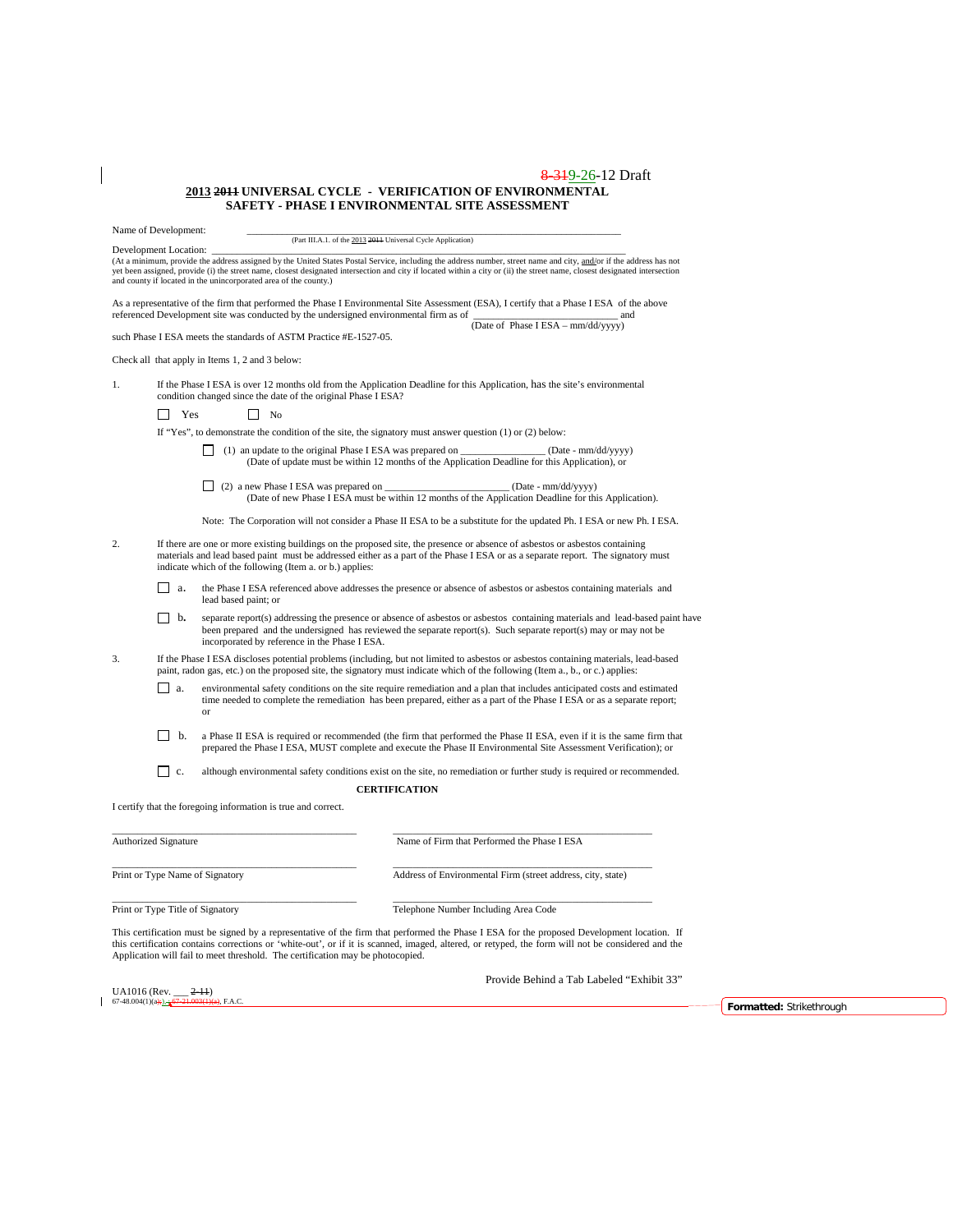#### 8-319-26-12 Draft **2013 2011 UNIVERSAL CYCLE - VERIFICATION OF ENVIRONMENTAL SAFETY - PHASE I ENVIRONMENTAL SITE ASSESSMENT**

Name of Development:

(Part III.A.1. of the 2013 2011 Universal Cycle Application)

Development Location:<br>(At a minimum, provide the address assigned by the United States Postal Service, including the address number, street name and city, <u>and/</u>or if the address has not yet been assigned, provide (i) the street name, closest designated intersection and city if located within a city or (ii) the street name, closest designated intersection<br>and county if located in the unincorporated area of

As a representative of the firm that performed the Phase I Environmental Site Assessment (ESA), I certify that a Phase I ESA of the above referenced Development site was conducted by the undersigned environmental firm as of  $\frac{1}{(Date of Phase IESA - \text{mm}/dd/yyyy)}$ 

such Phase I ESA meets the standards of ASTM Practice #E-1527-05.

Check all that apply in Items 1, 2 and 3 below:

1. If the Phase I ESA is over 12 months old from the Application Deadline for this Application, has the site's environmental condition changed since the date of the original Phase I ESA?

No Yes No

If "Yes", to demonstrate the condition of the site, the signatory must answer question (1) or (2) below:

- (1) an update to the original Phase I ESA was prepared on \_\_\_\_\_\_\_\_\_\_\_\_\_\_\_\_\_ (Date mm/dd/yyyy) (Date of update must be within 12 months of the Application Deadline for this Application), or
- (2) a new Phase I ESA was prepared on \_\_\_\_\_\_\_\_\_\_\_\_\_\_\_\_\_\_\_\_\_\_\_\_\_ (Date mm/dd/yyyy) (Date of new Phase I ESA must be within 12 months of the Application Deadline for this Application).

Note: The Corporation will not consider a Phase II ESA to be a substitute for the updated Ph. I ESA or new Ph. I ESA.

- 2. If there are one or more existing buildings on the proposed site, the presence or absence of asbestos or asbestos containing<br>materials and lead based paint must be addressed either as a part of the Phase I ESA or as a s indicate which of the following (Item a. or b.) applies:
	- a. the Phase I ESA referenced above addresses the presence or absence of asbestos or asbestos containing materials and lead based paint; or
	- **b.** separate report(s) addressing the presence or absence of asbestos or asbestos containing materials and lead-based paint have been prepared and the undersigned has reviewed the separate report(s). Such separate report(s) may or may not be incorporated by reference in the Phase I ESA.
- 3. If the Phase I ESA discloses potential problems (including, but not limited to asbestos or asbestos containing materials, lead-based paint, radon gas, etc.) on the proposed site, the signatory must indicate which of the
	- a. environmental safety conditions on the site require remediation and a plan that includes anticipated costs and estimated time needed to complete the remediation has been prepared, either as a part of the Phase I ESA or as a separate report; or
	- b. a Phase II ESA is required or recommended (the firm that performed the Phase II ESA, even if it is the same firm that prepared the Phase I ESA, MUST complete and execute the Phase II Environmental Site Assessment Verification); or

 $\Box$  c. although environmental safety conditions exist on the site, no remediation or further study is required or recommended. **CERTIFICATION**

I certify that the foregoing information is true and correct.

| <b>Authorized Signature</b>      | Name of Firm that Performed the Phase I ESA                 |  |  |  |
|----------------------------------|-------------------------------------------------------------|--|--|--|
| Print or Type Name of Signatory  | Address of Environmental Firm (street address, city, state) |  |  |  |
| Print or Type Title of Signatory | Telephone Number Including Area Code                        |  |  |  |

This certification must be signed by a representative of the firm that performed the Phase I ESA for the proposed Development location.If this certification contains corrections or 'white-out', or if it is scanned, imaged, altered, or retyped, the form will not be considered and the Application will fail to meet threshold. The certification may be photocopied.

Provide Behind a Tab Labeled "Exhibit 33"

UA1016 (Rev.  $2-11$ )<br>67-48.004(1)(a):). - 67-21.003(1)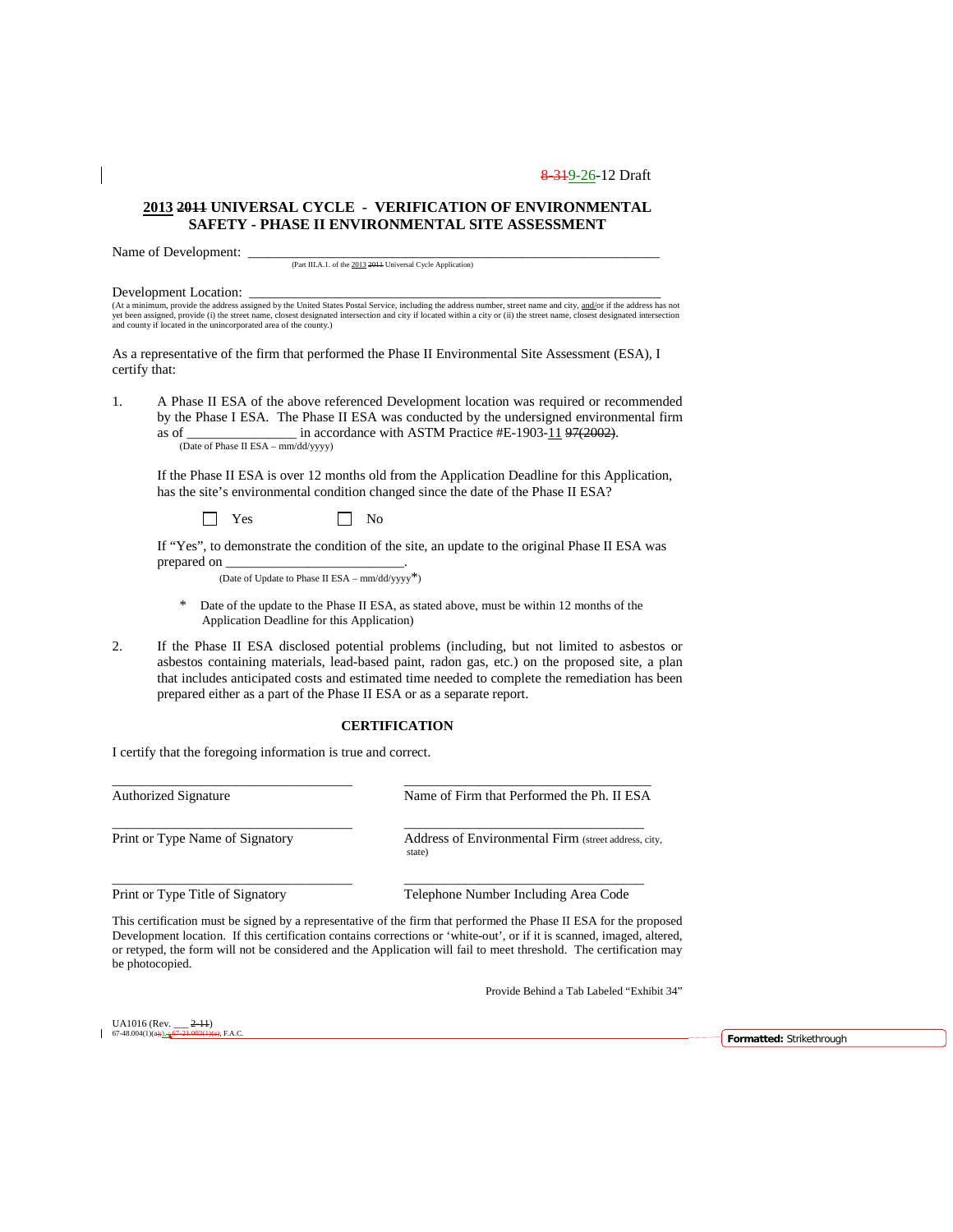### **2013 2011 UNIVERSAL CYCLE - VERIFICATION OF ENVIRONMENTAL SAFETY - PHASE II ENVIRONMENTAL SITE ASSESSMENT**

Name of Development:

(Part III.A.1. of the 2013 2011 Universal Cycle Application)

Development Location:<br>(At a minimum, provide the address assigned by the United States Postal Service, including the address number, street name and city, and/or if the address has not<br>yet been assigned, provide (i) the st

As a representative of the firm that performed the Phase II Environmental Site Assessment (ESA), I certify that:

1. A Phase II ESA of the above referenced Development location was required or recommended by the Phase I ESA. The Phase II ESA was conducted by the undersigned environmental firm as of  $\frac{1}{2}$  in accordance with ASTM Practice #E-1903-11 97(2002). (Date of Phase II ESA – mm/dd/yyyy)

If the Phase II ESA is over 12 months old from the Application Deadline for this Application, has the site's environmental condition changed since the date of the Phase II ESA?

 $\Box$  Yes  $\Box$  No

If "Yes", to demonstrate the condition of the site, an update to the original Phase II ESA was prepared on

(Date of Update to Phase II ESA – mm/dd/yyyy\*)

- \* Date of the update to the Phase II ESA, as stated above, must be within 12 months of the Application Deadline for this Application)
- 2. If the Phase II ESA disclosed potential problems (including, but not limited to asbestos or asbestos containing materials, lead-based paint, radon gas, etc.) on the proposed site, a plan that includes anticipated costs and estimated time needed to complete the remediation has been prepared either as a part of the Phase II ESA or as a separate report.

#### **CERTIFICATION**

I certify that the foregoing information is true and correct.

\_\_\_\_\_\_\_\_\_\_\_\_\_\_\_\_\_\_\_\_\_\_\_\_\_\_\_\_\_\_\_\_\_\_\_ \_\_\_\_\_\_\_\_\_\_\_\_\_\_\_\_\_\_\_\_\_\_\_\_\_\_\_\_\_\_\_\_\_\_\_\_ Authorized Signature Name of Firm that Performed the Ph. II ESA \_\_\_\_\_\_\_\_\_\_\_\_\_\_\_\_\_\_\_\_\_\_\_\_\_\_\_\_\_\_\_\_\_\_\_ \_\_\_\_\_\_\_\_\_\_\_\_\_\_\_\_\_\_\_\_\_\_\_\_\_\_\_\_\_\_\_\_\_\_\_ Print or Type Name of Signatory Address of Environmental Firm (street address, city, state) \_\_\_\_\_\_\_\_\_\_\_\_\_\_\_\_\_\_\_\_\_\_\_\_\_\_\_\_\_\_\_\_\_\_\_ \_\_\_\_\_\_\_\_\_\_\_\_\_\_\_\_\_\_\_\_\_\_\_\_\_\_\_\_\_\_\_\_\_\_\_ Print or Type Title of Signatory Telephone Number Including Area Code

This certification must be signed by a representative of the firm that performed the Phase II ESA for the proposed Development location.If this certification contains corrections or 'white-out', or if it is scanned, imaged, altered, or retyped, the form will not be considered and the Application will fail to meet threshold. The certification may be photocopied.

Provide Behind a Tab Labeled "Exhibit 34"

UA1016 (Rev.  $\frac{2-11}{67-48.004(1)(a+1)}$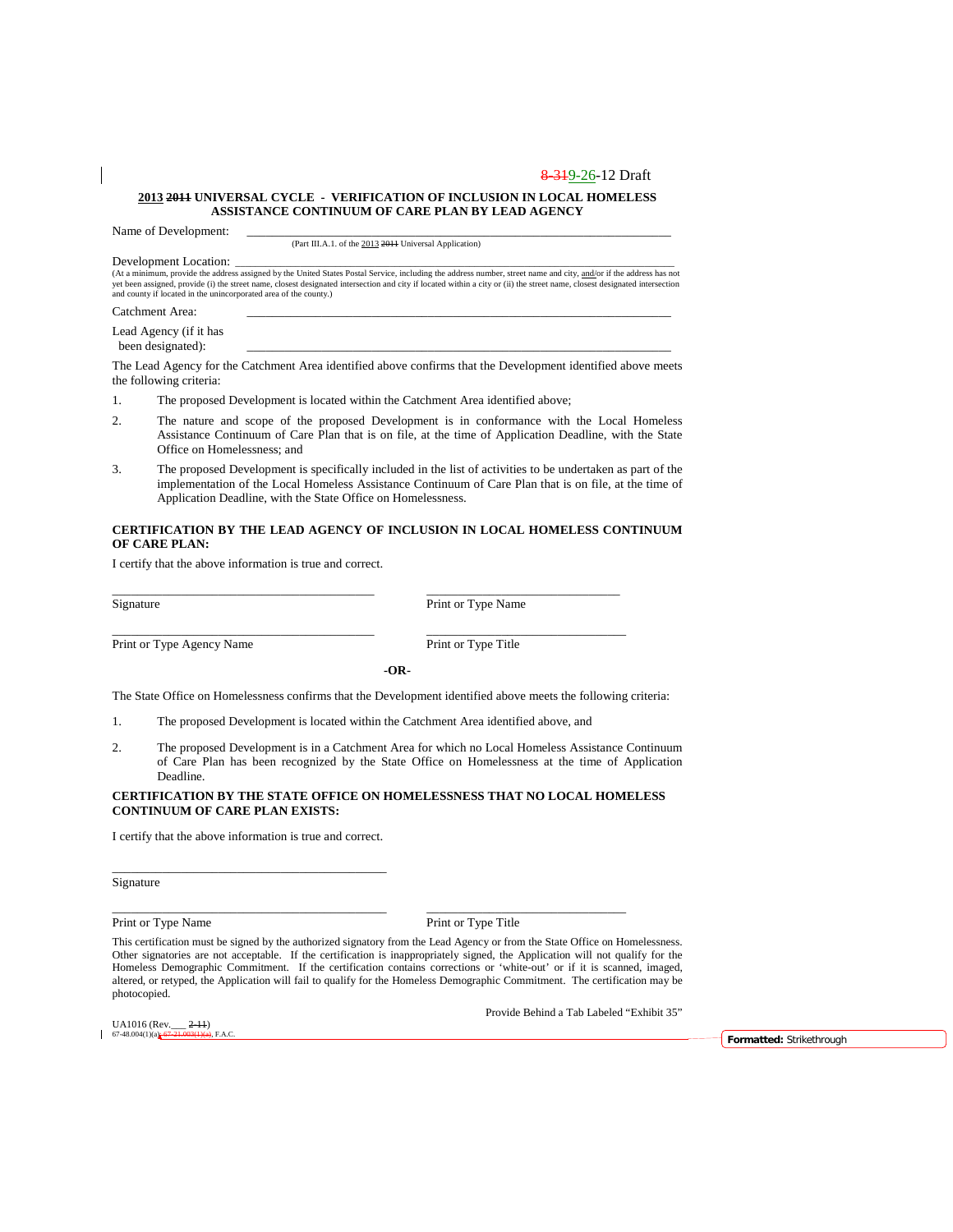#### **2013 2011 UNIVERSAL CYCLE - VERIFICATION OF INCLUSION IN LOCAL HOMELESS ASSISTANCE CONTINUUM OF CARE PLAN BY LEAD AGENCY**

Name of Development:

(Part III.A.1. of the 2013 2011 Universal Application)

Development Location:<br>(At a minimum, provide the address assigned by the United States Postal Service, including the address number, street name and city, <u>and/</u>or if the address has not<br>yet been assigned, provide (i) the

Catchment Area:

Lead Agency (if it has been designated):

The Lead Agency for the Catchment Area identified above confirms that the Development identified above meets the following criteria:

- 1. The proposed Development is located within the Catchment Area identified above;
- 2. The nature and scope of the proposed Development is in conformance with the Local Homeless Assistance Continuum of Care Plan that is on file, at the time of Application Deadline, with the State Office on Homelessness; and
- 3. The proposed Development is specifically included in the list of activities to be undertaken as part of the implementation of the Local Homeless Assistance Continuum of Care Plan that is on file, at the time of Application Deadline, with the State Office on Homelessness.

#### **CERTIFICATION BY THE LEAD AGENCY OF INCLUSION IN LOCAL HOMELESS CONTINUUM OF CARE PLAN:**

I certify that the above information is true and correct.

Signature Print or Type Name

Print or Type Agency Name Print or Type Title

\_\_\_\_\_\_\_\_\_\_\_\_\_\_\_\_\_\_\_\_\_\_\_\_\_\_\_\_\_\_\_\_\_\_\_\_\_\_\_\_\_\_ \_\_\_\_\_\_\_\_\_\_\_\_\_\_\_\_\_\_\_\_\_\_\_\_\_\_\_\_\_\_\_\_

**-OR-**

The State Office on Homelessness confirms that the Development identified above meets the following criteria:

1. The proposed Development is located within the Catchment Area identified above, and

\_\_\_\_\_\_\_\_\_\_\_\_\_\_\_\_\_\_\_\_\_\_\_\_\_\_\_\_\_\_\_\_\_\_\_\_\_\_\_\_\_\_ \_\_\_\_\_\_\_\_\_\_\_\_\_\_\_\_\_\_\_\_\_\_\_\_\_\_\_\_\_\_\_

2. The proposed Development is in a Catchment Area for which no Local Homeless Assistance Continuum of Care Plan has been recognized by the State Office on Homelessness at the time of Application Deadline.

#### **CERTIFICATION BY THE STATE OFFICE ON HOMELESSNESS THAT NO LOCAL HOMELESS CONTINUUM OF CARE PLAN EXISTS:**

I certify that the above information is true and correct.

\_\_\_\_\_\_\_\_\_\_\_\_\_\_\_\_\_\_\_\_\_\_\_\_\_\_\_\_\_\_\_\_\_\_\_\_\_\_\_\_\_\_\_\_

Signature

Print or Type Name Print or Type Title

This certification must be signed by the authorized signatory from the Lead Agency or from the State Office on Homelessness. Other signatories are not acceptable. If the certification is inappropriately signed, the Application will not qualify for the Homeless Demographic Commitment. If the certification contains corrections or 'white-out' or if it is scanned, imaged, altered, or retyped, the Application will fail to qualify for the Homeless Demographic Commitment. The certification may be photocopied.

\_\_\_\_\_\_\_\_\_\_\_\_\_\_\_\_\_\_\_\_\_\_\_\_\_\_\_\_\_\_\_\_\_\_\_\_\_\_\_\_\_\_\_\_ \_\_\_\_\_\_\_\_\_\_\_\_\_\_\_\_\_\_\_\_\_\_\_\_\_\_\_\_\_\_\_\_

UA1016 (Rev.  $2-11$ )<br>67-48.004(1)(a) 67-21.003(1)(a)

Provide Behind a Tab Labeled "Exhibit 35"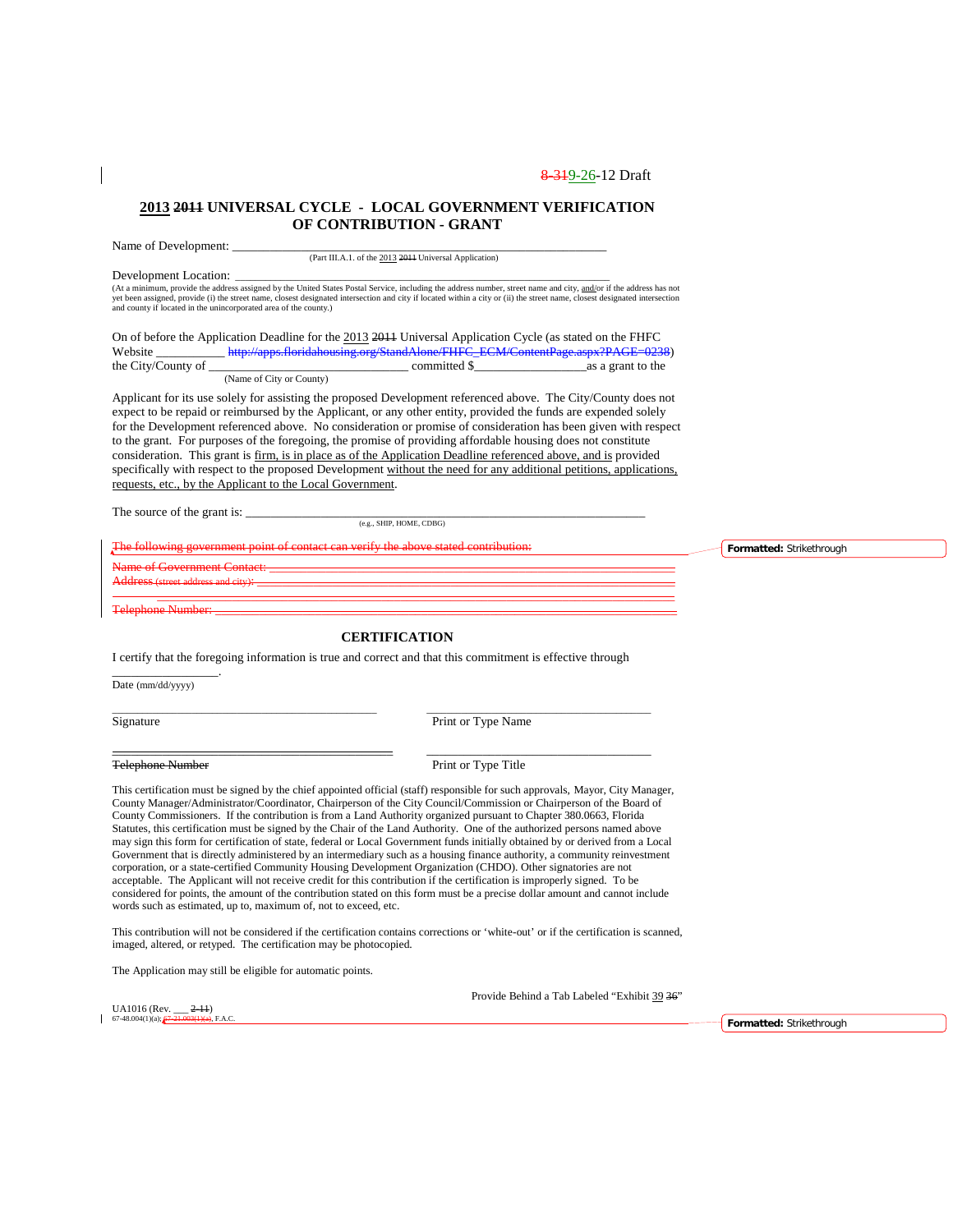### **2013 2011 UNIVERSAL CYCLE - LOCAL GOVERNMENT VERIFICATION OF CONTRIBUTION - GRANT**

Name of Development: (Part III.A.1. of the 2013 2011 Universal Application) Development Location: \_\_\_\_\_\_\_\_\_\_\_\_\_\_\_\_\_\_\_\_\_\_\_\_\_\_\_\_\_\_\_\_\_\_\_\_\_\_\_\_\_\_\_\_\_\_\_\_\_\_\_\_\_\_\_\_\_\_\_\_\_\_\_\_\_\_\_\_\_\_\_\_\_\_\_ (At a minimum, provide the address assigned by the United States Postal Service, including the address number, street name and city, and/or if the address has not yet been assigned, provide (i) the street name, closest designated intersection and city if located within a city or (ii) the street name, closest designated intersection and county if located in the unincorporated area of the county.) On of before the Application Deadline for the 2013 2011 Universal Application Cycle (as stated on the FHFC Website \_\_\_\_\_\_\_\_\_\_\_\_\_ http://apps.floridahousing.org/StandAlone/FHFC\_ECM/ContentPage.aspx?PAGE=0238<br>the City/County of committed \$ as a grant to the the City/County of (Name of City or County) Applicant for its use solely for assisting the proposed Development referenced above. The City/County does not expect to be repaid or reimbursed by the Applicant, or any other entity, provided the funds are expended solely for the Development referenced above. No consideration or promise of consideration has been given with respect to the grant. For purposes of the foregoing, the promise of providing affordable housing does not constitute consideration. This grant is firm, is in place as of the Application Deadline referenced above, and is provided specifically with respect to the proposed Development without the need for any additional petitions, applications, requests, etc., by the Applicant to the Local Government.

The source of the grant is:

(e.g., SHIP, HOME, CDBG)

The following government contact contact can verify the above stated contribution:

Name of Government Contact: \_\_\_\_\_\_\_\_\_\_\_\_\_\_\_\_\_\_\_\_\_\_\_\_\_\_\_\_\_\_\_\_\_\_\_\_\_\_\_\_\_\_\_\_\_\_\_\_\_\_\_\_\_\_\_\_\_\_\_\_\_\_\_\_\_

Address (street address and city): \_\_\_\_\_\_\_\_\_\_\_\_\_\_\_\_\_\_\_\_\_\_\_\_\_\_\_\_\_\_\_\_\_\_\_\_\_\_\_\_\_\_\_\_\_\_\_\_\_\_\_\_\_\_\_\_\_\_\_\_\_\_\_\_\_\_\_ \_\_\_\_\_\_\_\_\_\_\_\_\_\_\_\_\_\_\_\_\_\_\_\_\_\_\_\_\_\_\_\_\_\_\_\_\_\_\_\_\_\_\_\_\_\_\_\_\_\_\_\_\_\_\_\_\_\_\_\_\_\_\_\_\_\_\_\_\_\_\_\_\_\_\_\_\_\_\_\_\_\_\_

Telephone Number: \_\_\_\_\_\_\_\_\_\_\_\_\_\_\_\_\_\_\_\_\_\_\_\_\_\_\_\_\_\_\_\_\_\_\_\_\_\_\_\_\_\_\_\_\_\_\_\_\_\_\_\_\_\_\_\_\_\_\_\_\_\_\_\_\_\_\_\_\_\_\_\_\_\_

\_\_\_\_\_\_\_\_\_\_\_\_\_\_\_\_\_.

### **CERTIFICATION**

I certify that the foregoing information is true and correct and that this commitment is effective through

\_\_\_\_\_\_\_\_\_\_\_\_\_\_\_\_\_\_\_\_\_\_\_\_\_\_\_\_\_\_\_\_\_\_\_\_\_\_\_\_\_\_\_\_\_\_\_\_\_\_\_\_\_ \_\_\_\_\_\_\_\_\_\_\_\_\_\_\_\_\_\_\_\_\_\_\_\_\_\_\_\_\_\_\_\_\_\_\_\_\_\_\_\_\_\_\_\_\_

\_\_\_\_\_\_\_\_\_\_\_\_\_\_\_\_\_\_\_\_\_\_\_\_\_\_\_\_\_\_\_\_\_\_\_\_\_\_\_\_\_\_\_\_\_ \_\_\_\_\_\_\_\_\_\_\_\_\_\_\_\_\_\_\_\_\_\_\_\_\_\_\_\_\_\_\_\_\_\_\_\_

Date (mm/dd/yyyy)

Signature Print or Type Name

Telephone Number Print or Type Title

This certification must be signed by the chief appointed official (staff) responsible for such approvals, Mayor, City Manager, County Manager/Administrator/Coordinator, Chairperson of the City Council/Commission or Chairperson of the Board of County Commissioners. If the contribution is from a Land Authority organized pursuant to Chapter 380.0663, Florida Statutes, this certification must be signed by the Chair of the Land Authority. One of the authorized persons named above may sign this form for certification of state, federal or Local Government funds initially obtained by or derived from a Local Government that is directly administered by an intermediary such as a housing finance authority, a community reinvestment corporation, or a state-certified Community Housing Development Organization (CHDO). Other signatories are not acceptable. The Applicant will not receive credit for this contribution if the certification is improperly signed. To be considered for points, the amount of the contribution stated on this form must be a precise dollar amount and cannot include words such as estimated, up to, maximum of, not to exceed, etc.

This contribution will not be considered if the certification contains corrections or 'white-out' or if the certification is scanned, imaged, altered, or retyped. The certification may be photocopied.

The Application may still be eligible for automatic points.

UA1016 (Rev.  $2-11$ )  $67-48.004(1)(a)$ ;

Provide Behind a Tab Labeled "Exhibit 39 36"

**Formatted:** Strikethrough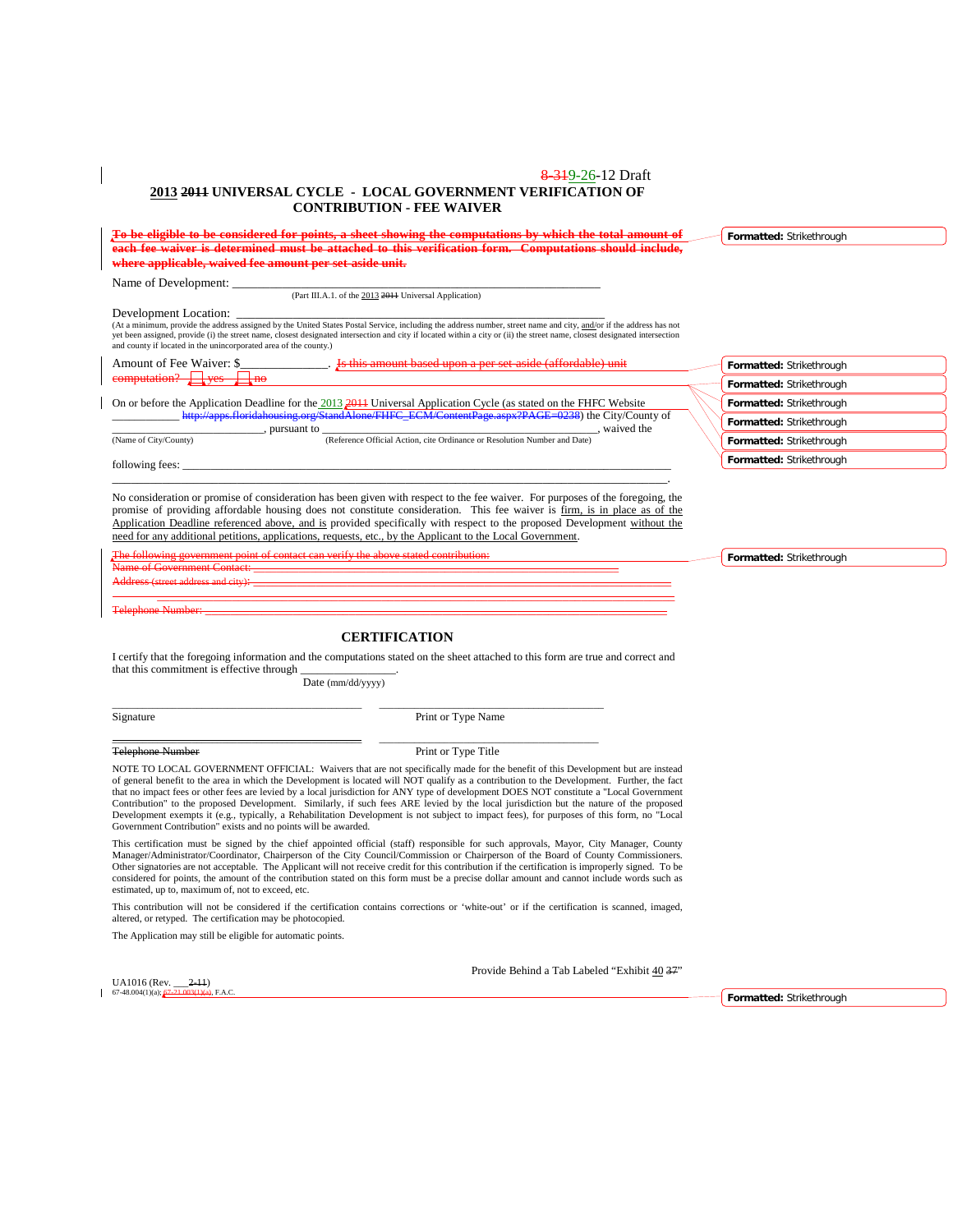#### 8 3 1 9 - 26 - 12 Draft **2013 2011 UNIVERSAL CYCLE - LOCAL GOVERNMENT VERIFICATION OF CONTRIBUTION - FEE WAIVER**

|                                                                  | To be eligible to be considered for points, a sheet showing the computations by which the total amount of                                                                                                                                                                                                                                        | Formatted: Strikethrough |
|------------------------------------------------------------------|--------------------------------------------------------------------------------------------------------------------------------------------------------------------------------------------------------------------------------------------------------------------------------------------------------------------------------------------------|--------------------------|
|                                                                  | each fee waiver is determined must be attached to this verification form.  Computations should include,                                                                                                                                                                                                                                          |                          |
| where applicable, waived fee amount per set-aside unit.          |                                                                                                                                                                                                                                                                                                                                                  |                          |
| Name of Development:                                             |                                                                                                                                                                                                                                                                                                                                                  |                          |
|                                                                  | (Part III.A.1. of the 2013 2014 Universal Application)                                                                                                                                                                                                                                                                                           |                          |
| Development Location:                                            |                                                                                                                                                                                                                                                                                                                                                  |                          |
| and county if located in the unincorporated area of the county.) | (At a minimum, provide the address assigned by the United States Postal Service, including the address number, street name and city, and/or if the address has not<br>yet been assigned, provide (i) the street name, closest designated intersection and city if located within a city or (ii) the street name, closest designated intersection |                          |
|                                                                  | Amount of Fee Waiver: \$ 15 this amount based upon a per set aside (affordable) unit                                                                                                                                                                                                                                                             | Formatted: Strikethrough |
| computation? Ves<br>$+$ no                                       |                                                                                                                                                                                                                                                                                                                                                  | Formatted: Strikethrough |
|                                                                  | On or before the Application Deadline for the $2013\frac{2011}{2011}$ Universal Application Cycle (as stated on the FHFC Website                                                                                                                                                                                                                 | Formatted: Strikethrough |
|                                                                  | http://apps.floridahousing.org/StandAlone/FHFC_ECM/ContentPage.aspx?PAGE=0238) the City/County of<br>$\blacksquare$ , pursuant to $\blacksquare$<br>, waived the                                                                                                                                                                                 | Formatted: Strikethrough |
| (Name of City/County)                                            | (Reference Official Action, cite Ordinance or Resolution Number and Date)                                                                                                                                                                                                                                                                        | Formatted: Strikethrough |
| following fees:                                                  |                                                                                                                                                                                                                                                                                                                                                  | Formatted: Strikethrough |
|                                                                  | No consideration or promise of consideration has been given with respect to the fee waiver. For purposes of the foregoing, the<br>promise of providing affordable housing does not constitute consideration. This fee waiver is firm, is in place as of the                                                                                      |                          |
|                                                                  | Application Deadline referenced above, and is provided specifically with respect to the proposed Development without the                                                                                                                                                                                                                         |                          |

need for any additional petitions, applications, requests, etc., by the Applicant to the Local Government. The following government point of contact can verify the above stated contribution: Name of Government Contact: \_\_\_\_\_\_\_\_\_\_\_\_\_\_\_\_\_\_\_\_\_\_\_\_\_\_\_\_\_\_\_\_\_\_\_\_\_\_\_\_\_\_\_\_\_\_\_\_\_\_\_\_\_\_\_\_\_\_\_\_\_\_\_\_\_

Address (street address and city): \_\_\_\_\_\_\_\_\_\_\_\_\_\_\_\_\_\_\_\_\_\_\_\_\_\_\_\_\_\_\_\_\_\_\_\_\_\_\_\_\_\_\_\_\_\_\_\_\_\_\_\_\_\_\_\_\_\_\_\_\_\_\_\_\_\_\_ \_\_\_\_\_\_\_\_\_\_\_\_\_\_\_\_\_\_\_\_\_\_\_\_\_\_\_\_\_\_\_\_\_\_\_\_\_\_\_\_\_\_\_\_\_\_\_\_\_\_\_\_\_\_\_\_\_\_\_\_\_\_\_\_\_\_\_\_\_\_\_\_\_\_\_\_\_\_\_\_\_\_\_

Telephone Number: \_\_\_\_\_\_\_\_\_\_\_\_\_\_\_\_\_\_\_\_\_\_\_\_\_\_\_\_\_\_\_\_\_\_\_\_\_\_\_\_\_\_\_\_\_\_\_\_\_\_\_\_\_\_\_\_\_\_\_\_\_\_\_\_\_\_\_\_\_\_\_\_\_\_

### **CERTIFICATION**

I certify that the foregoing information and the computations stated on the sheet attached to this form are true and correct and that this commitment is effective through

Date (mm/dd/yyyy)

\_\_\_\_\_\_\_\_\_\_\_\_\_\_\_\_\_\_\_\_\_\_\_\_\_\_\_\_\_\_\_\_\_\_\_\_\_\_\_\_\_\_\_\_\_\_\_\_\_\_ \_\_\_\_\_\_\_\_\_\_\_\_\_\_\_\_\_\_\_\_\_\_\_\_\_\_\_\_\_\_\_\_\_\_\_\_\_\_\_\_\_\_\_\_\_

Signature Print or Type Name

Telephone Number Print or Type Title

 $U_A$ 1016 (Rev.  $2-11$ )  $67-48.004(1)(a);$ 

\_\_\_\_\_\_\_\_\_\_\_\_\_\_\_\_\_\_\_\_\_\_\_\_\_\_\_\_\_\_\_\_\_\_\_\_\_\_\_\_\_\_\_\_\_\_\_\_\_\_ \_\_\_\_\_\_\_\_\_\_\_\_\_\_\_\_\_\_\_\_\_\_\_\_\_\_\_\_\_\_\_\_\_\_\_\_\_\_\_\_\_\_\_\_

NOTE TO LOCAL GOVERNMENT OFFICIAL: Waivers that are not specifically made for the benefit of this Development but are instead of general benefit to the area in which the Development is located will NOT qualify as a contribution to the Development. Further, the fact that no impact fees or other fees are levied by a local jurisdiction for ANY type of development DOES NOT constitute a "Local Government Contribution" to the proposed Development. Similarly, if such fees ARE levied by the local jurisdiction but the nature of the proposed<br>Development exempts it (e.g., typically, a Rehabilitation Development is not subject to Government Contribution" exists and no points will be awarded.

This certification must be signed by the chief appointed official (staff) responsible for such approvals, Mayor, City Manager, County Manager/Administrator/Coordinator, Chairperson of the City Council/Commission or Chairperson of the Board of County Commissioners. Other signatories are not acceptable. The Applicant will not receive credit for this contribution if the certification is improperly signed. To be considered for points, the amount of the contribution stated on this form must be a precise dollar amount and cannot include words such as estimated, up to, maximum of, not to exceed, etc.

This contribution will not be considered if the certification contains corrections or 'white-out' or if the certification is scanned, imaged, altered, or retyped. The certification may be photocopied.

The Application may still be eligible for automatic points.

Provide Behind a Tab Labeled "Exhibit 40 37"

**Formatted:** Strikethrough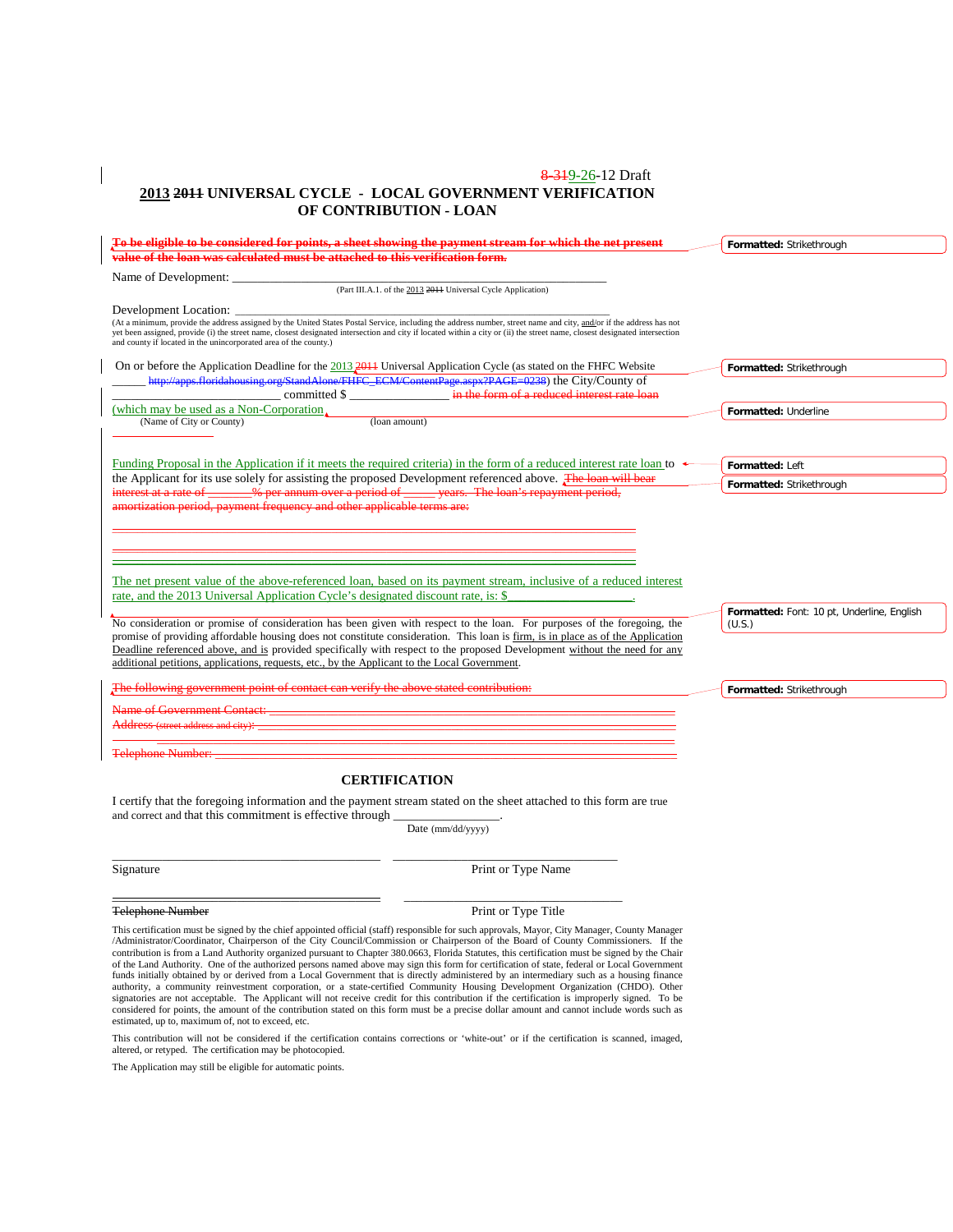### 8-319-26-12 Draft **2013 2011 UNIVERSAL CYCLE - LOCAL GOVERNMENT VERIFICATION OF CONTRIBUTION - LOAN**

| To be eligible to be considered for points, a sheet showing the payment stream for which the net present                                                                                                                                                                                                                                                                                                             | Formatted: Strikethrough                   |
|----------------------------------------------------------------------------------------------------------------------------------------------------------------------------------------------------------------------------------------------------------------------------------------------------------------------------------------------------------------------------------------------------------------------|--------------------------------------------|
| value of the loan was calculated must be attached to this verification form.                                                                                                                                                                                                                                                                                                                                         |                                            |
|                                                                                                                                                                                                                                                                                                                                                                                                                      |                                            |
| (Part III.A.1. of the 2013 2011 Universal Cycle Application)                                                                                                                                                                                                                                                                                                                                                         |                                            |
| Development Location:                                                                                                                                                                                                                                                                                                                                                                                                |                                            |
| (At a minimum, provide the address assigned by the United States Postal Service, including the address number, street name and city, and/or if the address has not<br>yet been assigned, provide (i) the street name, closest designated intersection and city if located within a city or (ii) the street name, closest designated intersection<br>and county if located in the unincorporated area of the county.) |                                            |
| On or before the Application Deadline for the $2013,2014$ Universal Application Cycle (as stated on the FHFC Website                                                                                                                                                                                                                                                                                                 | Formatted: Strikethrough                   |
| http://apps.floridahousing.org/StandAlone/FHFC_ECM/ContentPage.aspx?PAGE=0238) the City/County of                                                                                                                                                                                                                                                                                                                    |                                            |
| ___________ committed \$ ___________________ in the form of a reduced interest rate loan                                                                                                                                                                                                                                                                                                                             |                                            |
| (which may be used as a Non-Corporation,                                                                                                                                                                                                                                                                                                                                                                             | Formatted: Underline                       |
| (loan amount)<br>(Name of City or County)                                                                                                                                                                                                                                                                                                                                                                            |                                            |
|                                                                                                                                                                                                                                                                                                                                                                                                                      |                                            |
| Funding Proposal in the Application if it meets the required criteria) in the form of a reduced interest rate loan to $\rightarrow$                                                                                                                                                                                                                                                                                  | Formatted: Left                            |
| the Applicant for its use solely for assisting the proposed Development referenced above. The loan will bear                                                                                                                                                                                                                                                                                                         |                                            |
| interest at a rate of _______% per annum over a period of _____ years. The loan's repayment period,                                                                                                                                                                                                                                                                                                                  | Formatted: Strikethrough                   |
| amortization period, payment frequency and other applicable terms are:                                                                                                                                                                                                                                                                                                                                               |                                            |
|                                                                                                                                                                                                                                                                                                                                                                                                                      |                                            |
|                                                                                                                                                                                                                                                                                                                                                                                                                      |                                            |
| <u> 1989 - Johann Barn, mars ar breithinn ar chuid ann an t-</u>                                                                                                                                                                                                                                                                                                                                                     |                                            |
|                                                                                                                                                                                                                                                                                                                                                                                                                      |                                            |
| The net present value of the above-referenced loan, based on its payment stream, inclusive of a reduced interest                                                                                                                                                                                                                                                                                                     |                                            |
| rate, and the 2013 Universal Application Cycle's designated discount rate, is: \$                                                                                                                                                                                                                                                                                                                                    |                                            |
|                                                                                                                                                                                                                                                                                                                                                                                                                      | Formatted: Font: 10 pt, Underline, English |
| No consideration or promise of consideration has been given with respect to the loan. For purposes of the foregoing, the                                                                                                                                                                                                                                                                                             | (U.S.)                                     |
| promise of providing affordable housing does not constitute consideration. This loan is firm, is in place as of the Application                                                                                                                                                                                                                                                                                      |                                            |
| Deadline referenced above, and is provided specifically with respect to the proposed Development without the need for any                                                                                                                                                                                                                                                                                            |                                            |
| additional petitions, applications, requests, etc., by the Applicant to the Local Government.                                                                                                                                                                                                                                                                                                                        |                                            |
| The following government point of contact can verify the above stated contribution:                                                                                                                                                                                                                                                                                                                                  | Formatted: Strikethrough                   |
| <u> 1980 - Johann Barbara, martxa amerikan personal (h. 1980).</u><br>Name of Government Contact:                                                                                                                                                                                                                                                                                                                    |                                            |
|                                                                                                                                                                                                                                                                                                                                                                                                                      |                                            |
|                                                                                                                                                                                                                                                                                                                                                                                                                      |                                            |
| Telephone Number:                                                                                                                                                                                                                                                                                                                                                                                                    |                                            |
| <b>CERTIFICATION</b>                                                                                                                                                                                                                                                                                                                                                                                                 |                                            |
|                                                                                                                                                                                                                                                                                                                                                                                                                      |                                            |
| I certify that the foregoing information and the payment stream stated on the sheet attached to this form are true<br>and correct and that this commitment is effective through                                                                                                                                                                                                                                      |                                            |
|                                                                                                                                                                                                                                                                                                                                                                                                                      |                                            |

Date (mm/dd/yyyy)

| ⊃i≌naturc |  |  |  |
|-----------|--|--|--|
|           |  |  |  |

Signature Print or Type Name

Telephone Number Print or Type Title

This certification must be signed by the chief appointed official (staff) responsible for such approvals, Mayor, City Manager, County Manager<br>/Administrator/Coordinator, Chairperson of the City Council/Commission or Chairp of the Land Authority. One of the authorized persons named above may sign this form for certification of state, federal or Local Government funds initially obtained by or derived from a Local Government that is directly administered by an intermediary such as a housing finance authority, a community reinvestment corporation, or a state-certified Community Housing Development Organization (CHDO). Other<br>signatories are not acceptable. The Applicant will not receive credit for this contribution if considered for points, the amount of the contribution stated on this form must be a precise dollar amount and cannot include words such as estimated, up to, maximum of, not to exceed, etc.

\_\_\_\_\_\_\_\_\_\_\_\_\_\_\_\_\_\_\_\_\_\_\_\_\_\_\_\_\_\_\_\_\_\_\_\_\_\_\_\_\_\_\_ \_\_\_\_\_\_\_\_\_\_\_\_\_\_\_\_\_\_\_\_\_\_\_\_\_\_\_\_\_\_\_\_\_\_\_\_

\_\_\_\_\_\_\_\_\_\_\_\_\_\_\_\_\_\_\_\_\_\_\_\_\_\_\_\_\_\_\_\_\_\_\_\_\_\_\_\_\_\_\_ \_\_\_\_\_\_\_\_\_\_\_\_\_\_\_\_\_\_\_\_\_\_\_\_\_\_\_\_\_\_\_\_\_\_\_

This contribution will not be considered if the certification contains corrections or 'white-out' or if the certification is scanned, imaged, altered, or retyped. The certification may be photocopied.

The Application may still be eligible for automatic points.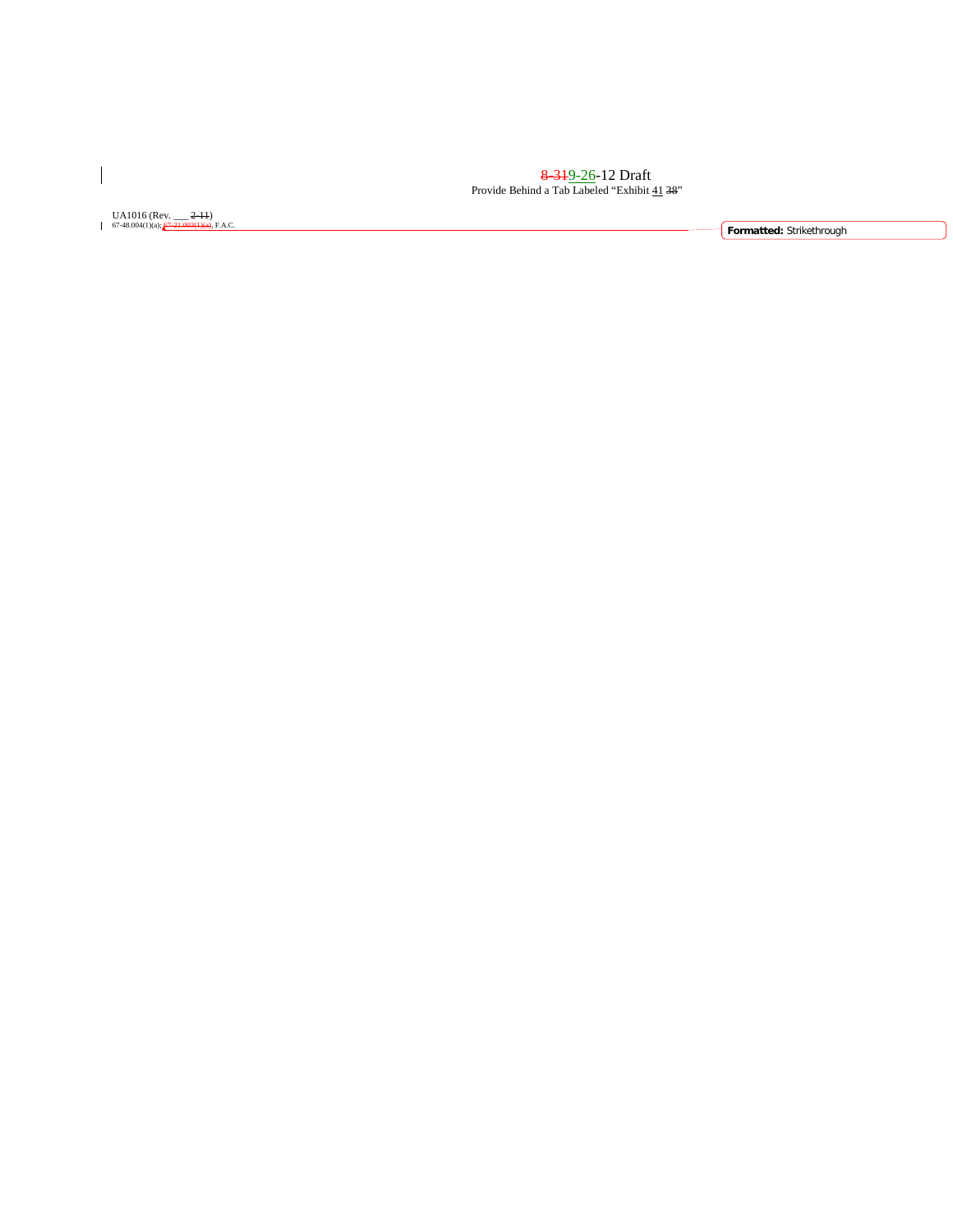<del>8 31</del>9-26-12 Draft Provide Behind a Tab Labeled "Exhibit 41 38"

UA1016 (Rev. \_\_\_ <del>2-11</del>)

 $\overline{\phantom{a}}$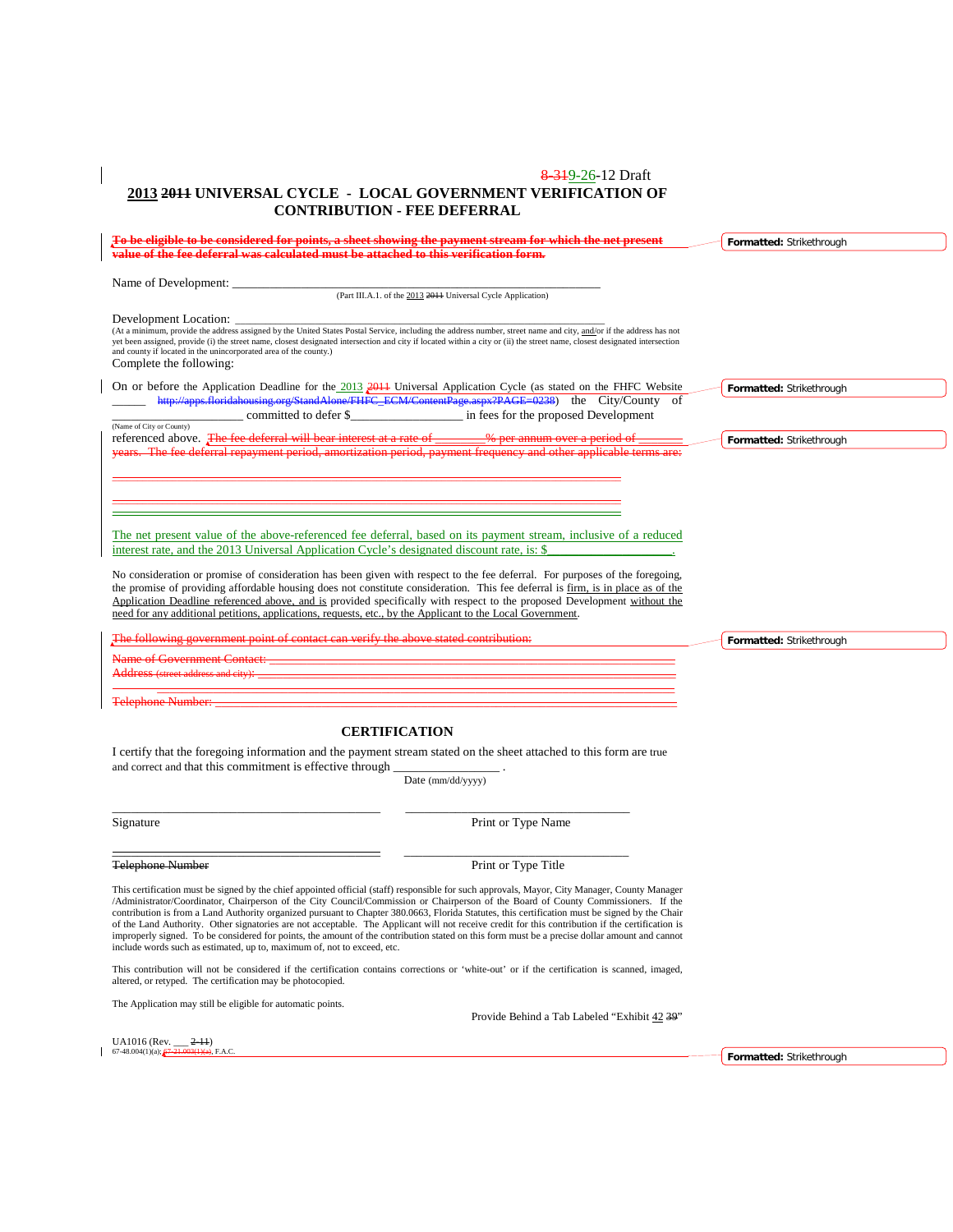### 8-319-26-12 Draft **2013 2011 UNIVERSAL CYCLE - LOCAL GOVERNMENT VERIFICATION OF CONTRIBUTION - FEE DEFERRAL**

|                                                                                                                                      | To be eligible to be considered for points, a sheet showing the payment stream for which the net present                                                                   | Formatted: Strikethrough |  |
|--------------------------------------------------------------------------------------------------------------------------------------|----------------------------------------------------------------------------------------------------------------------------------------------------------------------------|--------------------------|--|
| <del>value of the fee deferral was calculated must be attached to this verification form.</del>                                      |                                                                                                                                                                            |                          |  |
|                                                                                                                                      |                                                                                                                                                                            |                          |  |
| Name of Development:                                                                                                                 | (Part III.A.1. of the 2013 2011 Universal Cycle Application)                                                                                                               |                          |  |
|                                                                                                                                      |                                                                                                                                                                            |                          |  |
| Development Location: _                                                                                                              |                                                                                                                                                                            |                          |  |
|                                                                                                                                      | (At a minimum, provide the address assigned by the United States Postal Service, including the address number, street name and city, and/or if the address has not         |                          |  |
| and county if located in the unincorporated area of the county.)                                                                     | yet been assigned, provide (i) the street name, closest designated intersection and city if located within a city or (ii) the street name, closest designated intersection |                          |  |
| Complete the following:                                                                                                              |                                                                                                                                                                            |                          |  |
|                                                                                                                                      |                                                                                                                                                                            |                          |  |
|                                                                                                                                      | On or before the Application Deadline for the 2013 2011 Universal Application Cycle (as stated on the FHFC Website                                                         | Formatted: Strikethrough |  |
|                                                                                                                                      | http://apps.floridahousing.org/StandAlone/FHFC_ECM/ContentPage.aspx?PAGE=0238) the City/County of                                                                          |                          |  |
|                                                                                                                                      | committed to defer \$ in fees for the proposed Development                                                                                                                 |                          |  |
| (Name of City or County)<br>referenced above. The fee deferral will bear interest at a rate of _______% per annum over a period of _ |                                                                                                                                                                            | Formatted: Strikethrough |  |
|                                                                                                                                      | years. The fee deferral repayment period, amortization period, payment frequency and other applicable terms are:                                                           |                          |  |
|                                                                                                                                      |                                                                                                                                                                            |                          |  |
|                                                                                                                                      |                                                                                                                                                                            |                          |  |
|                                                                                                                                      |                                                                                                                                                                            |                          |  |
|                                                                                                                                      |                                                                                                                                                                            |                          |  |
|                                                                                                                                      |                                                                                                                                                                            |                          |  |
|                                                                                                                                      | The net present value of the above-referenced fee deferral, based on its payment stream, inclusive of a reduced                                                            |                          |  |
|                                                                                                                                      | interest rate, and the 2013 Universal Application Cycle's designated discount rate, is: \$                                                                                 |                          |  |
|                                                                                                                                      |                                                                                                                                                                            |                          |  |
|                                                                                                                                      | No consideration or promise of consideration has been given with respect to the fee deferral. For purposes of the foregoing,                                               |                          |  |
|                                                                                                                                      | the promise of providing affordable housing does not constitute consideration. This fee deferral is firm, is in place as of the                                            |                          |  |
|                                                                                                                                      | Application Deadline referenced above, and is provided specifically with respect to the proposed Development without the                                                   |                          |  |
| need for any additional petitions, applications, requests, etc., by the Applicant to the Local Government.                           |                                                                                                                                                                            |                          |  |
| The following government point of contact can verify the above stated contribution.                                                  |                                                                                                                                                                            | Formatted: Strikethrough |  |
|                                                                                                                                      |                                                                                                                                                                            |                          |  |
|                                                                                                                                      |                                                                                                                                                                            |                          |  |
| Address (street address and city):                                                                                                   |                                                                                                                                                                            |                          |  |
|                                                                                                                                      | <u> 1980 - Jan James Barnett, fransk politik (d. 1980)</u>                                                                                                                 |                          |  |
| <b>Telephone Number:</b>                                                                                                             |                                                                                                                                                                            |                          |  |
|                                                                                                                                      |                                                                                                                                                                            |                          |  |
|                                                                                                                                      | <b>CERTIFICATION</b>                                                                                                                                                       |                          |  |
|                                                                                                                                      | I certify that the foregoing information and the payment stream stated on the sheet attached to this form are true                                                         |                          |  |
| and correct and that this commitment is effective through                                                                            |                                                                                                                                                                            |                          |  |
|                                                                                                                                      | Date (mm/dd/yyyy)                                                                                                                                                          |                          |  |
|                                                                                                                                      |                                                                                                                                                                            |                          |  |
|                                                                                                                                      |                                                                                                                                                                            |                          |  |
| Signature                                                                                                                            | Print or Type Name                                                                                                                                                         |                          |  |
|                                                                                                                                      |                                                                                                                                                                            |                          |  |
|                                                                                                                                      |                                                                                                                                                                            |                          |  |
| <b>Telephone Number</b>                                                                                                              | Print or Type Title                                                                                                                                                        |                          |  |
|                                                                                                                                      | This certification must be signed by the chief appointed official (staff) responsible for such approvals, Mayor, City Manager, County Manager                              |                          |  |
|                                                                                                                                      | /Administrator/Coordinator, Chairperson of the City Council/Commission or Chairperson of the Board of County Commissioners. If the                                         |                          |  |
|                                                                                                                                      | contribution is from a Land Authority organized pursuant to Chapter 380.0663, Florida Statutes, this certification must be signed by the Chair                             |                          |  |
|                                                                                                                                      | of the Land Authority. Other signatories are not acceptable. The Applicant will not receive credit for this contribution if the certification is                           |                          |  |
|                                                                                                                                      | improperly signed. To be considered for points, the amount of the contribution stated on this form must be a precise dollar amount and cannot                              |                          |  |
| include words such as estimated, up to, maximum of, not to exceed, etc.                                                              |                                                                                                                                                                            |                          |  |
|                                                                                                                                      | This contribution will not be considered if the certification contains corrections or 'white-out' or if the certification is scanned, imaged,                              |                          |  |
| altered, or retyped. The certification may be photocopied.                                                                           |                                                                                                                                                                            |                          |  |
|                                                                                                                                      |                                                                                                                                                                            |                          |  |
| The Application may still be eligible for automatic points.                                                                          |                                                                                                                                                                            |                          |  |
|                                                                                                                                      | Provide Behind a Tab Labeled "Exhibit 42 39"                                                                                                                               |                          |  |
| $IIA1016$ (Rev<br>$2 - 11$                                                                                                           |                                                                                                                                                                            |                          |  |

UA1016 (Rev. \_\_\_ 2-11) 67-48.004(1)(a); 67-21.003(1)(a), F.A.C.

 $\overline{\phantom{a}}$ 

 $\overline{\phantom{a}}$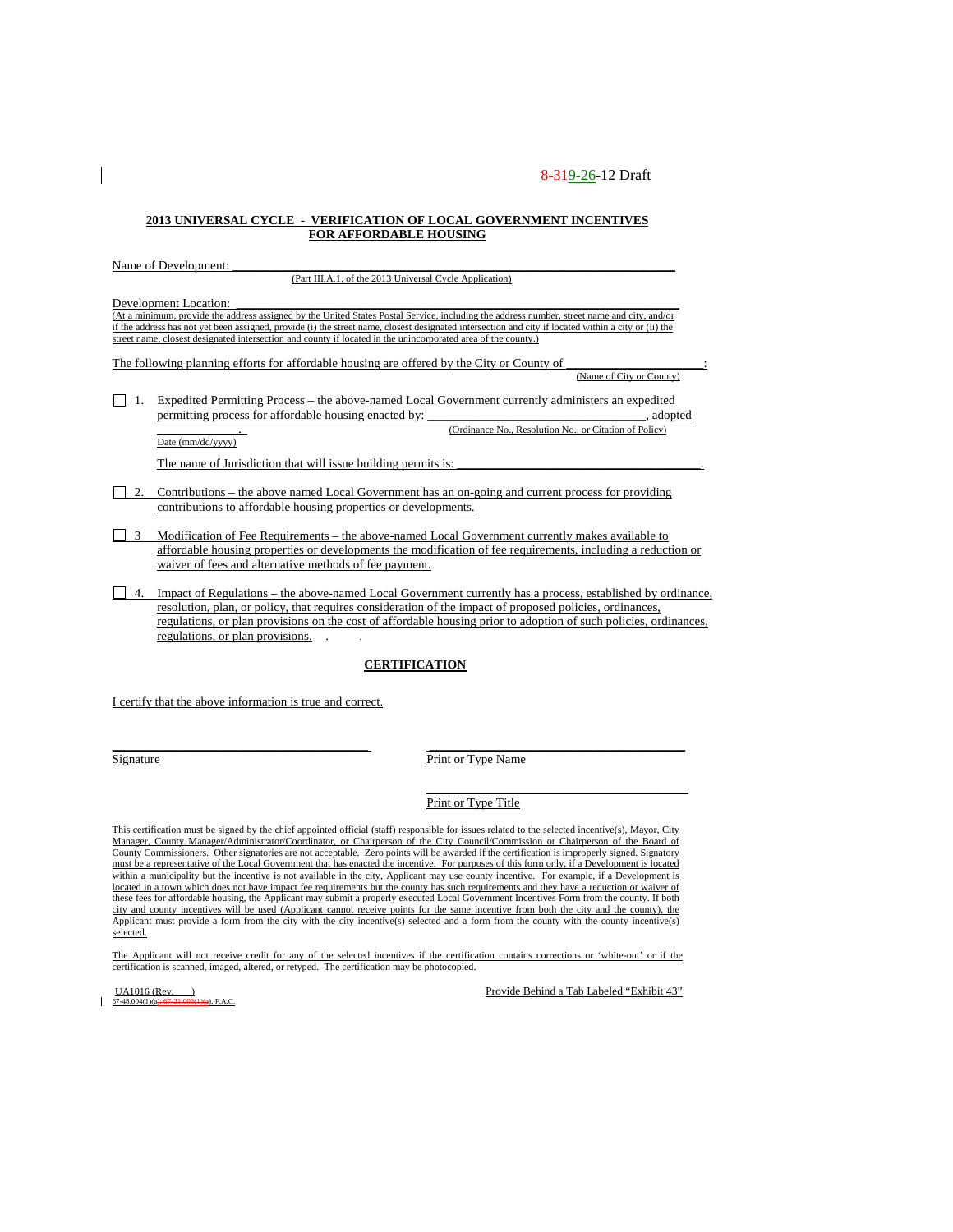\_\_\_\_\_\_\_\_\_\_\_\_\_. (Ordinance No., Resolution No., or Citation of Policy)

#### **2013 UNIVERSAL CYCLE - VERIFICATION OF LOCAL GOVERNMENT INCENTIVES FOR AFFORDABLE HOUSING**

Name of Development:

(Part III.A.1. of the 2013 Universal Cycle Application)

Development Location:

(At a minimum, provide the address assigned by the United States Postal Service, including the address number, street name and city, and/or if the address has not yet been assigned, provide (i) the street name, closest designated intersection and city if located within a city or (ii) the street name, closest designated intersection and county if located in the unincorporated area of the county.)

The following planning efforts for affordable housing are offered by the City or County of \_\_\_\_\_\_\_\_\_\_\_\_\_\_\_\_\_\_\_\_\_\_: (Name of City or County)

1. Expedited Permitting Process – the above-named Local Government currently administers an expedited permitting process for affordable housing enacted by: \_\_\_\_\_\_\_\_\_\_\_\_\_\_\_\_\_\_\_\_\_\_\_\_\_\_, adopted

Date (mm/dd/yyyy)

The name of Jurisdiction that will issue building permits is:

- 2. Contributions the above named Local Government has an on-going and current process for providing contributions to affordable housing properties or developments.
- 3 Modification of Fee Requirements the above-named Local Government currently makes available to affordable housing properties or developments the modification of fee requirements, including a reduction or waiver of fees and alternative methods of fee payment.
- 4. Impact of Regulations the above-named Local Government currently has a process, established by ordinance, resolution, plan, or policy, that requires consideration of the impact of proposed policies, ordinances, regulations, or plan provisions on the cost of affordable housing prior to adoption of such policies, ordinances, regulations, or plan provisions. . .

#### **CERTIFICATION**

I certify that the above information is true and correct.

\_\_\_\_\_\_\_\_\_\_\_\_\_\_\_\_\_\_\_\_\_\_\_\_\_\_\_\_\_\_\_\_\_\_\_\_\_\_\_\_\_ \_\_\_\_\_\_\_\_\_\_\_\_\_\_\_\_\_\_\_\_\_\_\_\_\_\_\_\_\_\_\_\_\_\_\_\_\_\_\_\_\_ Signature Print or Type Name

> \_\_\_\_\_\_\_\_\_\_\_\_\_\_\_\_\_\_\_\_\_\_\_\_\_\_\_\_\_\_\_\_\_\_\_\_\_\_\_\_\_\_ Print or Type Title

This certification must be signed by the chief appointed official (staff) responsible for issues related to the selected incentive(s), Mayor, City Manager, County Manager/Administrator/Coordinator, or Chairperson of the City Council/Commission or Chairperson of the Board of County Commissioners. Other signatories are not acceptable. Zero points will be awarded if the certification is improperly signed. Signatory must be a representative of the Local Government that has enacted the incentive. For purposes of this form only, if a Development is located within a municipality but the incentive is not available in the city, Applicant may use county incentive. For example, if a Development is located in a town which does not have impact fee requirements but the county has such requirements and they have a reduction or waiver of these fees for affordable housing, the Applicant may submit a properly executed Local Government Incentives Form from the county. If both city and county incentives will be used (Applicant cannot receive points for the same incentive from both the city and the county), the Applicant must provide a form from the city with the city incentive(s) selected and a form from the county with the county incentive(s) selected.

The Applicant will not receive credit for any of the selected incentives if the certification contains corrections or 'white-out' or if the certification is scanned, imaged, altered, or retyped. The certification may be photocopied.

 $67-48.004(1)(a)$ 

 $\underline{UAD16 (Rev.)}$ <br>  $\underline{O748,004(1)(a+67-21,0034)}$  F.A.C.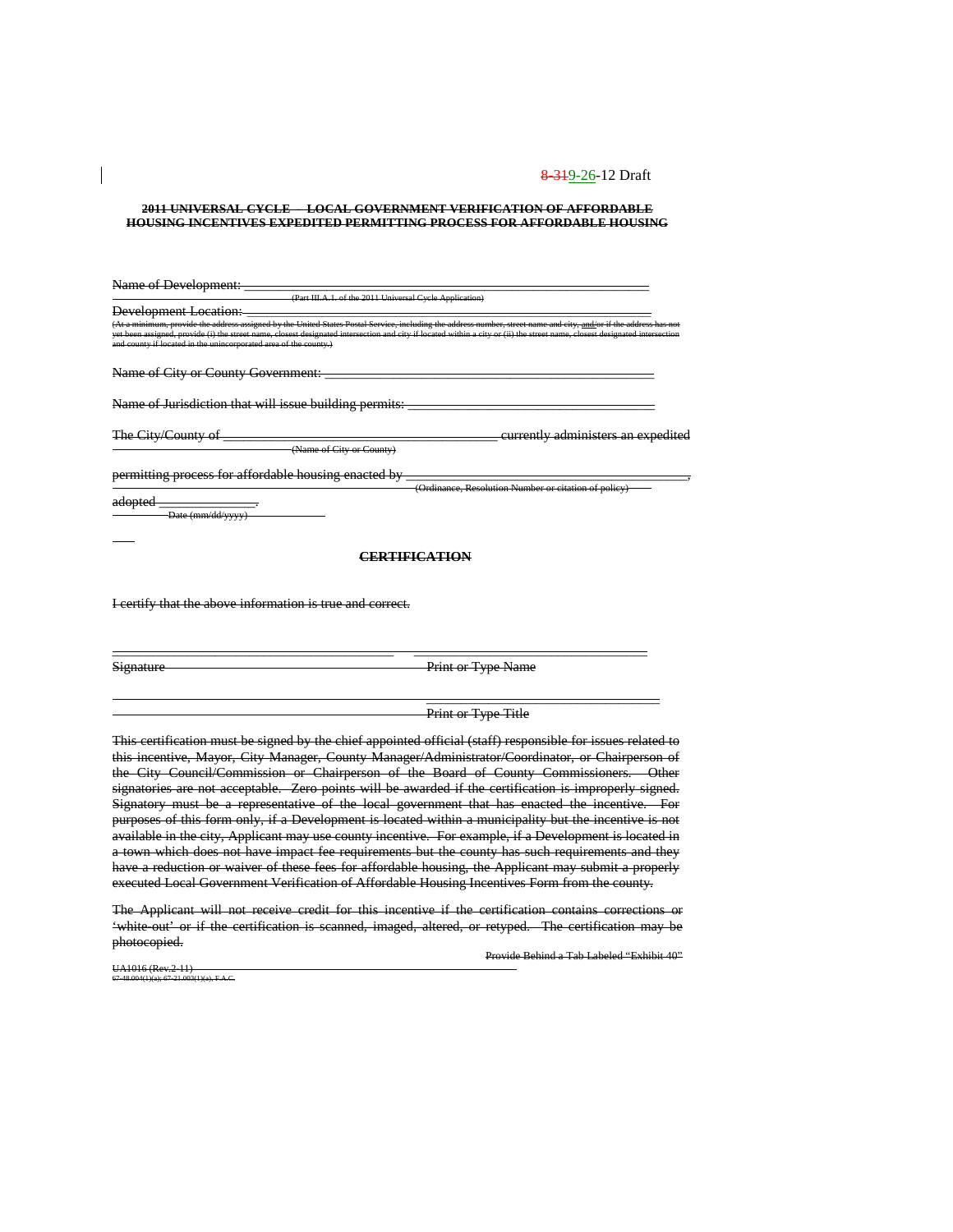#### **2011 UNIVERSAL CYCLE - LOCAL GOVERNMENT VERIFICATION OF AFFORDABLE HOUSING INCENTIVES EXPEDITED PERMITTING PROCESS FOR AFFORDABLE HOUSING**

| Name of Development:                                                                                                                                                                                                                                                                                                                                                                                                 |
|----------------------------------------------------------------------------------------------------------------------------------------------------------------------------------------------------------------------------------------------------------------------------------------------------------------------------------------------------------------------------------------------------------------------|
| (Part III.A.1. of the 2011 Universal Cycle Application)                                                                                                                                                                                                                                                                                                                                                              |
| <b>Development Location:</b>                                                                                                                                                                                                                                                                                                                                                                                         |
| (At a minimum, provide the address assigned by the United States Postal Service, including the address number, street name and city, and/or if the address has not<br>yet been assigned, provide (i) the street name, closest designated intersection and city if located within a city or (ii) the street name, closest designated intersection<br>and county if located in the unincorporated area of the county.) |
| Name of City or County Government:                                                                                                                                                                                                                                                                                                                                                                                   |
| Name of Jurisdiction that will issue building permits:                                                                                                                                                                                                                                                                                                                                                               |
| The City/County of<br><del>eurrently administers an expeditec</del><br>(Name of City or County)                                                                                                                                                                                                                                                                                                                      |
| permitting process for affordable housing enacted by<br>(Ordinance, Resolution Number or citation of policy)                                                                                                                                                                                                                                                                                                         |
| <del>adopted</del><br>Date (mm/dd/yyyy)                                                                                                                                                                                                                                                                                                                                                                              |
| DTIFI <i>c</i> a ti <i>c</i>                                                                                                                                                                                                                                                                                                                                                                                         |

I certify that the above information is true and correct.

| Gi <u>anatur</u> |  |  |  |  |
|------------------|--|--|--|--|
| vienaa           |  |  |  |  |

Print or Type Name

#### **Print or Type Title**

 $\overline{\phantom{a}}$  , and the contribution of the contribution of  $\overline{\phantom{a}}$ 

This certification must be signed by the chief appointed official (staff) responsible for issues related to this incentive, Mayor, City Manager, County Manager/Administrator/Coordinator, or Chairperson of the City Council/Commission or Chairperson of the Board of County Commissioners. Other signatories are not acceptable. Zero points will be awarded if the certification is improperly signed. Signatory must be a representative of the local government that has enacted the incentive. For purposes of this form only, if a Development is located within a municipality but the incentive is not available in the city, Applicant may use county incentive. For example, if a Development is located in a town which does not have impact fee requirements but the county has such requirements and they have a reduction or waiver of these fees for affordable housing, the Applicant may submit a properly executed Local Government Verification of Affordable Housing Incentives Form from the county.

\_\_\_\_\_\_\_\_\_\_\_\_\_\_\_\_\_\_\_\_\_\_\_\_\_\_\_\_\_\_\_\_\_\_\_\_\_\_\_\_\_ \_\_\_\_\_\_\_\_\_\_\_\_\_\_\_\_\_\_\_\_\_\_\_\_\_\_\_\_\_\_\_\_\_\_

The Applicant will not receive credit for this incentive if the certification contains corrections or 'white-out' or if the certification is scanned, imaged, altered, or retyped. The certification may be photocopied.

Provide Behind a Tab Labeled "Exhibit 40"

UA1016 (Rev.2-11) 67-48.004(1)(a); 67-21.003(1)(a), F.A.C.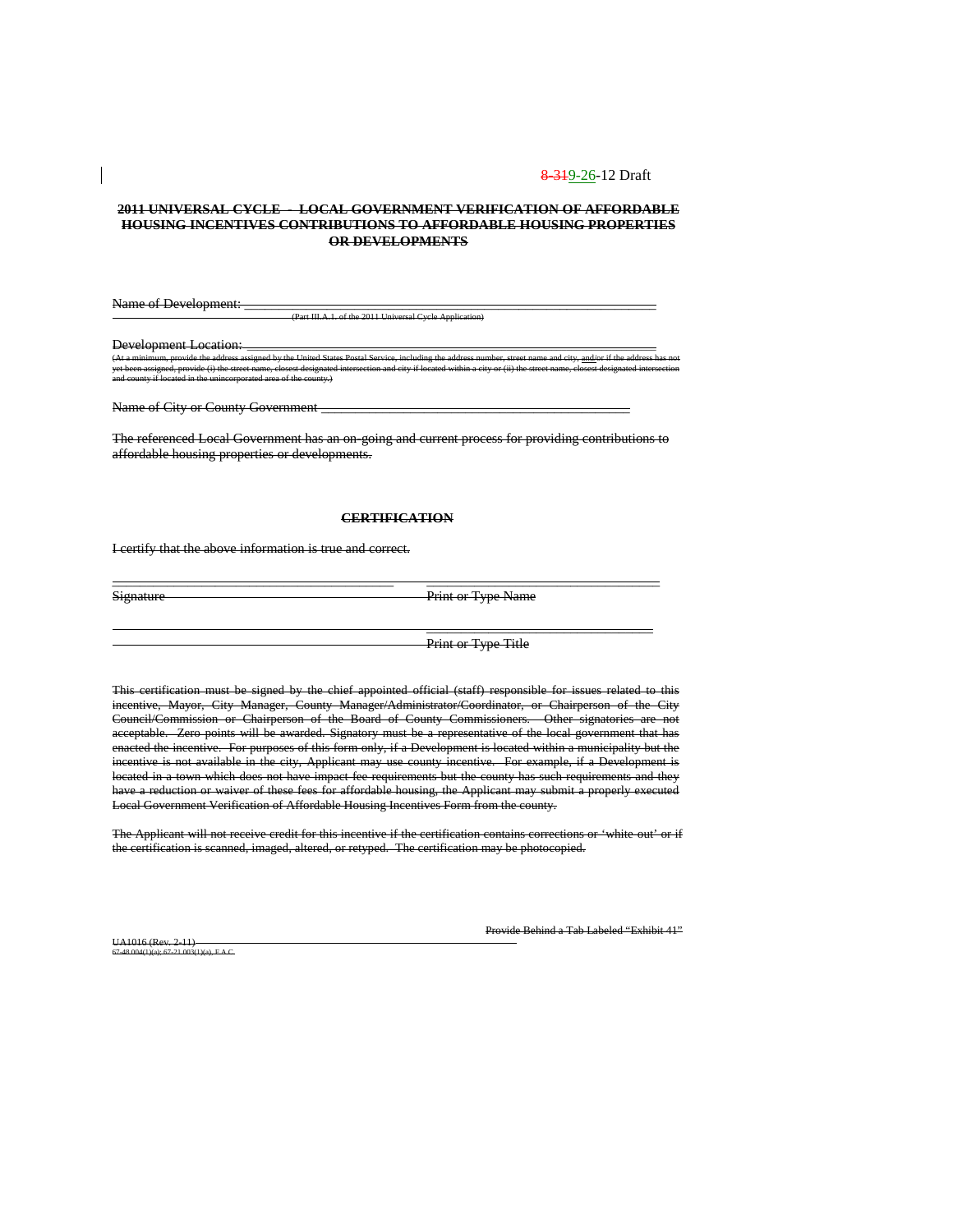#### **2011 UNIVERSAL CYCLE - LOCAL GOVERNMENT VERIFICATION OF AFFORDABLE HOUSING INCENTIVES CONTRIBUTIONS TO AFFORDABLE HOUSING PROPERTIES OR DEVELOPMENTS**

Name of Development: (Part III.A.1. of the 2011 Universal Cycle Application)

Development Location:

(At a minimum, provide the address assigned by the United States Postal Service, including the address number, street name and city, <u>and/</u>or if the address has not yet been assigned, provide (i) the street name, closest designated intersection and city if located within a city or (ii) the street name, closest designated intersection and county if located in the unincorporated area of the county.)

Name of City or County Government

The referenced Local Government has an on-going and current process for providing contributions to affordable housing properties or developments.

#### **CERTIFICATION**

\_\_\_\_\_\_\_\_\_\_\_\_\_\_\_\_\_\_\_\_\_\_\_\_\_\_\_\_\_\_\_\_\_\_\_\_\_\_\_\_\_ \_\_\_\_\_\_\_\_\_\_\_\_\_\_\_\_\_\_\_\_\_\_\_\_\_\_\_\_\_\_\_\_\_\_

I certify that the above information is true and correct.

Signature Print or Type Name

 $\overline{\phantom{a}}$  , and the contribution of the contribution of  $\overline{\phantom{a}}$ 

Print or Type Title

This certification must be signed by the chief appointed official (staff) responsible for issues related to this incentive, Mayor, City Manager, County Manager/Administrator/Coordinator, or Chairperson of the City Council/Commission or Chairperson of the Board of County Commissioners. Other signatories are not acceptable. Zero points will be awarded. Signatory must be a representative of the local government that has enacted the incentive. For purposes of this form only, if a Development is located within a municipality but the incentive is not available in the city, Applicant may use county incentive. For example, if a Development is located in a town which does not have impact fee requirements but the county has such requirements and they have a reduction or waiver of these fees for affordable housing, the Applicant may submit a properly executed Local Government Verification of Affordable Housing Incentives Form from the county.

The Applicant will not receive credit for this incentive if the certification contains corrections or 'white-out' or if the certification is scanned, imaged, altered, or retyped. The certification may be photocopied.

UA1016 (Rev. 2-11)  $F A C$  Provide Behind a Tab Labeled "Exhibit 41"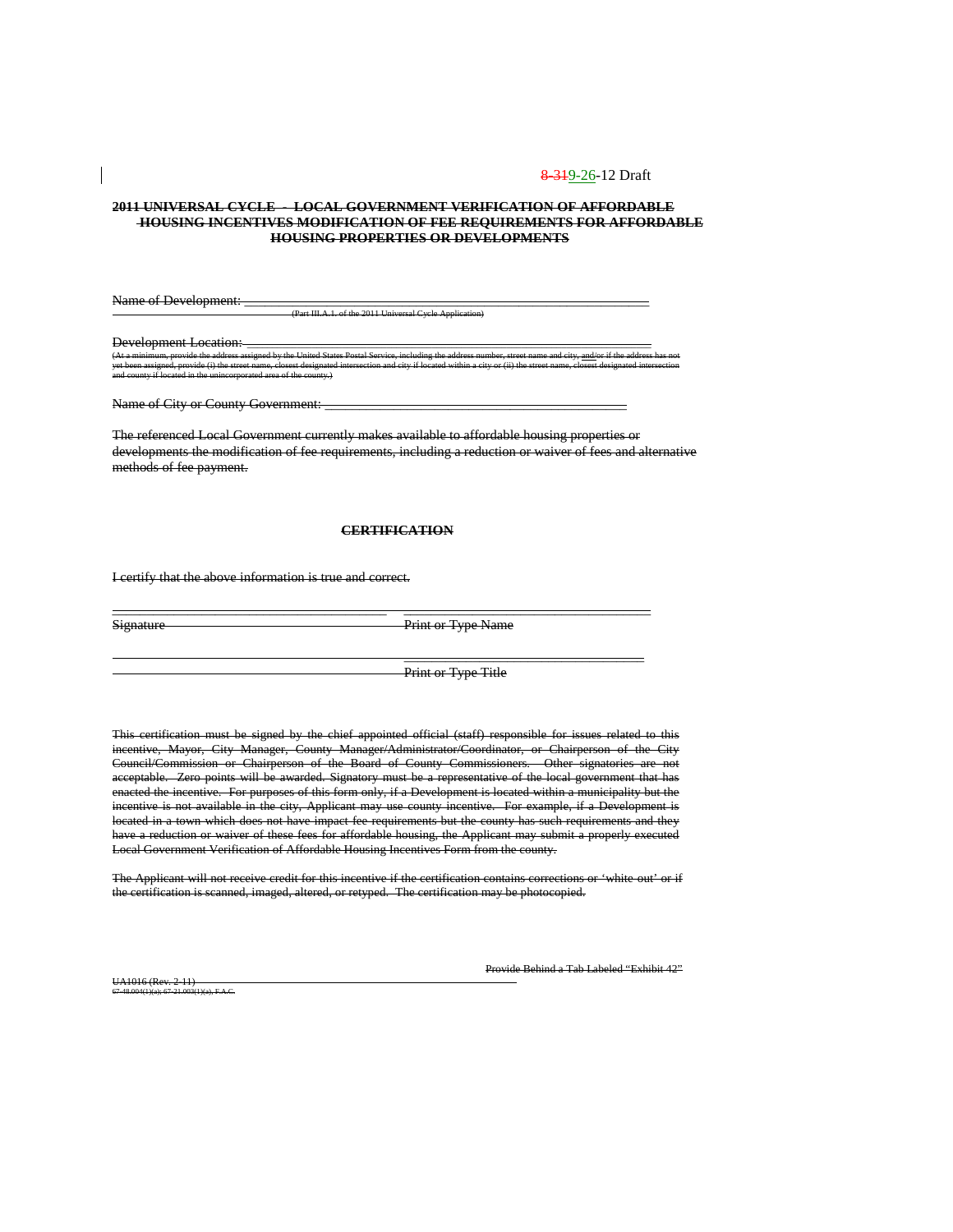#### **2011 UNIVERSAL CYCLE - LOCAL GOVERNMENT VERIFICATION OF AFFORDABLE HOUSING INCENTIVES MODIFICATION OF FEE REQUIREMENTS FOR AFFORDABLE HOUSING PROPERTIES OR DEVELOPMENTS**

Name of Development:

(Part III.A.1. of the 2011 Universal Cycle Application)

Development Location:<br>  $(At a minimum\_provides the address.)$ (At a minimum, provide the address assigned by the United States Postal Service, including the address number, street name and city, <u>and/</u>or if the address has not yet been assigned, provide (i) the street name, closest designated intersection and city if located within a city or (ii) the street name, closest designated intersection and county if located in the unincorporated area of the county.)

Name of City or County Government: \_\_\_\_\_\_\_\_\_\_\_\_\_\_\_\_\_\_\_\_\_\_\_\_\_\_\_\_\_\_\_\_\_\_\_\_\_\_\_\_\_\_\_\_

The referenced Local Government currently makes available to affordable housing properties or developments the modification of fee requirements, including a reduction or waiver of fees and alternative methods of fee payment.

### **CERTIFICATION**

\_\_\_\_\_\_\_\_\_\_\_\_\_\_\_\_\_\_\_\_\_\_\_\_\_\_\_\_\_\_\_\_\_\_\_\_\_\_\_\_ \_\_\_\_\_\_\_\_\_\_\_\_\_\_\_\_\_\_\_\_\_\_\_\_\_\_\_\_\_\_\_\_\_\_\_\_

I certify that the above information is true and correct.

Signature Print or Type Name

Print or Type Title

 $\overline{\phantom{a}}$  , and the contract of the contract of the contract of the contract of the contract of the contract of the contract of the contract of the contract of the contract of the contract of the contract of the contrac

This certification must be signed by the chief appointed official (staff) responsible for issues related to this incentive, Mayor, City Manager, County Manager/Administrator/Coordinator, or Chairperson of the City Council/Commission or Chairperson of the Board of County Commissioners. Other signatories are not acceptable. Zero points will be awarded. Signatory must be a representative of the local government that has enacted the incentive. For purposes of this form only, if a Development is located within a municipality but the incentive is not available in the city, Applicant may use county incentive. For example, if a Development is located in a town which does not have impact fee requirements but the county has such requirements and they have a reduction or waiver of these fees for affordable housing, the Applicant may submit a properly executed Local Government Verification of Affordable Housing Incentives Form from the county.

The Applicant will not receive credit for this incentive if the certification contains corrections or 'white-out' or if the certification is scanned, imaged, altered, or retyped. The certification may be photocopied.

Provide Behind a Tab Labeled "Exhibit 42"

UA1016 (Rev. 2-11) 67-48.004(1)(a); 67-21.003(1)(a), F.A.C.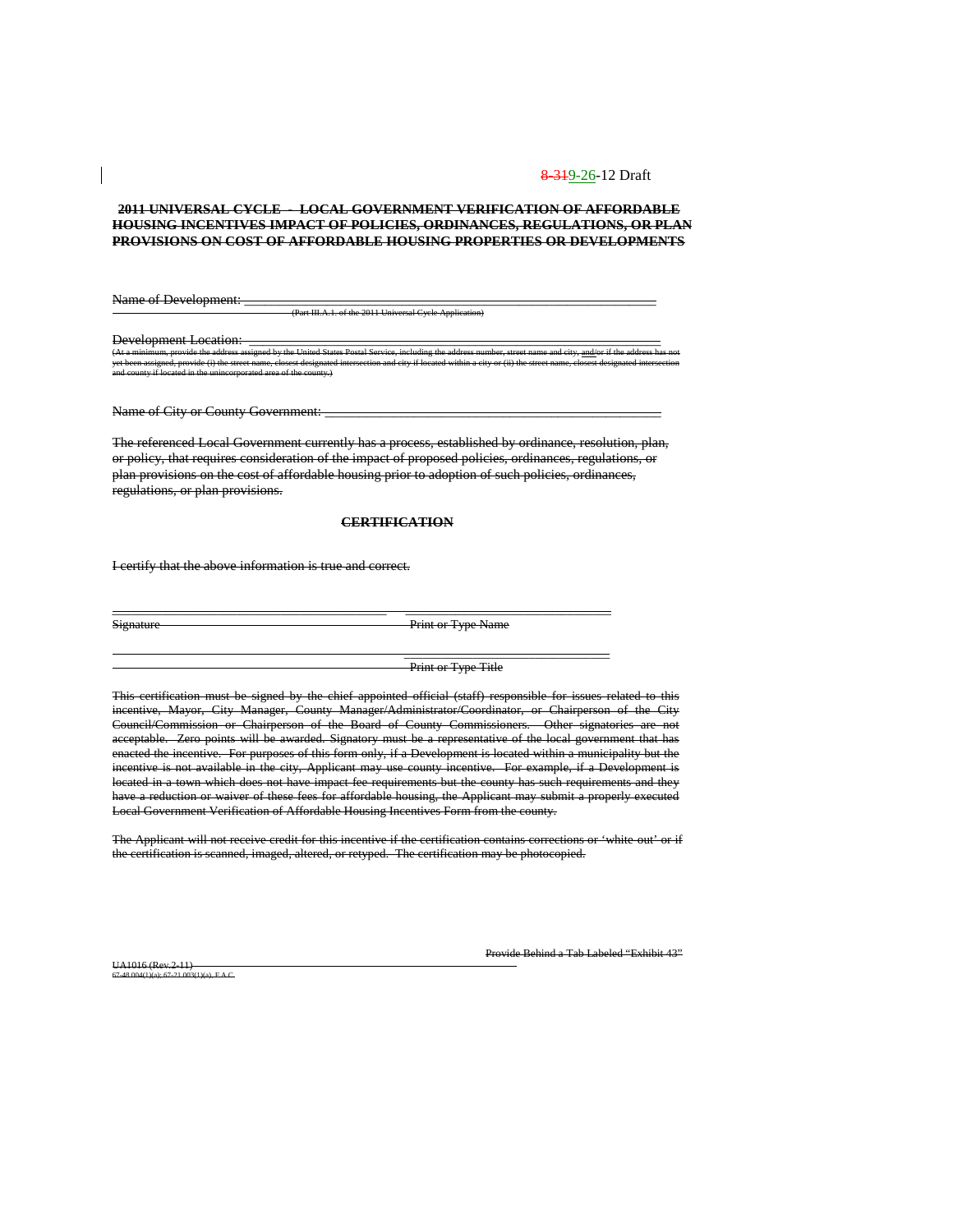#### **2011 UNIVERSAL CYCLE - LOCAL GOVERNMENT VERIFICATION OF AFFORDABLE HOUSING INCENTIVES IMPACT OF POLICIES, ORDINANCES, REGULATIONS, OR PLAN PROVISIONS ON COST OF AFFORDABLE HOUSING PROPERTIES OR DEVELOPMENTS**

Name of Development: (Part III.A.1. of the 2011 Universal Cycle Application)

Development Location: \_<br>(At a minimum provide the address assigned by the United States Postal S (At a minimum, provide the address assigned by the United States Postal Service, including the address number, street name and city, <u>and/</u>or if the address has not yet been assigned, provide (i) the street name, closest designated intersection and city if located within a city or (ii) the street name, closest designated intersection and county if located in the unincorporated area of the county.)

Name of City or County Government: \_\_\_\_\_\_\_\_\_\_\_\_\_\_\_\_\_\_\_\_\_\_\_\_\_\_\_\_\_\_\_\_\_\_\_\_\_\_\_\_\_\_\_\_\_\_\_\_\_

The referenced Local Government currently has a process, established by ordinance, resolution, plan, or policy, that requires consideration of the impact of proposed policies, ordinances, regulations, or plan provisions on the cost of affordable housing prior to adoption of such policies, ordinances, regulations, or plan provisions.

#### **CERTIFICATION**

\_\_\_\_\_\_\_\_\_\_\_\_\_\_\_\_\_\_\_\_\_\_\_\_\_\_\_\_\_\_\_\_\_\_\_\_\_\_\_\_\_\_\_\_ \_\_\_\_\_\_\_\_\_\_\_\_\_\_\_\_\_\_\_\_\_\_\_\_\_\_\_\_\_\_\_\_\_

I certify that the above information is true and correct.

Signature Print or Type Name

Print or Type Title

 $\overline{\phantom{a}}$  ,  $\overline{\phantom{a}}$  ,  $\overline{\phantom{a}}$  ,  $\overline{\phantom{a}}$  ,  $\overline{\phantom{a}}$  ,  $\overline{\phantom{a}}$  ,  $\overline{\phantom{a}}$  ,  $\overline{\phantom{a}}$  ,  $\overline{\phantom{a}}$  ,  $\overline{\phantom{a}}$  ,  $\overline{\phantom{a}}$  ,  $\overline{\phantom{a}}$  ,  $\overline{\phantom{a}}$  ,  $\overline{\phantom{a}}$  ,  $\overline{\phantom{a}}$  ,  $\overline{\phantom{a}}$ 

This certification must be signed by the chief appointed official (staff) responsible for issues related to this incentive, Mayor, City Manager, County Manager/Administrator/Coordinator, or Chairperson of the City Council/Commission or Chairperson of the Board of County Commissioners. Other signatories are not acceptable. Zero points will be awarded. Signatory must be a representative of the local government that has enacted the incentive. For purposes of this form only, if a Development is located within a municipality but the incentive is not available in the city, Applicant may use county incentive. For example, if a Development is located in a town which does not have impact fee requirements but the county has such requirements and they have a reduction or waiver of these fees for affordable housing, the Applicant may submit a properly executed Local Government Verification of Affordable Housing Incentives Form from the county.

The Applicant will not receive credit for this incentive if the certification contains corrections or 'white-out' or if the certification is scanned, imaged, altered, or retyped. The certification may be photocopied.

UA1016 (Rev.2-11) 67-48.004(1)(a); 67-21.003(1)(a), F.A.C. Provide Behind a Tab Labeled "Exhibit 43"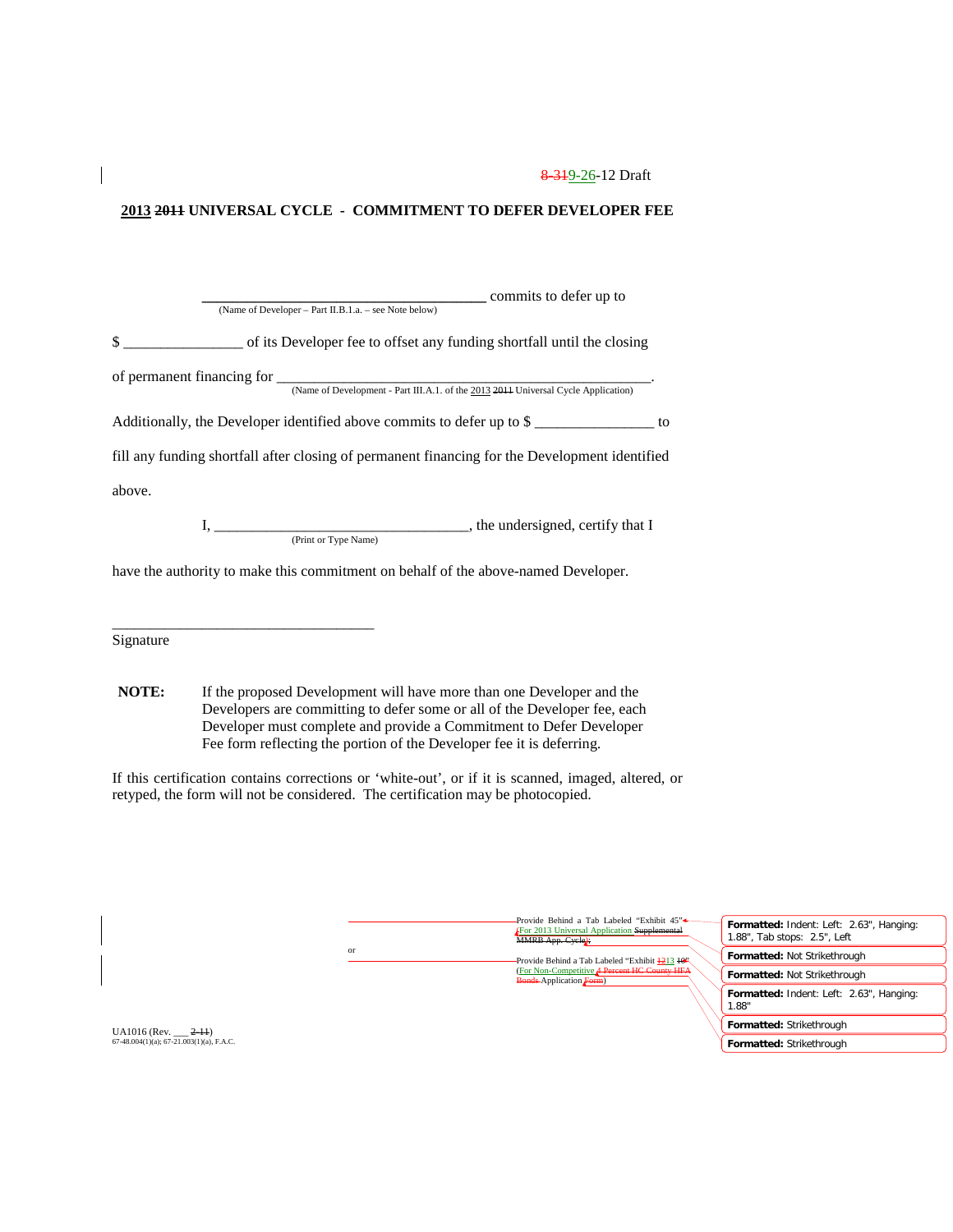### **2013 2011 UNIVERSAL CYCLE - COMMITMENT TO DEFER DEVELOPER FEE**

| commits to defer up to                                                                                           |
|------------------------------------------------------------------------------------------------------------------|
| (Name of Developer - Part II.B.1.a. - see Note below)                                                            |
| $\mathbb{S}$<br>of its Developer fee to offset any funding shortfall until the closing                           |
| of permanent financing for<br>(Name of Development - Part III.A.1. of the 2013 2011 Universal Cycle Application) |
| Additionally, the Developer identified above commits to defer up to $\frac{1}{2}$ ___________________ to         |
| fill any funding shortfall after closing of permanent financing for the Development identified                   |
| above.                                                                                                           |
| (Print or Type Name)                                                                                             |
|                                                                                                                  |

have the authority to make this commitment on behalf of the above-named Developer.

Signature

\_\_\_\_\_\_\_\_\_\_\_\_\_\_\_\_\_\_\_\_\_\_\_\_\_\_\_\_\_\_\_\_\_\_\_

**NOTE:** If the proposed Development will have more than one Developer and the Developers are committing to defer some or all of the Developer fee, each Developer must complete and provide a Commitment to Defer Developer Fee form reflecting the portion of the Developer fee it is deferring.

If this certification contains corrections or 'white-out', or if it is scanned, imaged, altered, or retyped, the form will not be considered. The certification may be photocopied.

|               | -Provide Behind a Tab Labeled "Exhibit 45" <sup>+</sup><br><b>For 2013 Universal Application Supplemental</b><br>MMRB App. Cycle); | Formatted: Indent: Left: 2.63", Hanging:<br>1.88", Tab stops: 2.5", Left |
|---------------|------------------------------------------------------------------------------------------------------------------------------------|--------------------------------------------------------------------------|
| <sub>or</sub> | Provide Behind a Tab Labeled "Exhibit 4213 46".                                                                                    | Formatted: Not Strikethrough                                             |
|               | (For Non-Competitive A Percent HC County HFA<br><b>Bonds-Application Form)</b>                                                     | Formatted: Not Strikethrough                                             |
|               |                                                                                                                                    | Formatted: Indent: Left: 2.63", Hanging:<br>1.88"                        |
|               |                                                                                                                                    | Formatted: Strikethrough                                                 |
|               |                                                                                                                                    | Formatted: Strikethrough                                                 |

UA1016 (Rev. \_\_\_ <del>2-11</del>)<br>67-48.004(1)(a); 67-21.003(1)(a), F.A.C.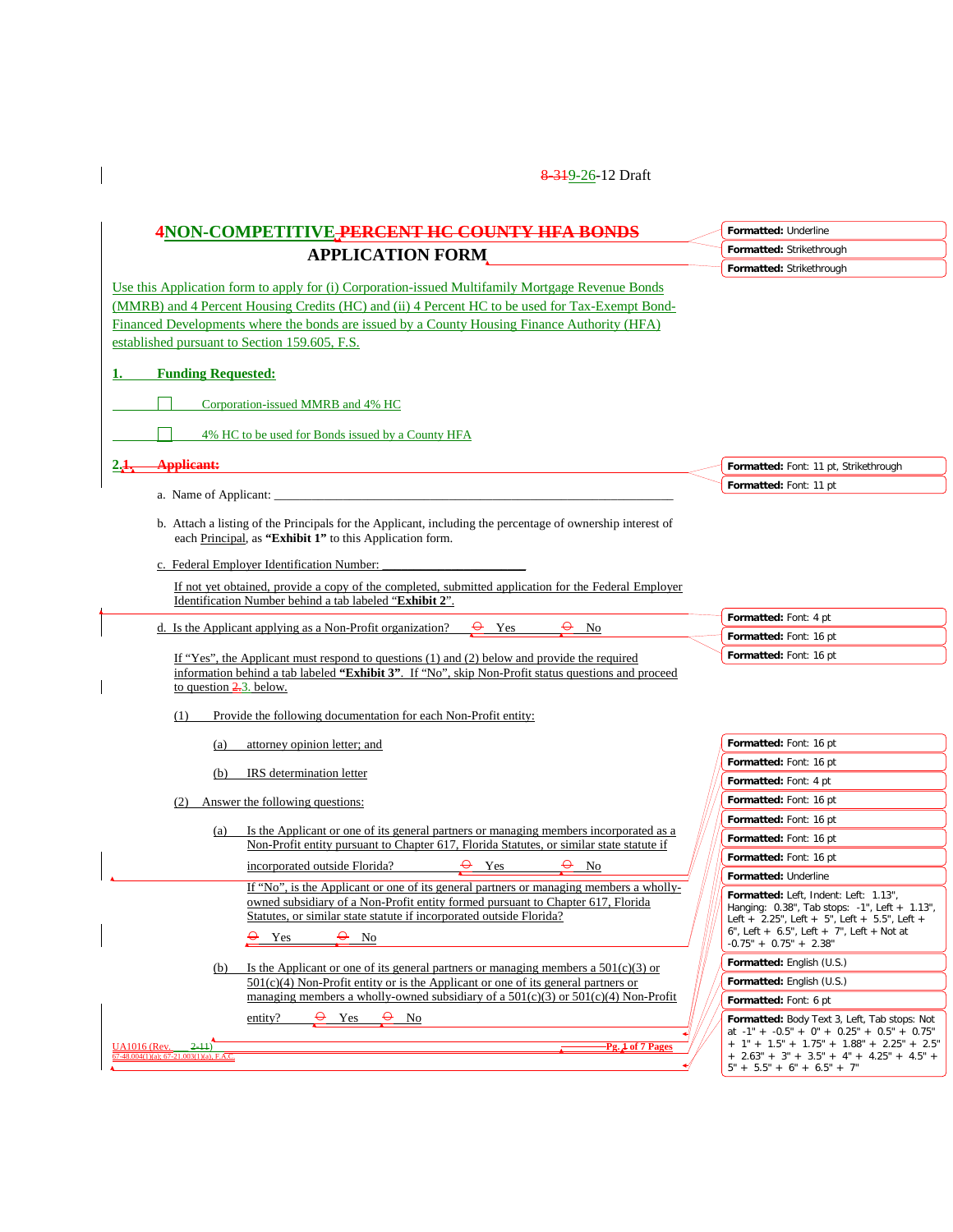$\begin{array}{c} \hline \end{array}$ 

| 4NON-COMPETITIVE PERCENT HC COUNTY HFA BONDS                                                                                                                                                                                                                                    | Formatted: Underline                                                                                                                                                                                                        |
|---------------------------------------------------------------------------------------------------------------------------------------------------------------------------------------------------------------------------------------------------------------------------------|-----------------------------------------------------------------------------------------------------------------------------------------------------------------------------------------------------------------------------|
| <b>APPLICATION FORM</b>                                                                                                                                                                                                                                                         | Formatted: Strikethrough                                                                                                                                                                                                    |
|                                                                                                                                                                                                                                                                                 | Formatted: Strikethrough                                                                                                                                                                                                    |
| Use this Application form to apply for (i) Corporation-issued Multifamily Mortgage Revenue Bonds                                                                                                                                                                                |                                                                                                                                                                                                                             |
| (MMRB) and 4 Percent Housing Credits (HC) and (ii) 4 Percent HC to be used for Tax-Exempt Bond-                                                                                                                                                                                 |                                                                                                                                                                                                                             |
| Financed Developments where the bonds are issued by a County Housing Finance Authority (HFA)                                                                                                                                                                                    |                                                                                                                                                                                                                             |
| established pursuant to Section 159.605, F.S.                                                                                                                                                                                                                                   |                                                                                                                                                                                                                             |
| <b>Funding Requested:</b>                                                                                                                                                                                                                                                       |                                                                                                                                                                                                                             |
| Corporation-issued MMRB and 4% HC                                                                                                                                                                                                                                               |                                                                                                                                                                                                                             |
| 4% HC to be used for Bonds issued by a County HFA                                                                                                                                                                                                                               |                                                                                                                                                                                                                             |
| <b>Applicant:</b>                                                                                                                                                                                                                                                               | Formatted: Font: 11 pt, Strikethrough                                                                                                                                                                                       |
|                                                                                                                                                                                                                                                                                 | Formatted: Font: 11 pt                                                                                                                                                                                                      |
| a. Name of Applicant:                                                                                                                                                                                                                                                           |                                                                                                                                                                                                                             |
| b. Attach a listing of the Principals for the Applicant, including the percentage of ownership interest of<br>each Principal, as "Exhibit 1" to this Application form.                                                                                                          |                                                                                                                                                                                                                             |
| c. Federal Employer Identification Number:                                                                                                                                                                                                                                      |                                                                                                                                                                                                                             |
| If not yet obtained, provide a copy of the completed, submitted application for the Federal Employer<br>Identification Number behind a tab labeled "Exhibit 2".                                                                                                                 |                                                                                                                                                                                                                             |
|                                                                                                                                                                                                                                                                                 | Formatted: Font: 4 pt                                                                                                                                                                                                       |
| d. Is the Applicant applying as a Non-Profit organization?<br>$\Theta$ No<br>Yes                                                                                                                                                                                                | Formatted: Font: 16 pt                                                                                                                                                                                                      |
| If "Yes", the Applicant must respond to questions (1) and (2) below and provide the required<br>information behind a tab labeled "Exhibit 3". If "No", skip Non-Profit status questions and proceed                                                                             | Formatted: Font: 16 pt                                                                                                                                                                                                      |
| to question $\frac{2}{3}$ , below.                                                                                                                                                                                                                                              |                                                                                                                                                                                                                             |
|                                                                                                                                                                                                                                                                                 |                                                                                                                                                                                                                             |
| Provide the following documentation for each Non-Profit entity:<br>(1)                                                                                                                                                                                                          |                                                                                                                                                                                                                             |
| attorney opinion letter; and<br>(a)                                                                                                                                                                                                                                             | Formatted: Font: 16 pt                                                                                                                                                                                                      |
|                                                                                                                                                                                                                                                                                 | Formatted: Font: 16 pt                                                                                                                                                                                                      |
| IRS determination letter<br>(b)                                                                                                                                                                                                                                                 | Formatted: Font: 4 pt                                                                                                                                                                                                       |
| Answer the following questions:                                                                                                                                                                                                                                                 | Formatted: Font: 16 pt                                                                                                                                                                                                      |
|                                                                                                                                                                                                                                                                                 | Formatted: Font: 16 pt                                                                                                                                                                                                      |
| Is the Applicant or one of its general partners or managing members incorporated as a<br>(a)<br>Non-Profit entity pursuant to Chapter 617, Florida Statutes, or similar state statute if                                                                                        | Formatted: Font: 16 pt                                                                                                                                                                                                      |
| incorporated outside Florida?<br>$\Theta$ Yes<br>$\Theta$ No                                                                                                                                                                                                                    | Formatted: Font: 16 pt                                                                                                                                                                                                      |
|                                                                                                                                                                                                                                                                                 | Formatted: Underline                                                                                                                                                                                                        |
| If "No", is the Applicant or one of its general partners or managing members a wholly-<br>owned subsidiary of a Non-Profit entity formed pursuant to Chapter 617, Florida<br>Statutes, or similar state statute if incorporated outside Florida?<br>$\theta$ No<br>$\Theta$ Yes | Formatted: Left, Indent: Left: 1.13",<br>Hanging: 0.38", Tab stops: -1", Left + 1.13",<br>Left + $2.25$ ", Left + $5$ ", Left + $5.5$ ", Left +<br>6", Left + $6.5$ ", Left + $7$ ", Left + Not at                          |
|                                                                                                                                                                                                                                                                                 | $-0.75" + 0.75" + 2.38"$                                                                                                                                                                                                    |
| Is the Applicant or one of its general partners or managing members a $501(c)(3)$ or<br>(b)                                                                                                                                                                                     | Formatted: English (U.S.)                                                                                                                                                                                                   |
| $501(c)(4)$ Non-Profit entity or is the Applicant or one of its general partners or<br>managing members a wholly-owned subsidiary of a $501(c)(3)$ or $501(c)(4)$ Non-Profit                                                                                                    | Formatted: English (U.S.)                                                                                                                                                                                                   |
| $\Theta$ Yes<br>$\theta$ No<br>entity?                                                                                                                                                                                                                                          | Formatted: Font: 6 pt                                                                                                                                                                                                       |
| <b>UA1016</b> (Rev.<br>$2-11$<br>Pg. 1 of 7 Pages<br>$67-48.004(1)(a)$ : $67-21.003(1)(a)$ , F.A.C.                                                                                                                                                                             | Formatted: Body Text 3, Left, Tab stops: Not<br>at $-1" + -0.5" + 0" + 0.25" + 0.5" + 0.75"$<br>$+ 1" + 1.5" + 1.75" + 1.88" + 2.25" + 2.5"$<br>$+ 2.63" + 3" + 3.5" + 4" + 4.25" + 4.5" +$<br>$5" + 5.5" + 6" + 6.5" + 7"$ |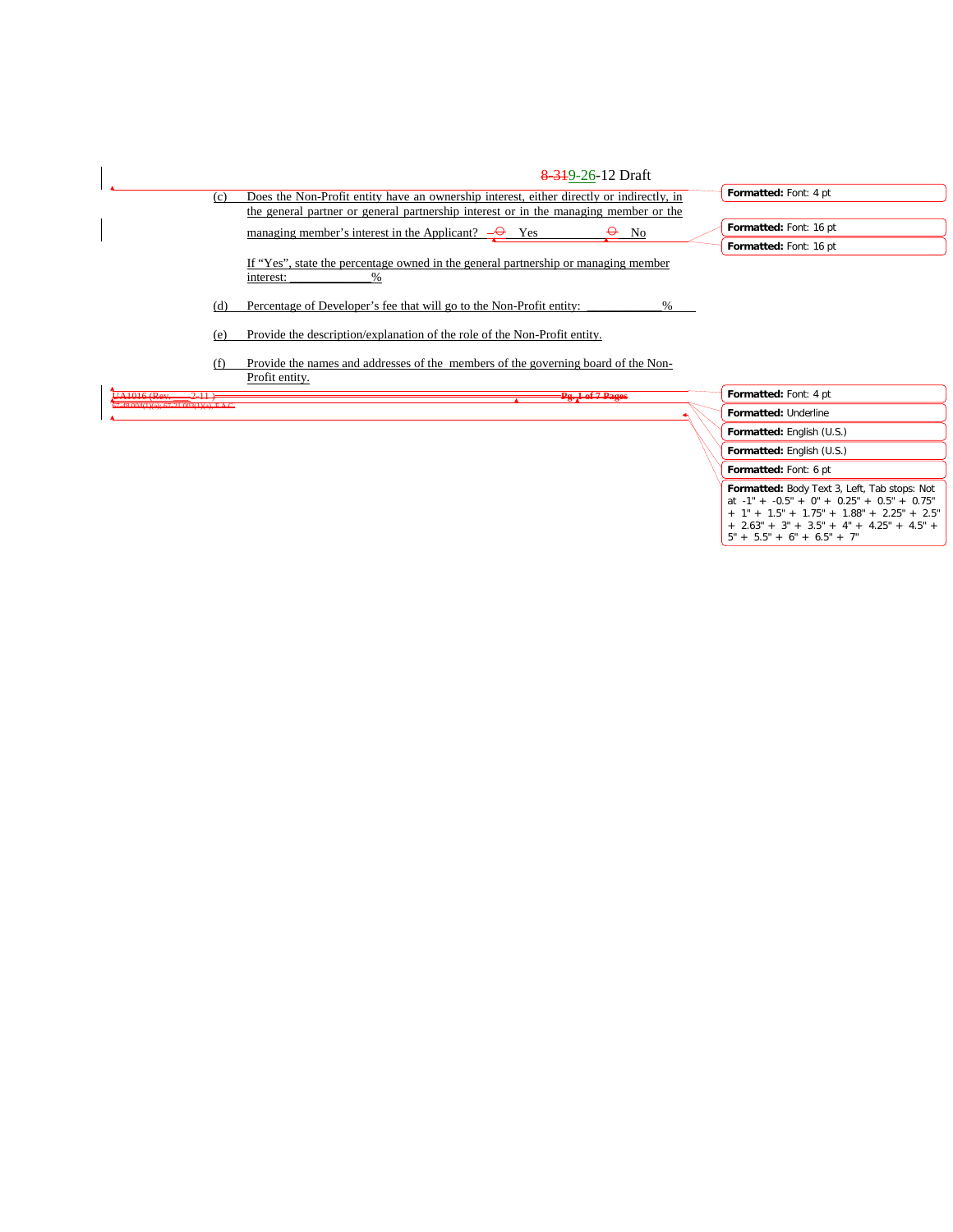

# **Formatted:** Body Text 3, Left, Tab stops: Not

| at $-1" + -0.5" + 0" + 0.25" + 0.5" + 0.75"$            |  |
|---------------------------------------------------------|--|
| + 1" + 1.5" + 1.75" + 1.88" + 2.25" + 2.5"              |  |
| $+$ 2.63" $+$ 3" $+$ 3.5" $+$ 4" $+$ 4.25" $+$ 4.5" $+$ |  |
| 5" + 5.5" + 6" + 6.5" + 7"                              |  |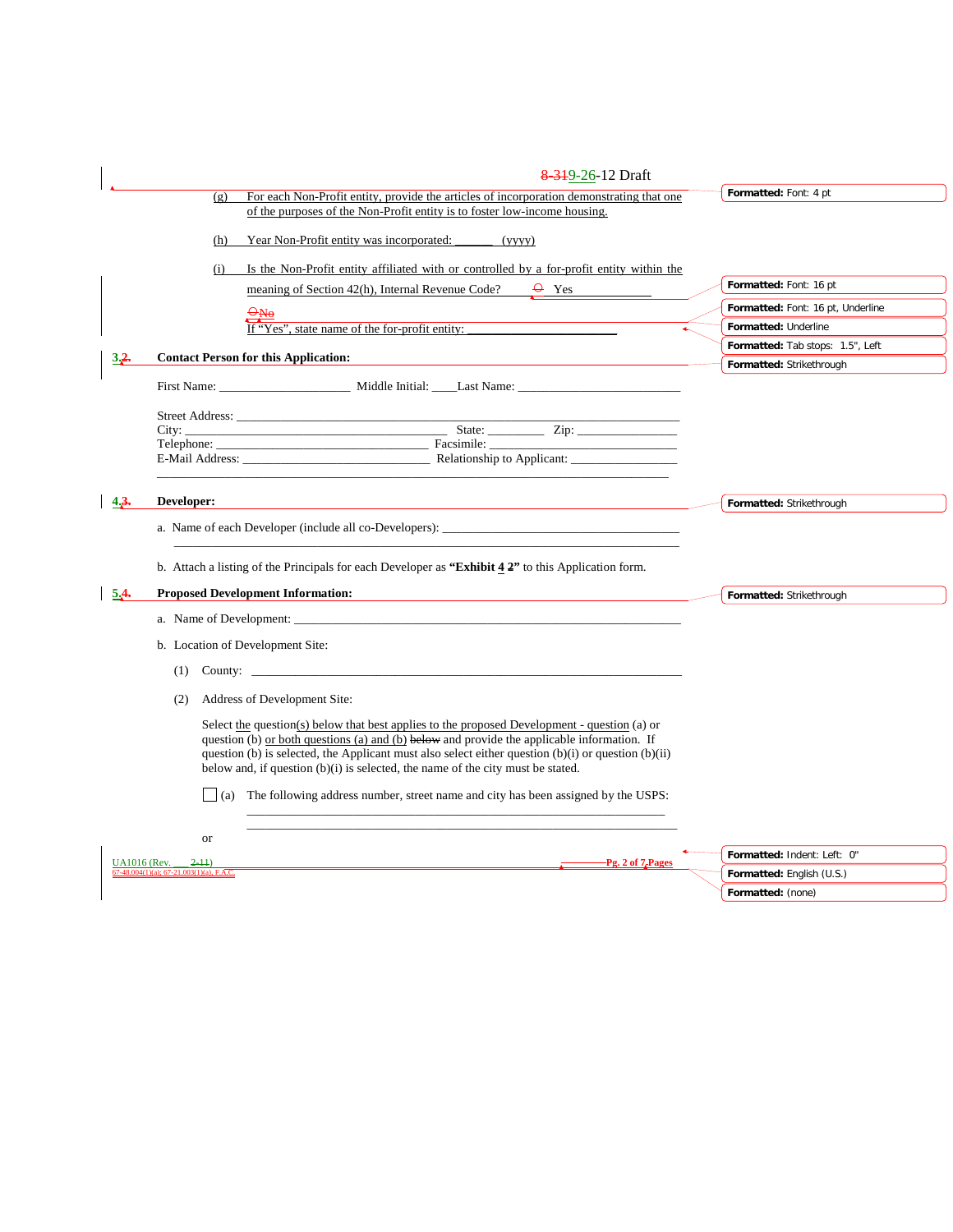|      | 8-319-26-12 Draft                                                                                                                                                                                                                                                                                                                                                                     |                                   |
|------|---------------------------------------------------------------------------------------------------------------------------------------------------------------------------------------------------------------------------------------------------------------------------------------------------------------------------------------------------------------------------------------|-----------------------------------|
|      | For each Non-Profit entity, provide the articles of incorporation demonstrating that one<br>(g)                                                                                                                                                                                                                                                                                       | Formatted: Font: 4 pt             |
|      | of the purposes of the Non-Profit entity is to foster low-income housing.                                                                                                                                                                                                                                                                                                             |                                   |
|      | Year Non-Profit entity was incorporated:<br>(h)<br>(vvvv)                                                                                                                                                                                                                                                                                                                             |                                   |
|      | Is the Non-Profit entity affiliated with or controlled by a for-profit entity within the<br>(i)                                                                                                                                                                                                                                                                                       |                                   |
|      | meaning of Section 42(h), Internal Revenue Code?<br>$\Theta$ Yes                                                                                                                                                                                                                                                                                                                      | Formatted: Font: 16 pt            |
|      |                                                                                                                                                                                                                                                                                                                                                                                       | Formatted: Font: 16 pt, Underline |
|      | If "Yes", state name of the for-profit entity:                                                                                                                                                                                                                                                                                                                                        | Formatted: Underline              |
|      | <b>Contact Person for this Application:</b>                                                                                                                                                                                                                                                                                                                                           | Formatted: Tab stops: 1.5", Left  |
| 3.2. |                                                                                                                                                                                                                                                                                                                                                                                       | Formatted: Strikethrough          |
|      |                                                                                                                                                                                                                                                                                                                                                                                       |                                   |
|      |                                                                                                                                                                                                                                                                                                                                                                                       |                                   |
|      |                                                                                                                                                                                                                                                                                                                                                                                       |                                   |
|      |                                                                                                                                                                                                                                                                                                                                                                                       |                                   |
|      |                                                                                                                                                                                                                                                                                                                                                                                       |                                   |
| 4.3. | Developer:                                                                                                                                                                                                                                                                                                                                                                            | Formatted: Strikethrough          |
|      |                                                                                                                                                                                                                                                                                                                                                                                       |                                   |
|      |                                                                                                                                                                                                                                                                                                                                                                                       |                                   |
|      | b. Attach a listing of the Principals for each Developer as "Exhibit $4.2$ " to this Application form.                                                                                                                                                                                                                                                                                |                                   |
|      |                                                                                                                                                                                                                                                                                                                                                                                       |                                   |
| 5.4. | <b>Proposed Development Information:</b>                                                                                                                                                                                                                                                                                                                                              | Formatted: Strikethrough          |
|      |                                                                                                                                                                                                                                                                                                                                                                                       |                                   |
|      | b. Location of Development Site:                                                                                                                                                                                                                                                                                                                                                      |                                   |
|      | (1) County: $\qquad \qquad \qquad$                                                                                                                                                                                                                                                                                                                                                    |                                   |
|      | Address of Development Site:<br>(2)                                                                                                                                                                                                                                                                                                                                                   |                                   |
|      | Select the question(s) below that best applies to the proposed Development - question (a) or<br>question (b) or both questions (a) and (b) below and provide the applicable information. If<br>question (b) is selected, the Applicant must also select either question (b)(i) or question (b)(ii)<br>below and, if question (b)(i) is selected, the name of the city must be stated. |                                   |
|      | $\vert$ (a) The following address number, street name and city has been assigned by the USPS:<br>or                                                                                                                                                                                                                                                                                   |                                   |
|      | -Pg. 2 of 7 Pages<br><b>UA1016</b> (Rev.<br>$2-11$                                                                                                                                                                                                                                                                                                                                    | Formatted: Indent: Left: 0"       |
|      | $7-48.004(1)(a)$ ; 67-21.003(1)(a), F.A.C.                                                                                                                                                                                                                                                                                                                                            | Formatted: English (U.S.)         |
|      |                                                                                                                                                                                                                                                                                                                                                                                       | Formatted: (none)                 |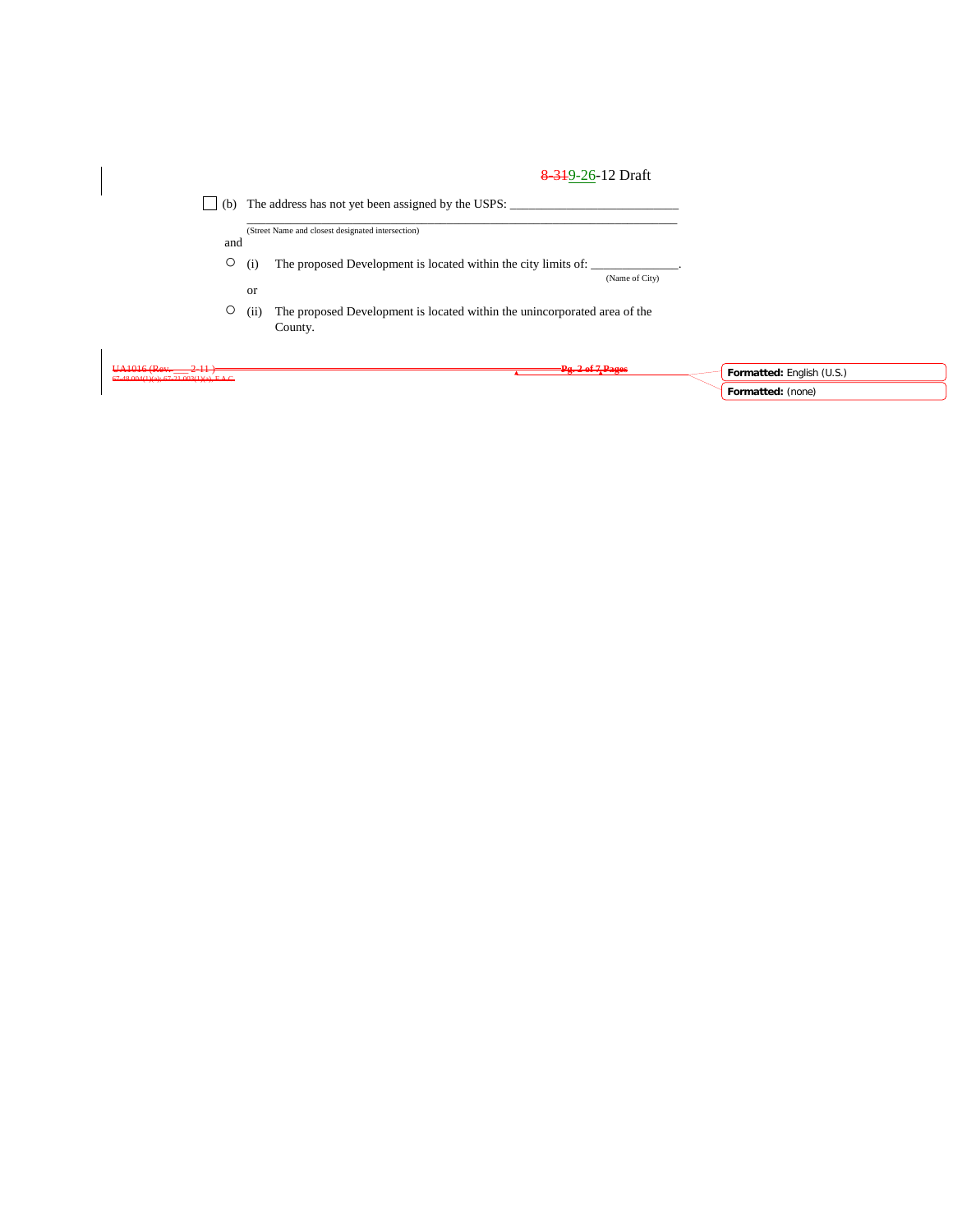|                                                                     |            | 8 3 19 - 26 - 12 Draft                                                           |                                                |
|---------------------------------------------------------------------|------------|----------------------------------------------------------------------------------|------------------------------------------------|
| (b)                                                                 |            | The address has not yet been assigned by the USPS:                               |                                                |
| and                                                                 |            | (Street Name and closest designated intersection)                                |                                                |
| $\circ$                                                             | (i)        | The proposed Development is located within the city limits of:<br>(Name of City) |                                                |
| $\circ$                                                             | or<br>(ii) | The proposed Development is located within the unincorporated area of the        |                                                |
|                                                                     |            | County.                                                                          |                                                |
| $UA1016$ (Rev. $2-11$ )<br>67-48.004(1)(a): 67-21.003(1)(a), F.A.C. |            | <del>=Pg. 2 of 7, Pages</del>                                                    | Formatted: English (U.S.)<br>Formatted: (none) |

 $\begin{array}{c} \hline \end{array}$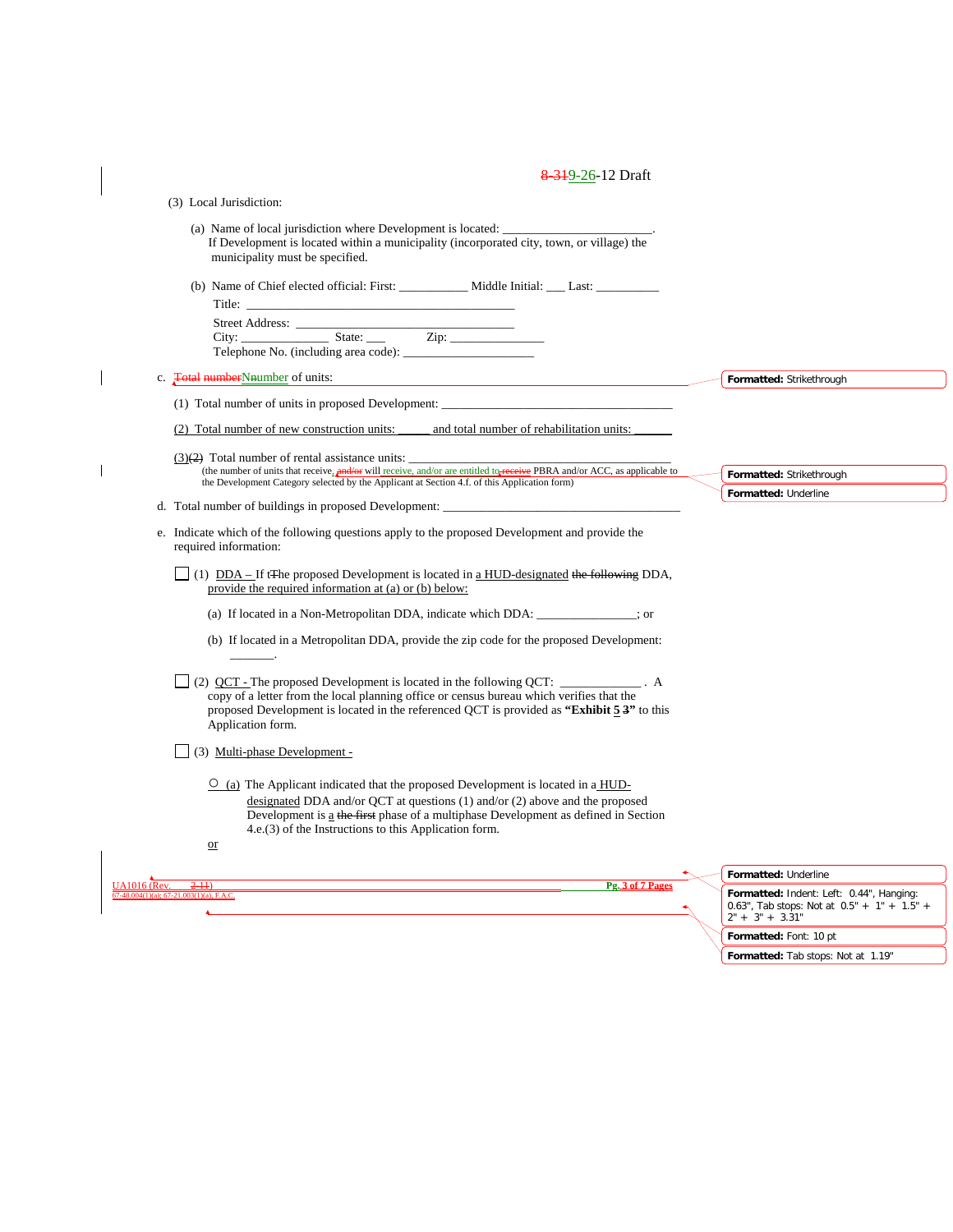| 8.319-26-12 Draft |
|-------------------|
|-------------------|

 $\overline{\phantom{a}}$ 

|                     | (3) Local Jurisdiction:                                                                                                                                                                                                                                                                                                   |                                                                    |
|---------------------|---------------------------------------------------------------------------------------------------------------------------------------------------------------------------------------------------------------------------------------------------------------------------------------------------------------------------|--------------------------------------------------------------------|
|                     | (a) Name of local jurisdiction where Development is located:                                                                                                                                                                                                                                                              |                                                                    |
|                     | If Development is located within a municipality (incorporated city, town, or village) the<br>municipality must be specified.                                                                                                                                                                                              |                                                                    |
|                     |                                                                                                                                                                                                                                                                                                                           |                                                                    |
|                     |                                                                                                                                                                                                                                                                                                                           |                                                                    |
|                     |                                                                                                                                                                                                                                                                                                                           |                                                                    |
|                     |                                                                                                                                                                                                                                                                                                                           |                                                                    |
|                     | Telephone No. (including area code):                                                                                                                                                                                                                                                                                      |                                                                    |
|                     | c. <b>Fotal number</b> Number of units:                                                                                                                                                                                                                                                                                   | Formatted: Strikethrough                                           |
|                     |                                                                                                                                                                                                                                                                                                                           |                                                                    |
|                     | (2) Total number of new construction units:<br>and total number of rehabilitation units:                                                                                                                                                                                                                                  |                                                                    |
|                     | $(3)(2)$ Total number of rental assistance units:                                                                                                                                                                                                                                                                         |                                                                    |
|                     | (the number of units that receive, and/or will receive, and/or are entitled to receive PBRA and/or ACC, as applicable to<br>the Development Category selected by the Applicant at Section 4.f. of this Application form)                                                                                                  | Formatted: Strikethrough                                           |
|                     | d. Total number of buildings in proposed Development:                                                                                                                                                                                                                                                                     | Formatted: Underline                                               |
|                     | e. Indicate which of the following questions apply to the proposed Development and provide the<br>required information:                                                                                                                                                                                                   |                                                                    |
|                     | $(1)$ DDA – If t <sub>T</sub> he proposed Development is located in a HUD-designated the following DDA,<br>provide the required information at (a) or (b) below:                                                                                                                                                          |                                                                    |
|                     |                                                                                                                                                                                                                                                                                                                           |                                                                    |
|                     | (b) If located in a Metropolitan DDA, provide the zip code for the proposed Development:                                                                                                                                                                                                                                  |                                                                    |
|                     | $\Box$ (2) QCT - The proposed Development is located in the following QCT: $\Box$<br>copy of a letter from the local planning office or census bureau which verifies that the<br>proposed Development is located in the referenced QCT is provided as "Exhibit 5 3" to this<br>Application form.                          |                                                                    |
|                     | (3) Multi-phase Development -                                                                                                                                                                                                                                                                                             |                                                                    |
|                     | $\circ$ (a) The Applicant indicated that the proposed Development is located in a HUD-<br>designated DDA and/or OCT at questions $(1)$ and/or $(2)$ above and the proposed<br>Development is a the first phase of a multiphase Development as defined in Section<br>4.e.(3) of the Instructions to this Application form. |                                                                    |
|                     | $\overline{\text{or}}$                                                                                                                                                                                                                                                                                                    |                                                                    |
|                     |                                                                                                                                                                                                                                                                                                                           | Formatted: Underline                                               |
| <b>UA1016</b> (Rev. | Pg. 3 of 7 Pages<br>$2-11$<br>67-48.004(1)(a): 67-21.003(1)(a), F.A.C.                                                                                                                                                                                                                                                    | Formatted: Indent: Left: 0.44", Hanging:                           |
|                     |                                                                                                                                                                                                                                                                                                                           | 0.63", Tab stops: Not at $0.5" + 1" + 1.5" +$<br>$2" + 3" + 3.31"$ |
|                     |                                                                                                                                                                                                                                                                                                                           | Formatted: Font: 10 pt                                             |

**Formatted:** Tab stops: Not at 1.19"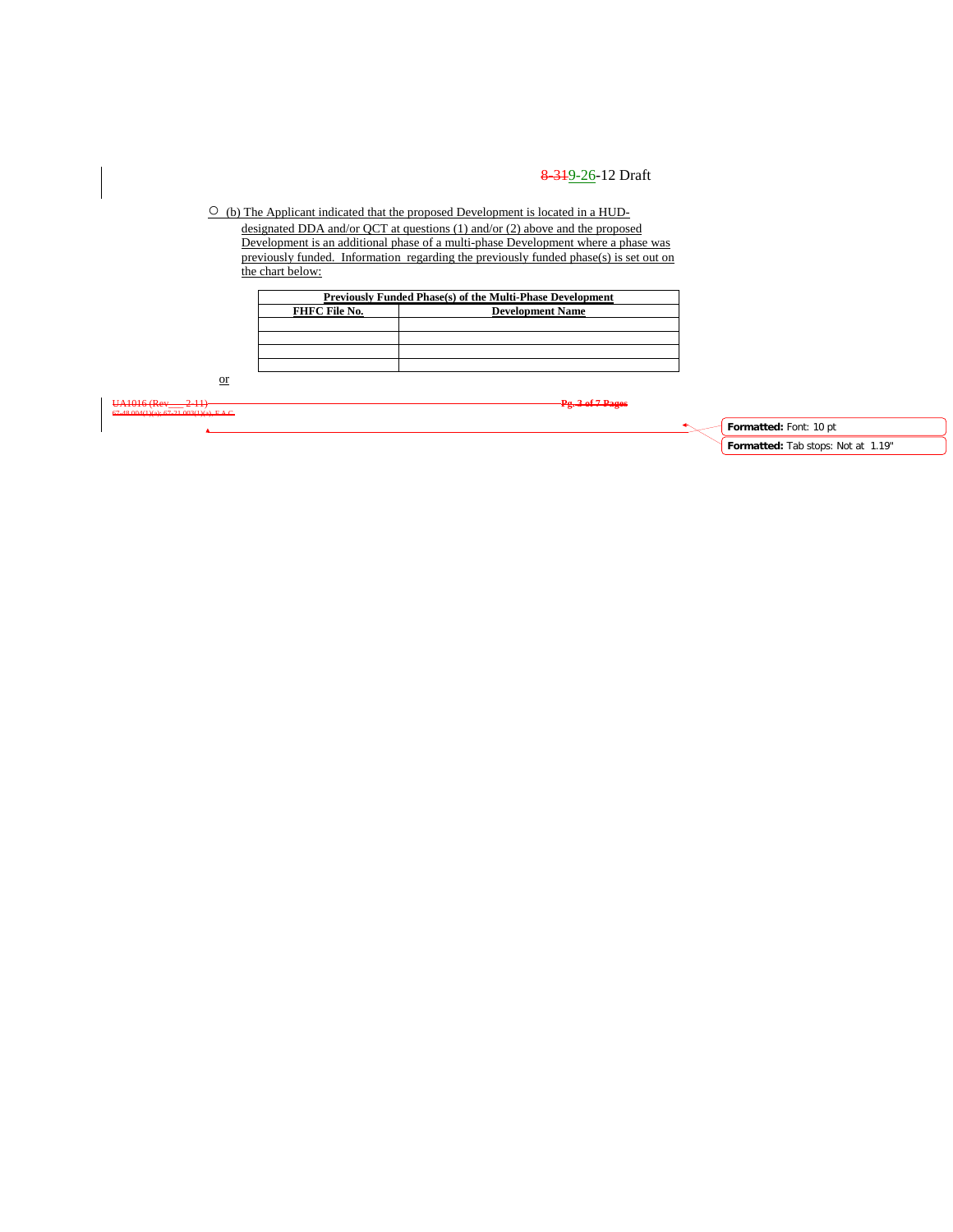○ (b) The Applicant indicated that the proposed Development is located in a HUDdesignated DDA and/or QCT at questions (1) and/or (2) above and the proposed Development is an additional phase of a multi-phase Development where a phase was previously funded. Information regarding the previously funded phase(s) is set out on the chart below:

|               | Previously Funded Phase(s) of the Multi-Phase Development |
|---------------|-----------------------------------------------------------|
| FHFC File No. | <b>Development Name</b>                                   |
|               |                                                           |
|               |                                                           |
|               |                                                           |
|               |                                                           |

or

67-48.004(1)(a); 67-21.003(1)(a), F.A.C.

UA1016 (Rev\_\_\_ 2-11) **Pg. 3 of 7 Pages**

**Formatted:** Font: 10 pt **Formatted:** Tab stops: Not at 1.19"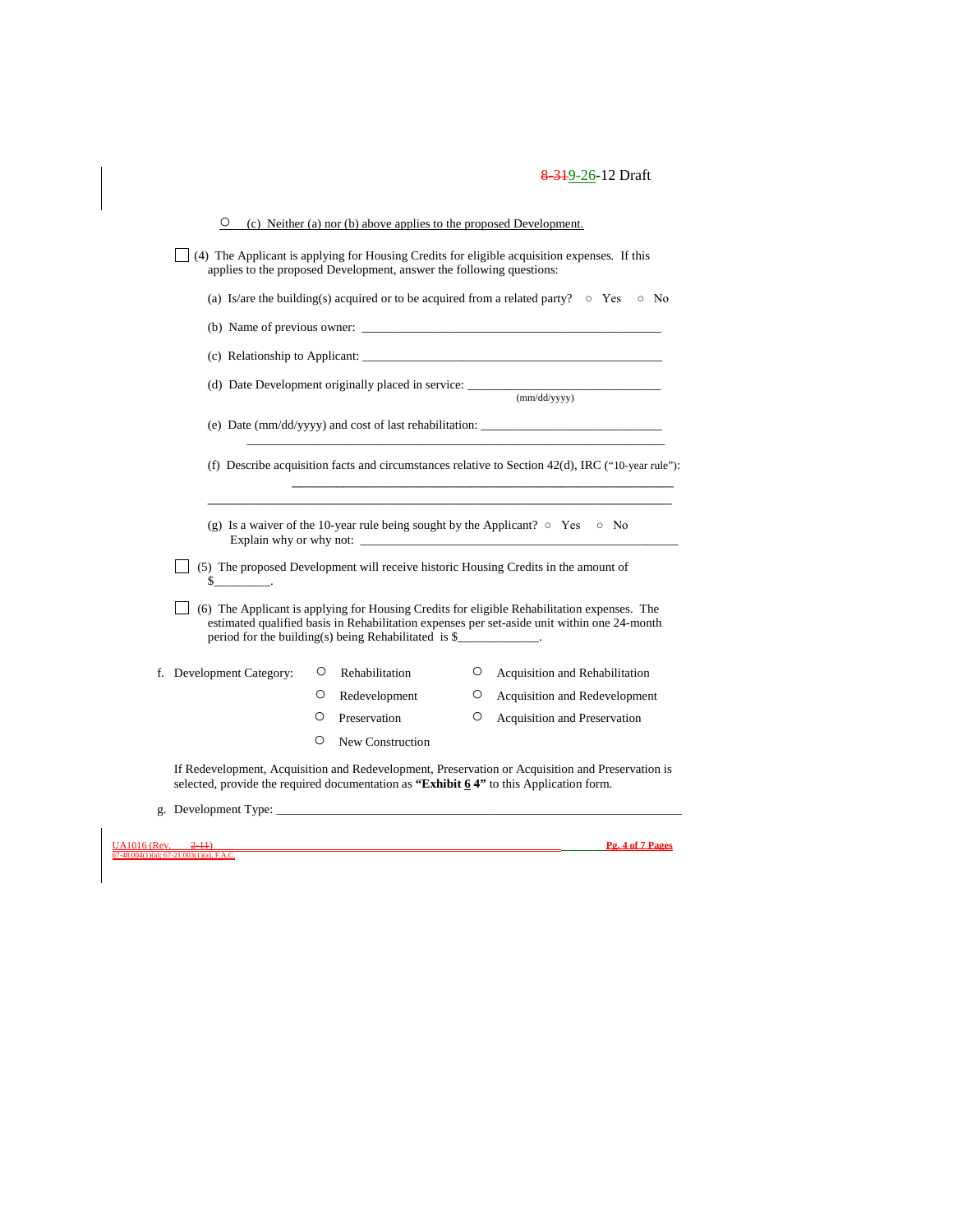|                          |         | applies to the proposed Development, answer the following questions: |         | $(4)$ The Applicant is applying for Housing Credits for eligible acquisition expenses. If this                                                                                             |
|--------------------------|---------|----------------------------------------------------------------------|---------|--------------------------------------------------------------------------------------------------------------------------------------------------------------------------------------------|
|                          |         |                                                                      |         | (a) Is/are the building(s) acquired or to be acquired from a related party? $\circ$ Yes<br>$\circ$ No                                                                                      |
|                          |         |                                                                      |         | (b) Name of previous owner:                                                                                                                                                                |
|                          |         |                                                                      |         | (c) Relationship to Applicant:                                                                                                                                                             |
|                          |         |                                                                      |         |                                                                                                                                                                                            |
|                          |         |                                                                      |         | (e) Date (mm/dd/yyyy) and cost of last rehabilitation: __________________________                                                                                                          |
|                          |         |                                                                      |         | (f) Describe acquisition facts and circumstances relative to Section $42(d)$ , IRC ("10-year rule"):                                                                                       |
|                          |         |                                                                      |         | (g) Is a waiver of the 10-year rule being sought by the Applicant? $\circ$ Yes $\circ$ No                                                                                                  |
| $s$ .                    |         |                                                                      |         | (5) The proposed Development will receive historic Housing Credits in the amount of                                                                                                        |
|                          |         | period for the building(s) being Rehabilitated is $\frac{1}{2}$ .    |         | (6) The Applicant is applying for Housing Credits for eligible Rehabilitation expenses. The<br>estimated qualified basis in Rehabilitation expenses per set-aside unit within one 24-month |
| f. Development Category: | $\circ$ | Rehabilitation                                                       | $\circ$ | Acquisition and Rehabilitation                                                                                                                                                             |
|                          | O       | Redevelopment                                                        | O       | Acquisition and Redevelopment                                                                                                                                                              |
|                          | O       | Preservation                                                         | О       | Acquisition and Preservation                                                                                                                                                               |
|                          | O       | New Construction                                                     |         |                                                                                                                                                                                            |

 $\underline{\frac{UA1016}{67-48.004(1)(a)}}$ 

UA1016 (Rev. \_\_\_ 2-11) **Pg. 4 of 7 Pages**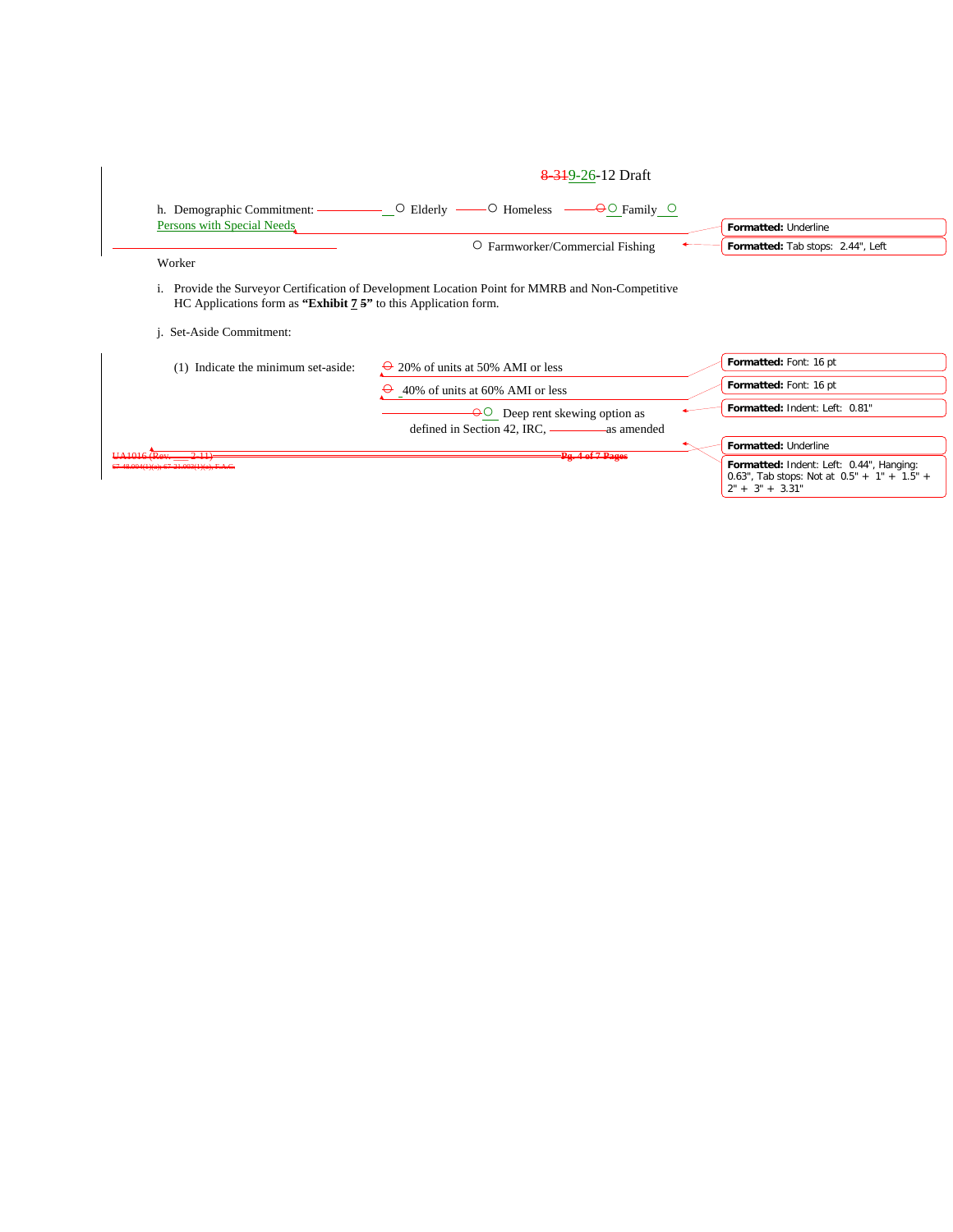| O Farmworker/Commercial Fishing<br>Worker<br>i. Provide the Surveyor Certification of Development Location Point for MMRB and Non-Competitive<br>HC Applications form as "Exhibit $7.5$ " to this Application form.<br><i>i.</i> Set-Aside Commitment:<br>Formatted: Font: 16 pt<br>(1) Indicate the minimum set-aside:<br>$\rightarrow$ 20% of units at 50% AMI or less | Formatted: Tab stops: 2.44", Left |
|--------------------------------------------------------------------------------------------------------------------------------------------------------------------------------------------------------------------------------------------------------------------------------------------------------------------------------------------------------------------------|-----------------------------------|
|                                                                                                                                                                                                                                                                                                                                                                          |                                   |
|                                                                                                                                                                                                                                                                                                                                                                          |                                   |
|                                                                                                                                                                                                                                                                                                                                                                          |                                   |
|                                                                                                                                                                                                                                                                                                                                                                          |                                   |
|                                                                                                                                                                                                                                                                                                                                                                          |                                   |
| Formatted: Font: 16 pt<br>$\Theta$ 40% of units at 60% AMI or less                                                                                                                                                                                                                                                                                                       |                                   |
| Formatted: Indent: Left: 0.81"<br>$\Theta$ Deep rent skewing option as                                                                                                                                                                                                                                                                                                   |                                   |
|                                                                                                                                                                                                                                                                                                                                                                          |                                   |
| Formatted: Underline<br>$HA1016$ Rev<br>211<br>$=$ $P_{4}$ , 4 of 7 $P_{4}$                                                                                                                                                                                                                                                                                              |                                   |

 $\overline{\phantom{a}}$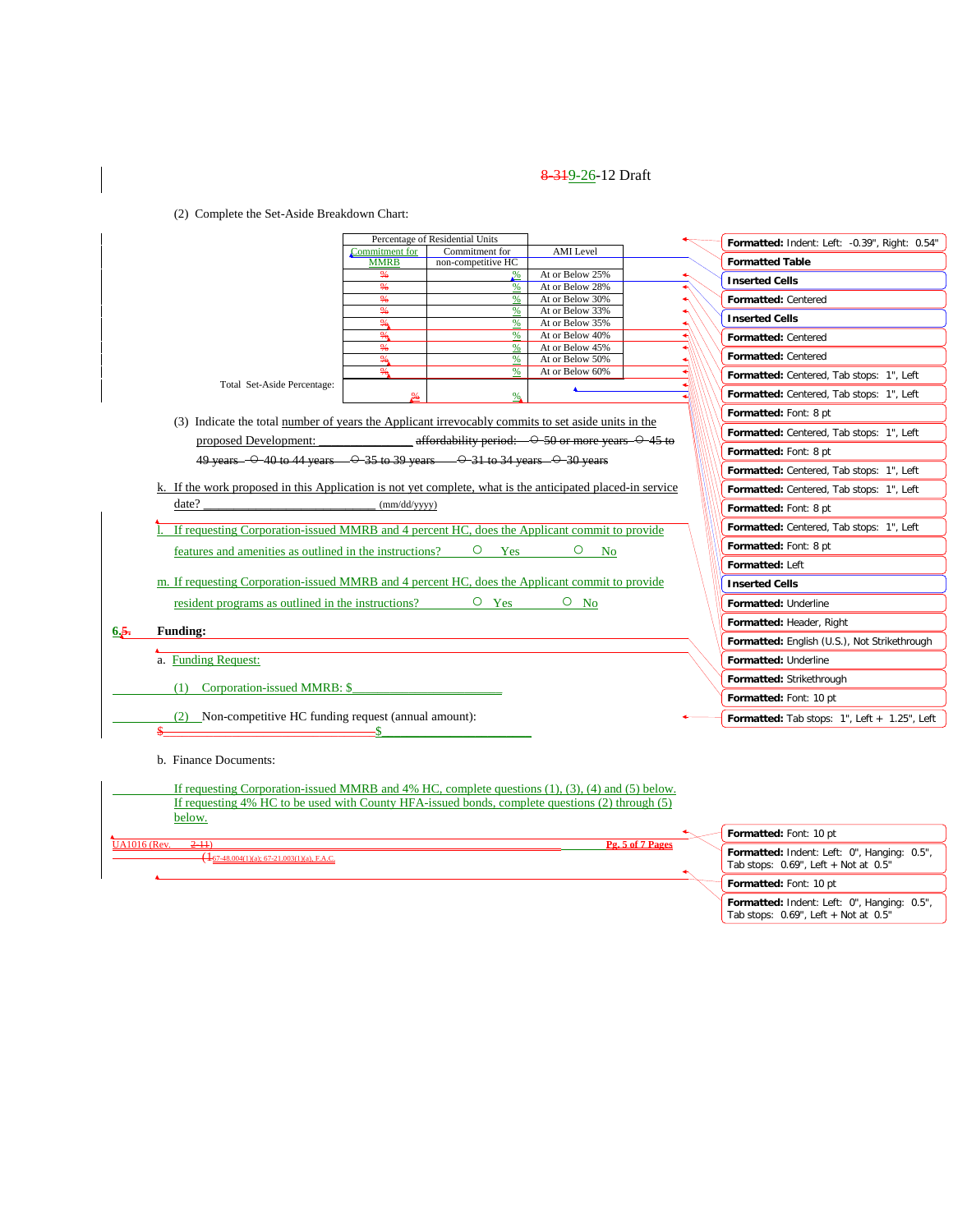(2) Complete the Set-Aside Breakdown Chart:

|                     |                                                                                                               |                                 | Percentage of Residential Units                                          |                                    |                  | Formatted: Indent: Left: -0.39", Right: 0.54"                                             |
|---------------------|---------------------------------------------------------------------------------------------------------------|---------------------------------|--------------------------------------------------------------------------|------------------------------------|------------------|-------------------------------------------------------------------------------------------|
|                     |                                                                                                               | Commitment for<br><b>MMRB</b>   | Commitment for                                                           | <b>AMI</b> Level                   |                  | <b>Formatted Table</b>                                                                    |
|                     |                                                                                                               | ₩                               | non-competitive HC<br>$\frac{9}{6}$                                      | At or Below 25%                    |                  |                                                                                           |
|                     |                                                                                                               | $\frac{96}{9}$                  | %                                                                        | At or Below 28%                    |                  | <b>Inserted Cells</b>                                                                     |
|                     |                                                                                                               | %                               | %                                                                        | At or Below 30%                    |                  | Formatted: Centered                                                                       |
|                     |                                                                                                               | %<br>%                          | %<br>%                                                                   | At or Below 33%<br>At or Below 35% |                  | <b>Inserted Cells</b>                                                                     |
|                     |                                                                                                               | ‰.                              | %                                                                        | At or Below 40%                    |                  | Formatted: Centered                                                                       |
|                     |                                                                                                               | ₩                               | %                                                                        | At or Below 45%                    |                  | Formatted: Centered                                                                       |
|                     |                                                                                                               | $\frac{96}{9}$<br>$\frac{9}{6}$ | %<br>%                                                                   | At or Below 50%<br>At or Below 60% |                  |                                                                                           |
|                     | Total Set-Aside Percentage:                                                                                   |                                 |                                                                          |                                    |                  | Formatted: Centered, Tab stops: 1", Left                                                  |
|                     |                                                                                                               |                                 | %.                                                                       |                                    |                  | Formatted: Centered, Tab stops: 1", Left                                                  |
|                     | (3) Indicate the total <u>number</u> of years the Applicant irrevocably commits to set aside units in the     |                                 |                                                                          |                                    |                  | Formatted: Font: 8 pt                                                                     |
|                     | proposed Development:                                                                                         |                                 | affordability period: $\rightarrow$ 50 or more years $\rightarrow$ 45 to |                                    |                  | Formatted: Centered, Tab stops: 1", Left                                                  |
|                     | 49 years - $\odot$ 40 to 44 years - $\odot$ 35 to 39 years - $\odot$ 31 to 34 years - $\odot$ 30 years        |                                 |                                                                          |                                    |                  | Formatted: Font: 8 pt                                                                     |
|                     |                                                                                                               |                                 |                                                                          |                                    |                  | Formatted: Centered, Tab stops: 1", Left                                                  |
|                     | k. If the work proposed in this Application is not yet complete, what is the anticipated placed-in service    |                                 |                                                                          |                                    |                  | Formatted: Centered, Tab stops: 1", Left                                                  |
|                     | date?                                                                                                         | (mm/dd/yyyy)                    |                                                                          |                                    |                  | Formatted: Font: 8 pt                                                                     |
|                     | If requesting Corporation-issued MMRB and 4 percent HC, does the Applicant commit to provide                  |                                 |                                                                          |                                    |                  | Formatted: Centered, Tab stops: 1", Left                                                  |
|                     | features and amenities as outlined in the instructions?                                                       |                                 | $\circ$<br>Yes                                                           | O<br><b>No</b>                     |                  | Formatted: Font: 8 pt                                                                     |
|                     |                                                                                                               |                                 |                                                                          |                                    |                  | Formatted: Left                                                                           |
|                     | m. If requesting Corporation-issued MMRB and 4 percent HC, does the Applicant commit to provide               |                                 |                                                                          |                                    |                  | <b>Inserted Cells</b>                                                                     |
|                     | resident programs as outlined in the instructions?                                                            |                                 | $O$ Yes                                                                  | $O$ No                             |                  | Formatted: Underline                                                                      |
|                     |                                                                                                               |                                 |                                                                          |                                    |                  | Formatted: Header, Right                                                                  |
| 6.5.                | <b>Funding:</b>                                                                                               |                                 |                                                                          |                                    |                  | Formatted: English (U.S.), Not Strikethrough                                              |
|                     | a. Funding Request:                                                                                           |                                 |                                                                          |                                    |                  | Formatted: Underline                                                                      |
|                     |                                                                                                               |                                 |                                                                          |                                    |                  | Formatted: Strikethrough                                                                  |
|                     | (1) Corporation-issued MMRB: \$                                                                               |                                 |                                                                          |                                    |                  | Formatted: Font: 10 pt                                                                    |
|                     | $(2)$ Non-competitive HC funding request (annual amount):                                                     |                                 |                                                                          |                                    |                  | <b>Formatted:</b> Tab stops: $1"$ , Left $+ 1.25"$ , Left                                 |
|                     |                                                                                                               |                                 |                                                                          |                                    |                  |                                                                                           |
|                     | b. Finance Documents:                                                                                         |                                 |                                                                          |                                    |                  |                                                                                           |
|                     |                                                                                                               |                                 |                                                                          |                                    |                  |                                                                                           |
|                     | If requesting Corporation-issued MMRB and $4\%$ HC, complete questions $(1)$ , $(3)$ , $(4)$ and $(5)$ below. |                                 |                                                                          |                                    |                  |                                                                                           |
|                     | If requesting 4% HC to be used with County HFA-issued bonds, complete questions (2) through (5)               |                                 |                                                                          |                                    |                  |                                                                                           |
|                     | below.                                                                                                        |                                 |                                                                          |                                    |                  | Formatted: Font: 10 pt                                                                    |
| <b>UA1016</b> (Rev. | $2 - 11$                                                                                                      |                                 |                                                                          |                                    | Pg. 5 of 7 Pages |                                                                                           |
|                     | $\bigoplus$ 67-48.004(1)(a): 67-21.003(1)(a), F.A.C.                                                          |                                 |                                                                          |                                    |                  | Formatted: Indent: Left: 0", Hanging: 0.5",<br>Tab stops: $0.69$ ", Left + Not at $0.5$ " |
|                     |                                                                                                               |                                 |                                                                          |                                    |                  | Formatted: Font: 10 pt                                                                    |

**Formatted:** Indent: Left: 0", Hanging: 0.5", Tab stops: 0.69", Left + Not at 0.5"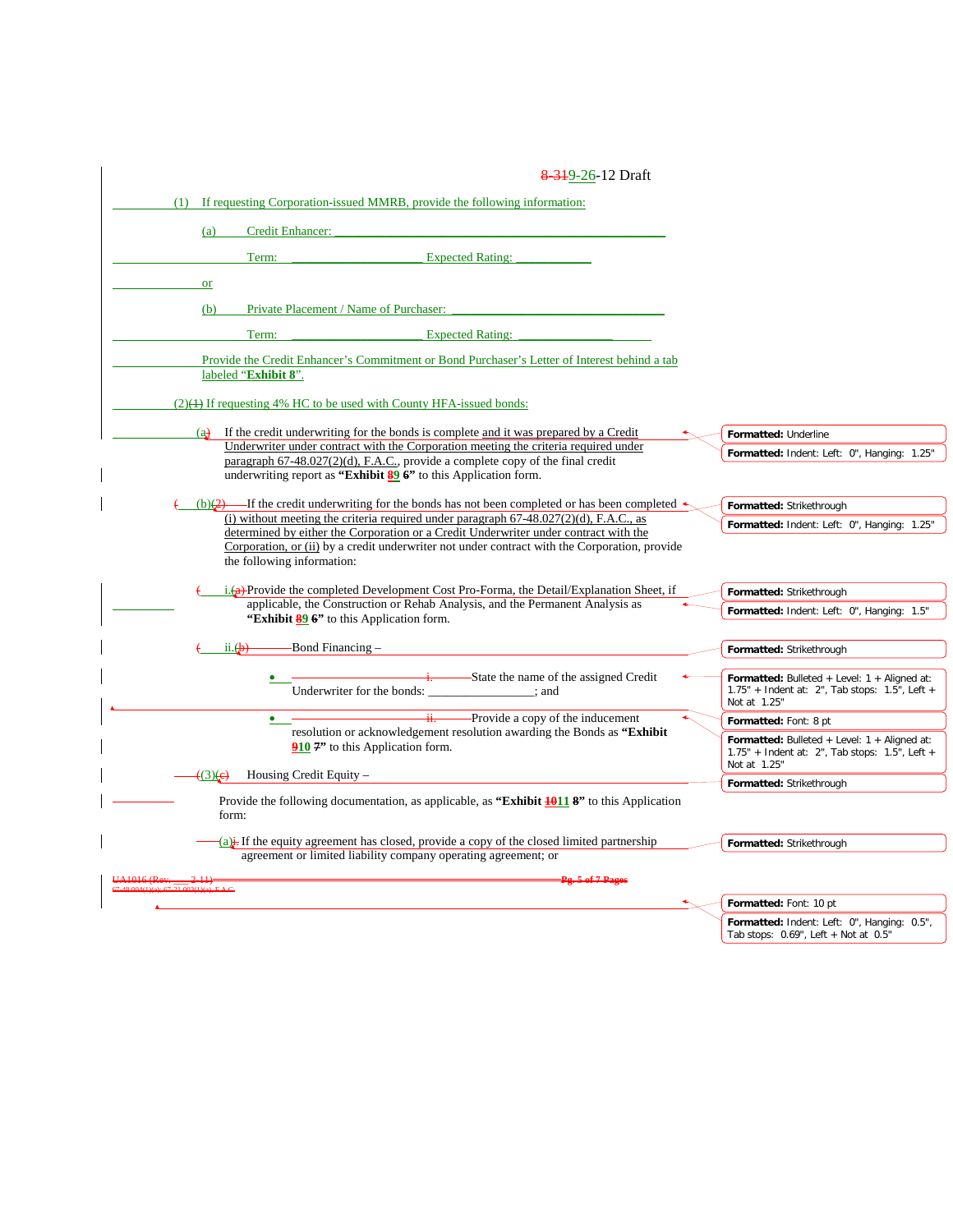| 8 3 1 9 - 26 - 12 Draft                                                                                                                                                          |                                                                                           |
|----------------------------------------------------------------------------------------------------------------------------------------------------------------------------------|-------------------------------------------------------------------------------------------|
| If requesting Corporation-issued MMRB, provide the following information:<br>(1)                                                                                                 |                                                                                           |
| Credit Enhancer:<br>(a)                                                                                                                                                          |                                                                                           |
|                                                                                                                                                                                  |                                                                                           |
| <b>Expected Rating:</b><br>Term:                                                                                                                                                 |                                                                                           |
| or                                                                                                                                                                               |                                                                                           |
| Private Placement / Name of Purchaser:<br>(b)                                                                                                                                    |                                                                                           |
| Term:<br><b>Expected Rating:</b>                                                                                                                                                 |                                                                                           |
| Provide the Credit Enhancer's Commitment or Bond Purchaser's Letter of Interest behind a tab                                                                                     |                                                                                           |
| labeled "Exhibit 8".                                                                                                                                                             |                                                                                           |
| $(2)$ (4) If requesting 4% HC to be used with County HFA-issued bonds:                                                                                                           |                                                                                           |
| If the credit underwriting for the bonds is complete and it was prepared by a Credit<br>(a)                                                                                      |                                                                                           |
| Underwriter under contract with the Corporation meeting the criteria required under                                                                                              | Formatted: Underline<br>Formatted: Indent: Left: 0", Hanging: 1.25"                       |
| paragraph 67-48.027(2)(d), F.A.C., provide a complete copy of the final credit<br>underwriting report as "Exhibit $\frac{89}{20}$ 6" to this Application form.                   |                                                                                           |
|                                                                                                                                                                                  |                                                                                           |
| ---If the credit underwriting for the bonds has not been completed or has been completed $\triangleleft$<br>$(b)$ $(2)$                                                          | Formatted: Strikethrough                                                                  |
| (i) without meeting the criteria required under paragraph $67-48.027(2)(d)$ , F.A.C., as<br>determined by either the Corporation or a Credit Underwriter under contract with the | Formatted: Indent: Left: 0", Hanging: 1.25"                                               |
| Corporation, or (ii) by a credit underwriter not under contract with the Corporation, provide                                                                                    |                                                                                           |
| the following information:                                                                                                                                                       |                                                                                           |
| $i.$ (a)-Provide the completed Development Cost Pro-Forma, the Detail/Explanation Sheet, if                                                                                      | Formatted: Strikethrough                                                                  |
| applicable, the Construction or Rehab Analysis, and the Permanent Analysis as<br>"Exhibit 89 6" to this Application form.                                                        | Formatted: Indent: Left: 0", Hanging: 1.5"                                                |
|                                                                                                                                                                                  |                                                                                           |
| Bond Financing –<br>ii. $\oplus$                                                                                                                                                 | Formatted: Strikethrough                                                                  |
| -State the name of the assigned Credit                                                                                                                                           | Formatted: Bulleted + Level: $1 +$ Aligned at:                                            |
| Underwriter for the bonds:<br>: and                                                                                                                                              | $1.75"$ + Indent at: 2", Tab stops: 1.5", Left +<br>Not at 1.25"                          |
| -Provide a copy of the inducement                                                                                                                                                | Formatted: Font: 8 pt                                                                     |
| resolution or acknowledgement resolution awarding the Bonds as "Exhibit<br>910 7" to this Application form.                                                                      | Formatted: Bulleted + Level: $1 +$ Aligned at:                                            |
|                                                                                                                                                                                  | $1.75"$ + Indent at: 2", Tab stops: 1.5", Left +<br>Not at 1.25"                          |
| Housing Credit Equity -<br>$(3)$ (e)                                                                                                                                             | Formatted: Strikethrough                                                                  |
| Provide the following documentation, as applicable, as "Exhibit $\frac{10118}{1000}$ " to this Application                                                                       |                                                                                           |
| form:                                                                                                                                                                            |                                                                                           |
| $(a)$ . If the equity agreement has closed, provide a copy of the closed limited partnership                                                                                     | Formatted: Strikethrough                                                                  |
| agreement or limited liability company operating agreement; or                                                                                                                   |                                                                                           |
| Pg. 5 of 7 Pages                                                                                                                                                                 |                                                                                           |
|                                                                                                                                                                                  | Formatted: Font: 10 pt                                                                    |
|                                                                                                                                                                                  | Formatted: Indent: Left: 0", Hanging: 0.5",<br>Tab stops: $0.69$ ", Left + Not at $0.5$ " |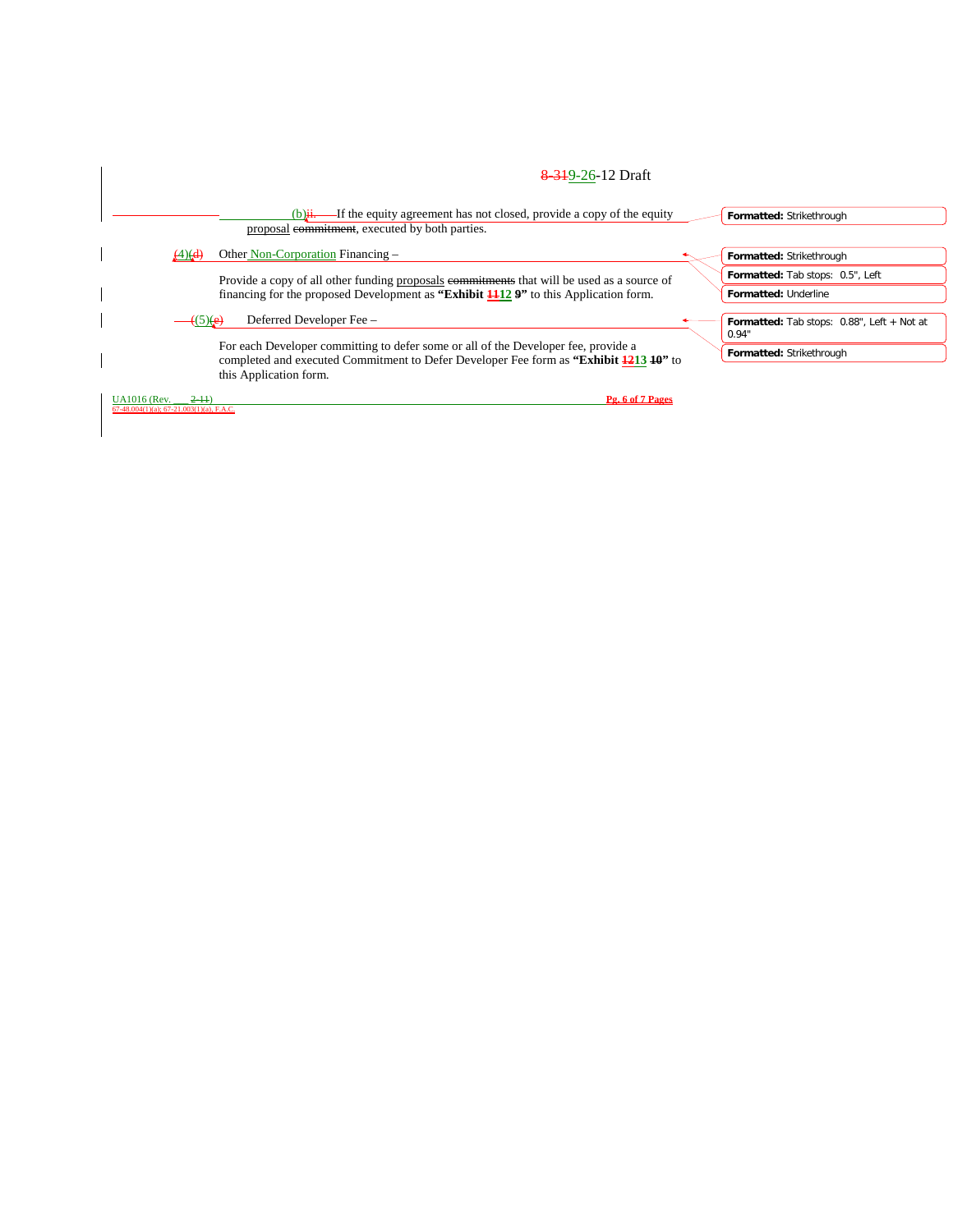|                                                                 |                                       | 8 3 19 - 26 - 12 Draft                                                                                                                                                                       |  |                                                                                 |  |  |  |
|-----------------------------------------------------------------|---------------------------------------|----------------------------------------------------------------------------------------------------------------------------------------------------------------------------------------------|--|---------------------------------------------------------------------------------|--|--|--|
|                                                                 |                                       | $(b)$ $\ddot{H}$ . If the equity agreement has not closed, provide a copy of the equity<br>proposal commitment, executed by both parties.                                                    |  | Formatted: Strikethrough                                                        |  |  |  |
|                                                                 | $\left(4\right)$ $\left($ d $\right)$ | Other Non-Corporation Financing –                                                                                                                                                            |  | Formatted: Strikethrough                                                        |  |  |  |
|                                                                 |                                       | Provide a copy of all other funding proposals commitments that will be used as a source of<br>financing for the proposed Development as "Exhibit $\frac{1}{12}$ 9" to this Application form. |  | Formatted: Tab stops: 0.5", Left<br>Formatted: Underline                        |  |  |  |
|                                                                 | $\rightarrow$ (5)(e)                  | Deferred Developer Fee -<br>For each Developer committing to defer some or all of the Developer fee, provide a                                                                               |  | Formatted: Tab stops: 0.88", Left + Not at<br>0.94"<br>Formatted: Strikethrough |  |  |  |
|                                                                 |                                       | completed and executed Commitment to Defer Developer Fee form as "Exhibit 1213 10" to<br>this Application form.                                                                              |  |                                                                                 |  |  |  |
| <b>UA1016</b> (Rev.<br>67-48.004(1)(a); 67-21.003(1)(a), F.A.C. | $2-11$                                | Pg. 6 of 7 Pages                                                                                                                                                                             |  |                                                                                 |  |  |  |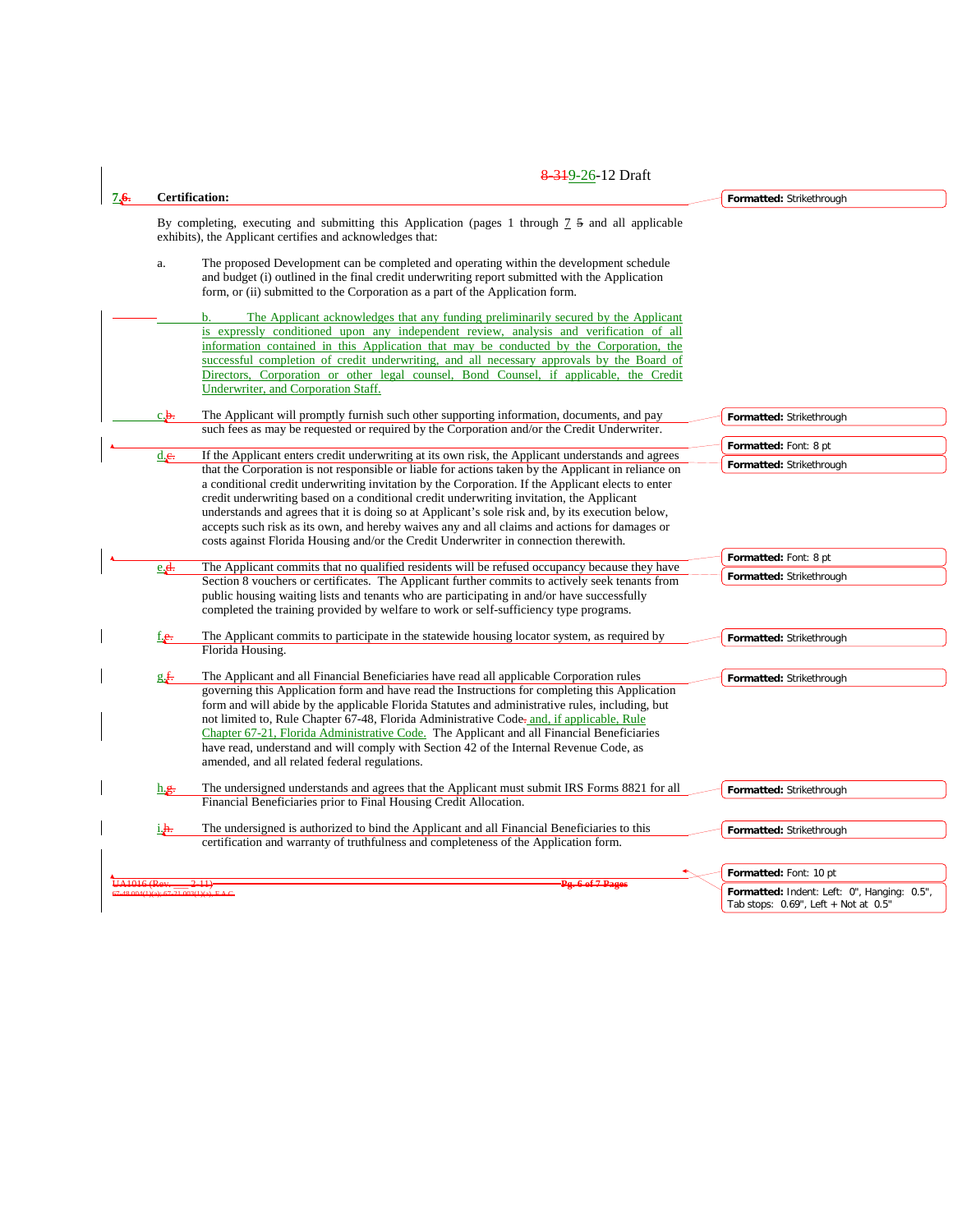| 7.6. | <b>Certification:</b>                                                                                                                                                                                                                                                                                                                                                                                                                                                                                                                                                                                                                                                                                          | Formatted: Strikethrough                          |
|------|----------------------------------------------------------------------------------------------------------------------------------------------------------------------------------------------------------------------------------------------------------------------------------------------------------------------------------------------------------------------------------------------------------------------------------------------------------------------------------------------------------------------------------------------------------------------------------------------------------------------------------------------------------------------------------------------------------------|---------------------------------------------------|
|      | By completing, executing and submitting this Application (pages 1 through $\frac{7}{5}$ and all applicable<br>exhibits), the Applicant certifies and acknowledges that:                                                                                                                                                                                                                                                                                                                                                                                                                                                                                                                                        |                                                   |
|      | The proposed Development can be completed and operating within the development schedule<br>a.<br>and budget (i) outlined in the final credit underwriting report submitted with the Application<br>form, or (ii) submitted to the Corporation as a part of the Application form.                                                                                                                                                                                                                                                                                                                                                                                                                               |                                                   |
|      | The Applicant acknowledges that any funding preliminarily secured by the Applicant<br>$\mathbf{b}$ .<br>is expressly conditioned upon any independent review, analysis and verification of all<br>information contained in this Application that may be conducted by the Corporation, the<br>successful completion of credit underwriting, and all necessary approvals by the Board of<br>Directors, Corporation or other legal counsel, Bond Counsel, if applicable, the Credit<br>Underwriter, and Corporation Staff.                                                                                                                                                                                        |                                                   |
|      | The Applicant will promptly furnish such other supporting information, documents, and pay<br>c.b.<br>such fees as may be requested or required by the Corporation and/or the Credit Underwriter.                                                                                                                                                                                                                                                                                                                                                                                                                                                                                                               | Formatted: Strikethrough                          |
|      | If the Applicant enters credit underwriting at its own risk, the Applicant understands and agrees<br>d.e.<br>that the Corporation is not responsible or liable for actions taken by the Applicant in reliance on<br>a conditional credit underwriting invitation by the Corporation. If the Applicant elects to enter<br>credit underwriting based on a conditional credit underwriting invitation, the Applicant<br>understands and agrees that it is doing so at Applicant's sole risk and, by its execution below,<br>accepts such risk as its own, and hereby waives any and all claims and actions for damages or<br>costs against Florida Housing and/or the Credit Underwriter in connection therewith. | Formatted: Font: 8 pt<br>Formatted: Strikethrough |
|      | The Applicant commits that no qualified residents will be refused occupancy because they have<br>$e_{\mathbf{r}}$<br>Section 8 vouchers or certificates. The Applicant further commits to actively seek tenants from<br>public housing waiting lists and tenants who are participating in and/or have successfully<br>completed the training provided by welfare to work or self-sufficiency type programs.                                                                                                                                                                                                                                                                                                    | Formatted: Font: 8 pt<br>Formatted: Strikethrough |
|      | The Applicant commits to participate in the statewide housing locator system, as required by<br>f.e.<br>Florida Housing.                                                                                                                                                                                                                                                                                                                                                                                                                                                                                                                                                                                       | Formatted: Strikethrough                          |
|      | The Applicant and all Financial Beneficiaries have read all applicable Corporation rules<br>g f.<br>governing this Application form and have read the Instructions for completing this Application<br>form and will abide by the applicable Florida Statutes and administrative rules, including, but<br>not limited to, Rule Chapter 67-48, Florida Administrative Code-and, if applicable, Rule<br>Chapter 67-21, Florida Administrative Code. The Applicant and all Financial Beneficiaries<br>have read, understand and will comply with Section 42 of the Internal Revenue Code, as<br>amended, and all related federal regulations.                                                                      | Formatted: Strikethrough                          |
|      | The undersigned understands and agrees that the Applicant must submit IRS Forms 8821 for all<br>h.g.<br>Financial Beneficiaries prior to Final Housing Credit Allocation.                                                                                                                                                                                                                                                                                                                                                                                                                                                                                                                                      | Formatted: Strikethrough                          |
|      | The undersigned is authorized to bind the Applicant and all Financial Beneficiaries to this<br>i.h.<br>certification and warranty of truthfulness and completeness of the Application form.                                                                                                                                                                                                                                                                                                                                                                                                                                                                                                                    | Formatted: Strikethrough                          |
|      | Pg. 6 of 7 Pages                                                                                                                                                                                                                                                                                                                                                                                                                                                                                                                                                                                                                                                                                               | Formatted: Font: 10 pt                            |